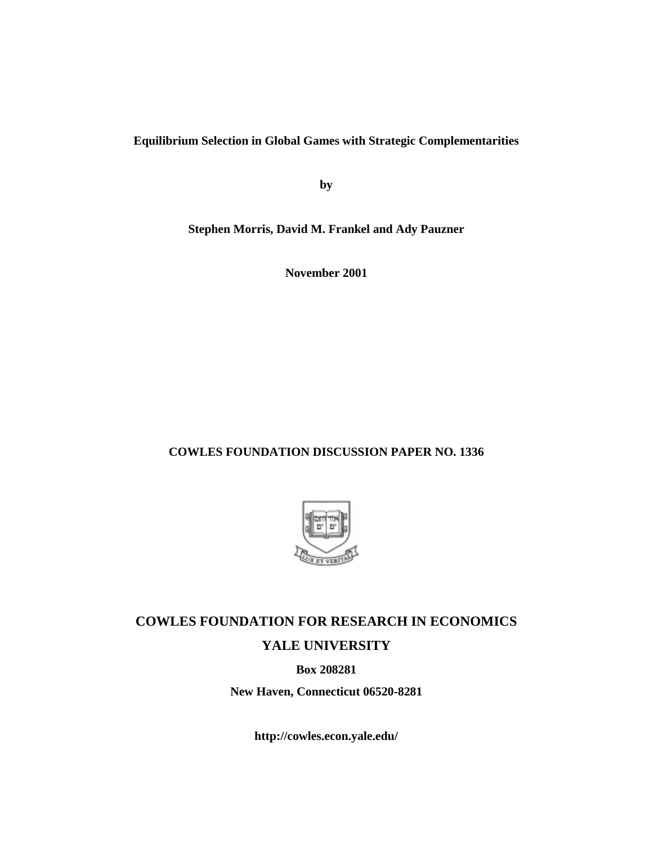**Equilibrium Selection in Global Games with Strategic Complementarities**

**by**

**Stephen Morris, David M. Frankel and Ady Pauzner**

**November 2001**

#### **COWLES FOUNDATION DISCUSSION PAPER NO. 1336**



# **COWLES FOUNDATION FOR RESEARCH IN ECONOMICS YALE UNIVERSITY**

**Box 208281**

**New Haven, Connecticut 06520-8281**

**http://cowles.econ.yale.edu/**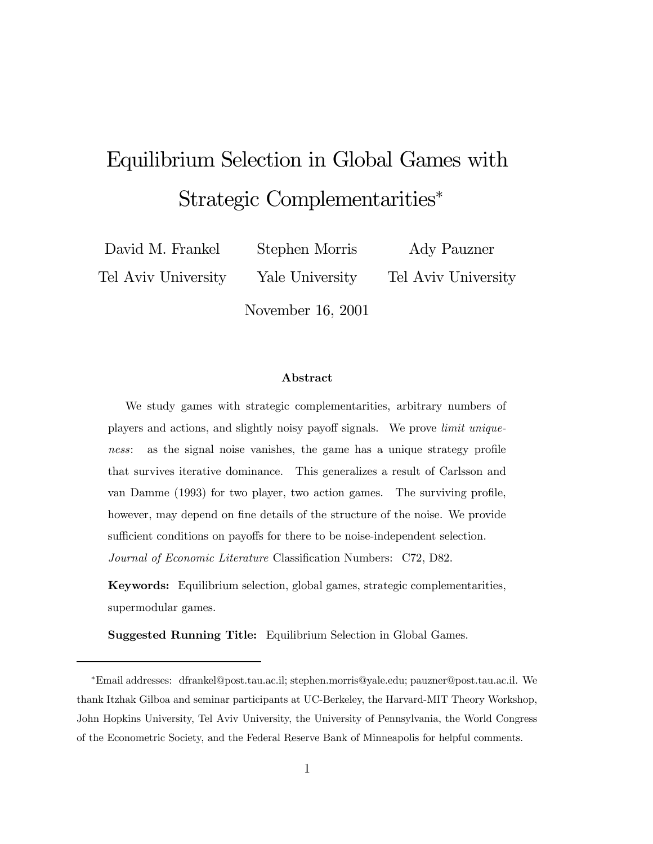# Equilibrium Selection in Global Games with Strategic Complementarities<sup>∗</sup>

David M. Frankel Tel Aviv University Stephen Morris

Ady Pauzner

Tel Aviv University

November 16, 2001

Yale University

#### Abstract

We study games with strategic complementarities, arbitrary numbers of players and actions, and slightly noisy payoff signals. We prove limit uniqueness: as the signal noise vanishes, the game has a unique strategy profile that survives iterative dominance. This generalizes a result of Carlsson and van Damme (1993) for two player, two action games. The surviving profile, however, may depend on fine details of the structure of the noise. We provide sufficient conditions on payoffs for there to be noise-independent selection. Journal of Economic Literature Classification Numbers: C72, D82.

Keywords: Equilibrium selection, global games, strategic complementarities, supermodular games.

Suggested Running Title: Equilibrium Selection in Global Games.

<sup>∗</sup>Email addresses: dfrankel@post.tau.ac.il; stephen.morris@yale.edu; pauzner@post.tau.ac.il. We thank Itzhak Gilboa and seminar participants at UC-Berkeley, the Harvard-MIT Theory Workshop, John Hopkins University, Tel Aviv University, the University of Pennsylvania, the World Congress of the Econometric Society, and the Federal Reserve Bank of Minneapolis for helpful comments.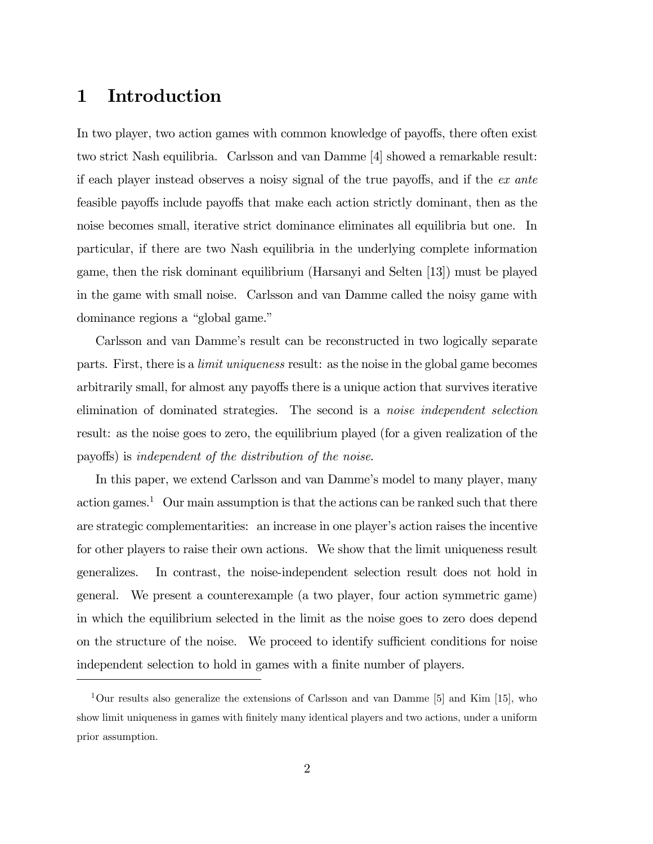## 1 Introduction

In two player, two action games with common knowledge of payoffs, there often exist two strict Nash equilibria. Carlsson and van Damme [4] showed a remarkable result: if each player instead observes a noisy signal of the true payoffs, and if the ex ante feasible payoffs include payoffs that make each action strictly dominant, then as the noise becomes small, iterative strict dominance eliminates all equilibria but one. In particular, if there are two Nash equilibria in the underlying complete information game, then the risk dominant equilibrium (Harsanyi and Selten [13]) must be played in the game with small noise. Carlsson and van Damme called the noisy game with dominance regions a "global game."

Carlsson and van Dammeís result can be reconstructed in two logically separate parts. First, there is a limit uniqueness result: as the noise in the global game becomes arbitrarily small, for almost any payoffs there is a unique action that survives iterative elimination of dominated strategies. The second is a noise independent selection result: as the noise goes to zero, the equilibrium played (for a given realization of the payoffs) is independent of the distribution of the noise.

In this paper, we extend Carlsson and van Damme's model to many player, many action games.<sup>1</sup> Our main assumption is that the actions can be ranked such that there are strategic complementarities: an increase in one player's action raises the incentive for other players to raise their own actions. We show that the limit uniqueness result generalizes. In contrast, the noise-independent selection result does not hold in general. We present a counterexample (a two player, four action symmetric game) in which the equilibrium selected in the limit as the noise goes to zero does depend on the structure of the noise. We proceed to identify sufficient conditions for noise independent selection to hold in games with a finite number of players.

<sup>1</sup>Our results also generalize the extensions of Carlsson and van Damme [5] and Kim [15], who show limit uniqueness in games with finitely many identical players and two actions, under a uniform prior assumption.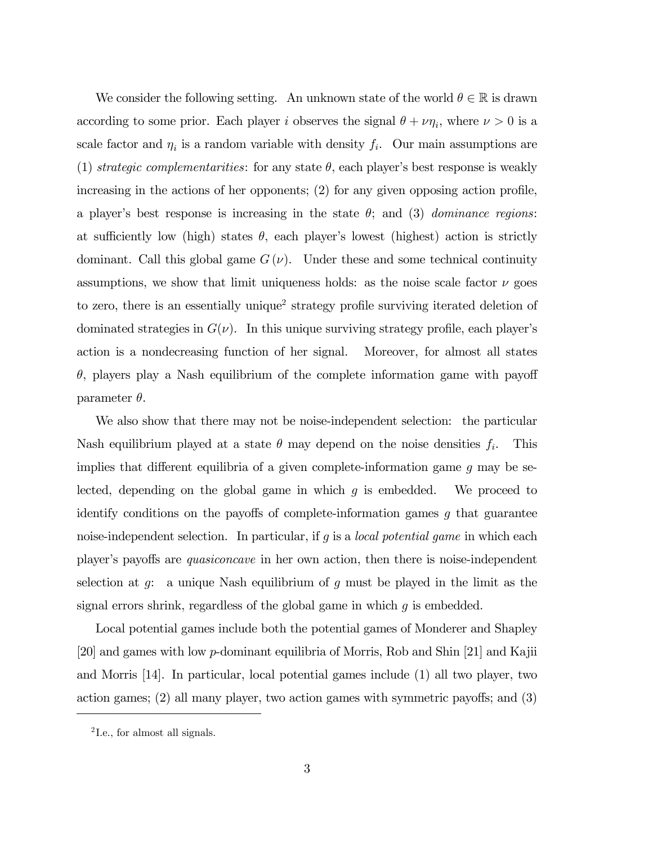We consider the following setting. An unknown state of the world  $\theta \in \mathbb{R}$  is drawn according to some prior. Each player i observes the signal  $\theta + \nu \eta_i$ , where  $\nu > 0$  is a scale factor and  $\eta_i$  is a random variable with density  $f_i$ . Our main assumptions are (1) strategic complementarities: for any state  $\theta$ , each player's best response is weakly increasing in the actions of her opponents; (2) for any given opposing action profile, a player's best response is increasing in the state  $\theta$ ; and (3) dominance regions: at sufficiently low (high) states  $\theta$ , each player's lowest (highest) action is strictly dominant. Call this global game  $G(\nu)$ . Under these and some technical continuity assumptions, we show that limit uniqueness holds: as the noise scale factor  $\nu$  goes to zero, there is an essentially unique<sup>2</sup> strategy profile surviving iterated deletion of dominated strategies in  $G(\nu)$ . In this unique surviving strategy profile, each player's action is a nondecreasing function of her signal. Moreover, for almost all states  $\theta$ , players play a Nash equilibrium of the complete information game with payoff parameter  $\theta$ .

We also show that there may not be noise-independent selection: the particular Nash equilibrium played at a state  $\theta$  may depend on the noise densities  $f_i$ . This implies that different equilibria of a given complete-information game  $g$  may be selected, depending on the global game in which  $g$  is embedded. We proceed to identify conditions on the payoffs of complete-information games  $q$  that guarantee noise-independent selection. In particular, if q is a *local potential game* in which each player's payoffs are *quasiconcave* in her own action, then there is noise-independent selection at  $g$ : a unique Nash equilibrium of  $g$  must be played in the limit as the signal errors shrink, regardless of the global game in which g is embedded.

Local potential games include both the potential games of Monderer and Shapley [20] and games with low p-dominant equilibria of Morris, Rob and Shin [21] and Kajii and Morris [14]. In particular, local potential games include (1) all two player, two action games; (2) all many player, two action games with symmetric payoffs; and (3)

<sup>2</sup> I.e., for almost all signals.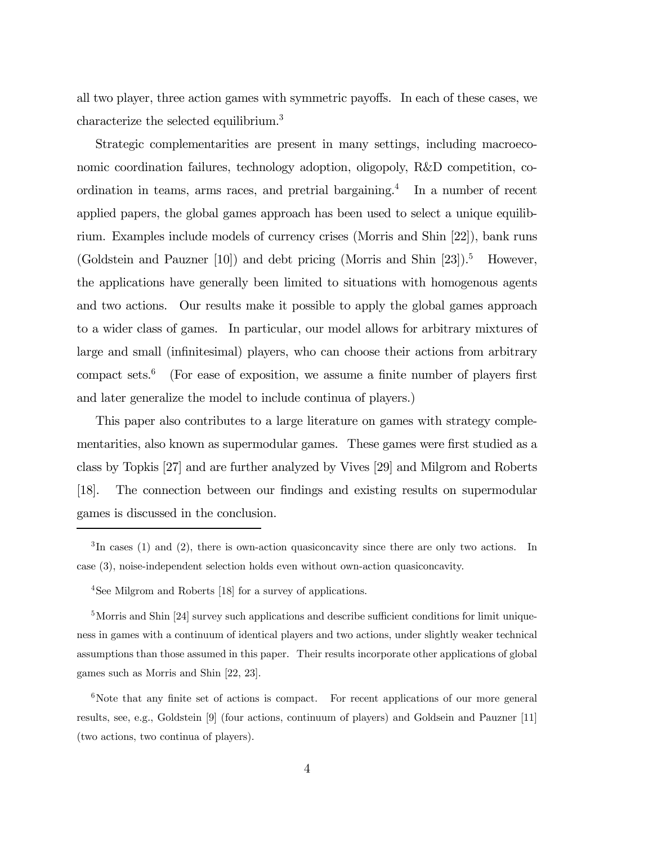all two player, three action games with symmetric payoffs. In each of these cases, we characterize the selected equilibrium.<sup>3</sup>

Strategic complementarities are present in many settings, including macroeconomic coordination failures, technology adoption, oligopoly, R&D competition, coordination in teams, arms races, and pretrial bargaining.<sup>4</sup> In a number of recent applied papers, the global games approach has been used to select a unique equilibrium. Examples include models of currency crises (Morris and Shin [22]), bank runs (Goldstein and Pauzner  $[10]$ ) and debt pricing (Morris and Shin  $[23]$ ).<sup>5</sup> However, the applications have generally been limited to situations with homogenous agents and two actions. Our results make it possible to apply the global games approach to a wider class of games. In particular, our model allows for arbitrary mixtures of large and small (infinitesimal) players, who can choose their actions from arbitrary compact sets. $6$  (For ease of exposition, we assume a finite number of players first and later generalize the model to include continua of players.)

This paper also contributes to a large literature on games with strategy complementarities, also known as supermodular games. These games were first studied as a class by Topkis [27] and are further analyzed by Vives [29] and Milgrom and Roberts [18]. The connection between our findings and existing results on supermodular games is discussed in the conclusion.

<sup>5</sup>Morris and Shin [24] survey such applications and describe sufficient conditions for limit uniqueness in games with a continuum of identical players and two actions, under slightly weaker technical assumptions than those assumed in this paper. Their results incorporate other applications of global games such as Morris and Shin [22, 23].

 ${}^{3}$ In cases (1) and (2), there is own-action quasiconcavity since there are only two actions. In case (3), noise-independent selection holds even without own-action quasiconcavity.

<sup>4</sup>See Milgrom and Roberts [18] for a survey of applications.

 $6$ Note that any finite set of actions is compact. For recent applications of our more general results, see, e.g., Goldstein [9] (four actions, continuum of players) and Goldsein and Pauzner [11] (two actions, two continua of players).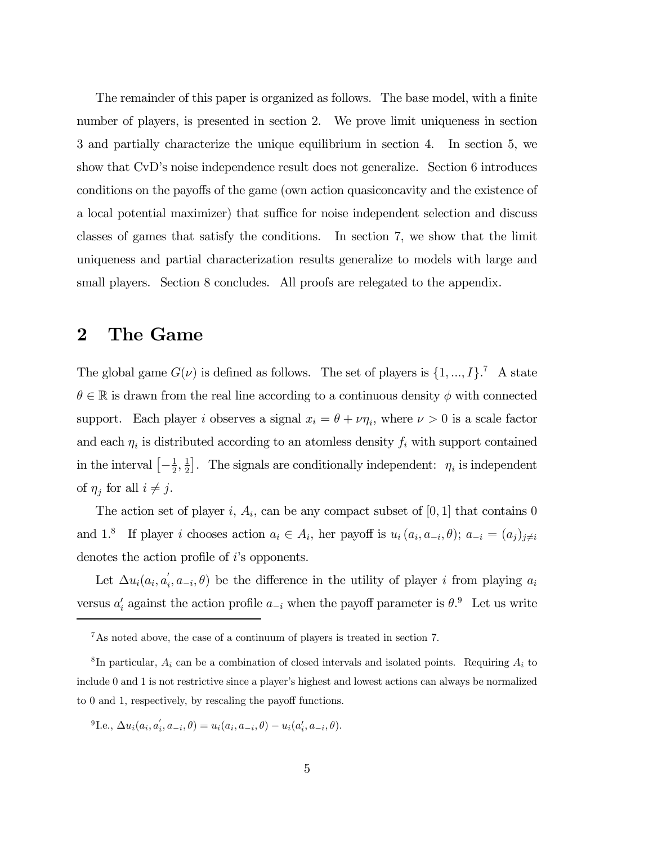The remainder of this paper is organized as follows. The base model, with a finite number of players, is presented in section 2. We prove limit uniqueness in section 3 and partially characterize the unique equilibrium in section 4. In section 5, we show that CvD's noise independence result does not generalize. Section 6 introduces conditions on the payoffs of the game (own action quasiconcavity and the existence of a local potential maximizer) that suffice for noise independent selection and discuss classes of games that satisfy the conditions. In section 7, we show that the limit uniqueness and partial characterization results generalize to models with large and small players. Section 8 concludes. All proofs are relegated to the appendix.

### 2 The Game

The global game  $G(\nu)$  is defined as follows. The set of players is  $\{1, ..., I\}$ .<sup>7</sup> A state  $\theta \in \mathbb{R}$  is drawn from the real line according to a continuous density  $\phi$  with connected support. Each player i observes a signal  $x_i = \theta + \nu \eta_i$ , where  $\nu > 0$  is a scale factor and each  $\eta_i$  is distributed according to an atomless density  $f_i$  with support contained in the interval  $\left[-\frac{1}{2},\frac{1}{2}\right]$ . The signals are conditionally independent:  $\eta_i$  is independent of  $\eta_i$  for all  $i \neq j$ .

The action set of player i,  $A_i$ , can be any compact subset of [0, 1] that contains 0 and 1.<sup>8</sup> If player i chooses action  $a_i \in A_i$ , her payoff is  $u_i(a_i, a_{-i}, \theta)$ ;  $a_{-i} = (a_j)_{j \neq i}$ denotes the action profile of *i*'s opponents.

Let  $\Delta u_i(a_i, a'_i, a_{-i}, \theta)$  be the difference in the utility of player i from playing  $a_i$ versus  $a'_i$  against the action profile  $a_{-i}$  when the payoff parameter is  $\theta$ .<sup>9</sup> Let us write

<sup>9</sup>I.e.,  $\Delta u_i(a_i, a'_i, a_{-i}, \theta) = u_i(a_i, a_{-i}, \theta) - u_i(a'_i, a_{-i}, \theta)$ .

<sup>7</sup>As noted above, the case of a continuum of players is treated in section 7.

<sup>&</sup>lt;sup>8</sup>In particular,  $A_i$  can be a combination of closed intervals and isolated points. Requiring  $A_i$  to include 0 and 1 is not restrictive since a player's highest and lowest actions can always be normalized to 0 and 1, respectively, by rescaling the payoff functions.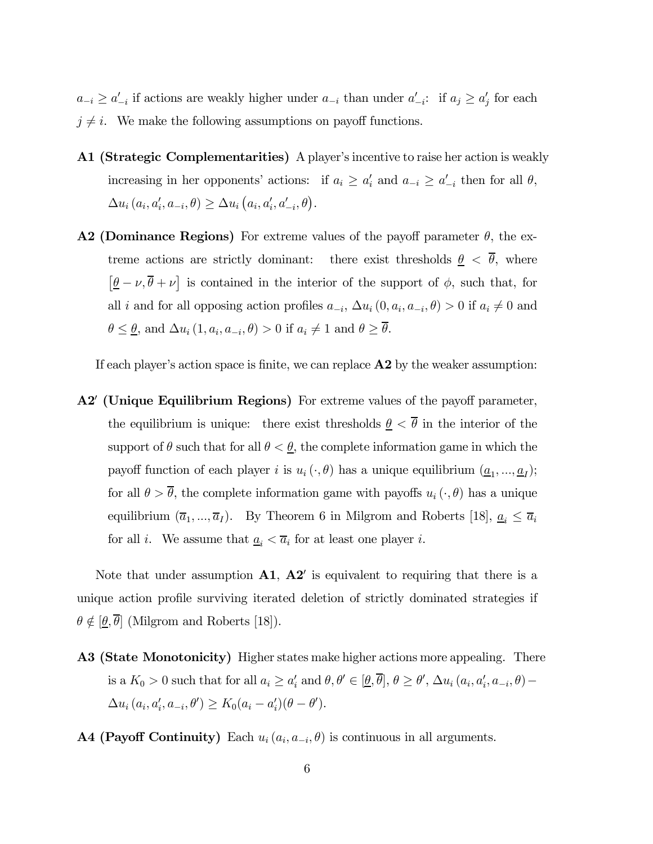$a_{-i} \ge a'_{-i}$  if actions are weakly higher under  $a_{-i}$  than under  $a'_{-i}$ : if  $a_j \ge a'_j$  for each  $j \neq i$ . We make the following assumptions on payoff functions.

- A1 (Strategic Complementarities) A player's incentive to raise her action is weakly increasing in her opponents' actions: if  $a_i \ge a'_i$  and  $a_{-i} \ge a'_{-i}$  then for all  $\theta$ ,  $\Delta u_i (a_i, a'_i, a_{-i}, \theta) \ge \Delta u_i (a_i, a'_i, a'_{-i}, \theta).$
- **A2 (Dominance Regions)** For extreme values of the payoff parameter  $\theta$ , the extreme actions are strictly dominant: there exist thresholds  $\theta < \overline{\theta}$ , where  $[\underline{\theta} - \nu, \overline{\theta} + \nu]$  is contained in the interior of the support of  $\phi$ , such that, for all *i* and for all opposing action profiles  $a_{-i}$ ,  $\Delta u_i$   $(0, a_i, a_{-i}, \theta) > 0$  if  $a_i \neq 0$  and  $\theta \leq \underline{\theta}$ , and  $\Delta u_i (1, a_i, a_{-i}, \theta) > 0$  if  $a_i \neq 1$  and  $\theta \geq \overline{\theta}$ .

If each player's action space is finite, we can replace  $\bf{A2}$  by the weaker assumption:

A2' (Unique Equilibrium Regions) For extreme values of the payoff parameter, the equilibrium is unique: there exist thresholds  $\underline{\theta} < \overline{\theta}$  in the interior of the support of  $\theta$  such that for all  $\theta < \underline{\theta}$ , the complete information game in which the payoff function of each player i is  $u_i(\cdot, \theta)$  has a unique equilibrium  $(\underline{a}_1, ..., \underline{a}_I);$ for all  $\theta > \overline{\theta}$ , the complete information game with payoffs  $u_i(\cdot, \theta)$  has a unique equilibrium  $(\overline{a}_1, ..., \overline{a}_I)$ . By Theorem 6 in Milgrom and Roberts [18],  $\underline{a}_i \leq \overline{a}_i$ for all *i*. We assume that  $\underline{a}_i < \overline{a}_i$  for at least one player *i*.

Note that under assumption  $\mathbf{A1}, \mathbf{A2}'$  is equivalent to requiring that there is a unique action profile surviving iterated deletion of strictly dominated strategies if  $\theta \notin [\underline{\theta}, \overline{\theta}]$  (Milgrom and Roberts [18]).

A3 (State Monotonicity) Higher states make higher actions more appealing. There is a  $K_0 > 0$  such that for all  $a_i \ge a'_i$  and  $\theta, \theta' \in [\underline{\theta}, \theta], \theta \ge \theta', \Delta u_i (a_i, a'_i, a_{-i}, \theta) \Delta u_i (a_i, a'_i, a_{-i}, \theta') \geq K_0 (a_i - a'_i) (\theta - \theta').$ 

A4 (Payoff Continuity) Each  $u_i(a_i, a_{-i}, \theta)$  is continuous in all arguments.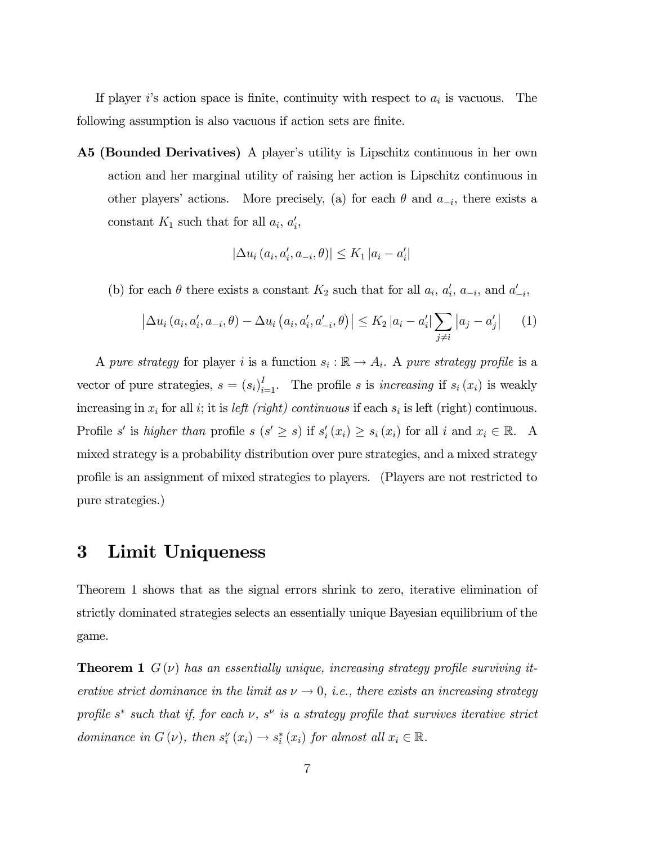If player *i*'s action space is finite, continuity with respect to  $a_i$  is vacuous. The following assumption is also vacuous if action sets are finite.

A5 (Bounded Derivatives) A player's utility is Lipschitz continuous in her own action and her marginal utility of raising her action is Lipschitz continuous in other players' actions. More precisely, (a) for each  $\theta$  and  $a_{-i}$ , there exists a constant  $K_1$  such that for all  $a_i$ ,  $a'_i$ ,

$$
|\Delta u_i (a_i, a'_i, a_{-i}, \theta)| \le K_1 |a_i - a'_i|
$$

(b) for each  $\theta$  there exists a constant  $K_2$  such that for all  $a_i$ ,  $a'_i$ ,  $a_{-i}$ , and  $a'_{-i}$ ,

$$
\left| \Delta u_i \left( a_i, a'_i, a_{-i}, \theta \right) - \Delta u_i \left( a_i, a'_i, a'_{-i}, \theta \right) \right| \le K_2 \left| a_i - a'_i \right| \sum_{j \ne i} \left| a_j - a'_j \right| \tag{1}
$$

A pure strategy for player i is a function  $s_i : \mathbb{R} \to A_i$ . A pure strategy profile is a vector of pure strategies,  $s = (s_i)_{i=1}^I$ . The profile s is *increasing* if  $s_i(x_i)$  is weakly increasing in  $x_i$  for all i; it is *left (right) continuous* if each  $s_i$  is left (right) continuous. Profile s' is higher than profile s  $(s' \ge s)$  if  $s'_i(x_i) \ge s_i(x_i)$  for all i and  $x_i \in \mathbb{R}$ . A mixed strategy is a probability distribution over pure strategies, and a mixed strategy profile is an assignment of mixed strategies to players. (Players are not restricted to pure strategies.)

### 3 Limit Uniqueness

Theorem 1 shows that as the signal errors shrink to zero, iterative elimination of strictly dominated strategies selects an essentially unique Bayesian equilibrium of the game.

**Theorem 1**  $G(\nu)$  has an essentially unique, increasing strategy profile surviving iterative strict dominance in the limit as  $\nu \to 0$ , i.e., there exists an increasing strategy profile s<sup>\*</sup> such that if, for each  $\nu$ , s<sup> $\nu$ </sup> is a strategy profile that survives iterative strict dominance in  $G(v)$ , then  $s_i^{\nu}(x_i) \to s_i^*(x_i)$  for almost all  $x_i \in \mathbb{R}$ .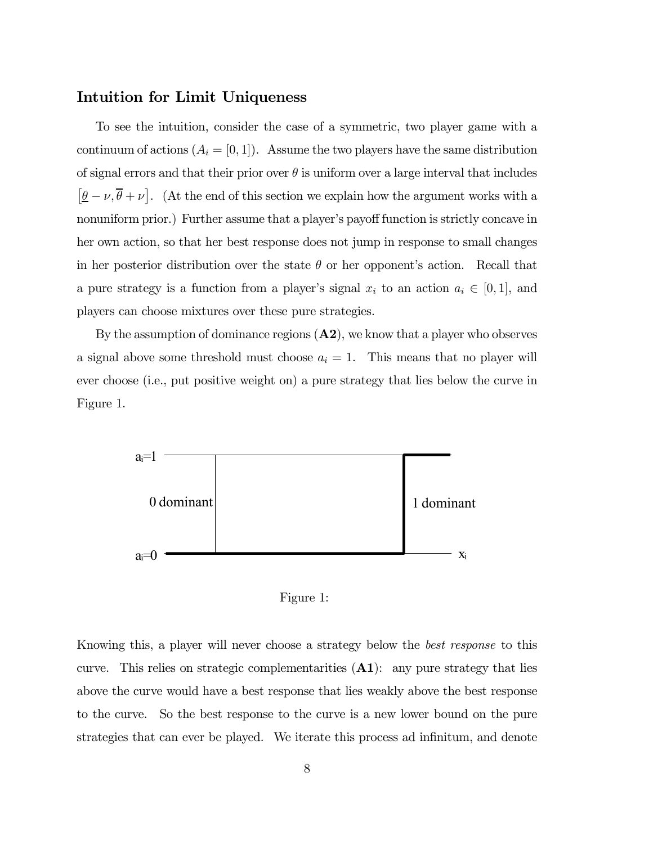#### Intuition for Limit Uniqueness

To see the intuition, consider the case of a symmetric, two player game with a continuum of actions  $(A_i = [0, 1])$ . Assume the two players have the same distribution of signal errors and that their prior over  $\theta$  is uniform over a large interval that includes  $[\underline{\theta} - \nu, \overline{\theta} + \nu]$ . (At the end of this section we explain how the argument works with a nonuniform prior.) Further assume that a player's payoff function is strictly concave in her own action, so that her best response does not jump in response to small changes in her posterior distribution over the state  $\theta$  or her opponent's action. Recall that a pure strategy is a function from a player's signal  $x_i$  to an action  $a_i \in [0,1]$ , and players can choose mixtures over these pure strategies.

By the assumption of dominance regions  $(A2)$ , we know that a player who observes a signal above some threshold must choose  $a_i = 1$ . This means that no player will ever choose (i.e., put positive weight on) a pure strategy that lies below the curve in Figure 1.



Figure 1:

Knowing this, a player will never choose a strategy below the best response to this curve. This relies on strategic complementarities  $(A1)$ : any pure strategy that lies above the curve would have a best response that lies weakly above the best response to the curve. So the best response to the curve is a new lower bound on the pure strategies that can ever be played. We iterate this process ad infinitum, and denote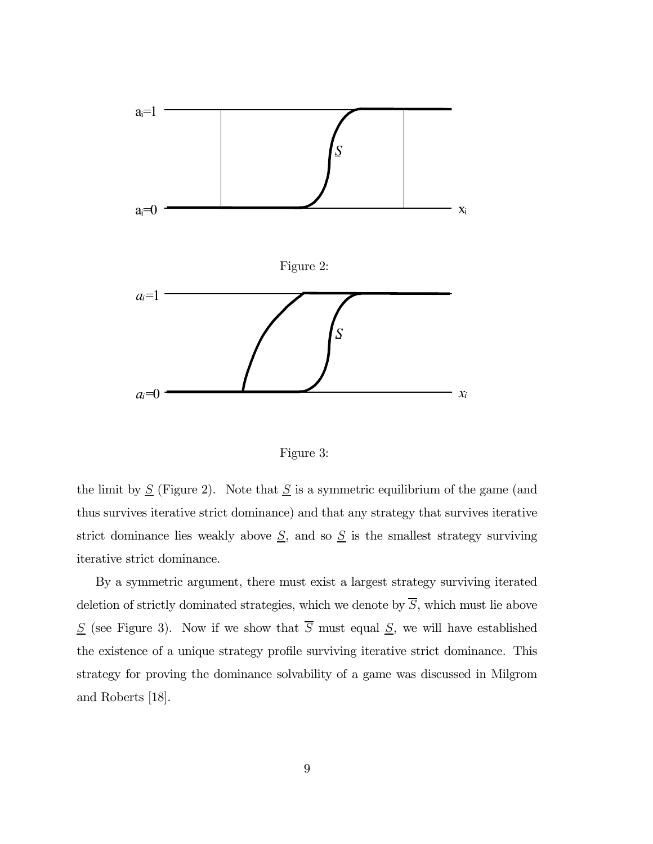

Figure 3:

the limit by  $S$  (Figure 2). Note that  $S$  is a symmetric equilibrium of the game (and thus survives iterative strict dominance) and that any strategy that survives iterative strict dominance lies weakly above  $S$ , and so  $S$  is the smallest strategy surviving iterative strict dominance.

By a symmetric argument, there must exist a largest strategy surviving iterated deletion of strictly dominated strategies, which we denote by  $\overline{S}$ , which must lie above  $S$  (see Figure 3). Now if we show that  $\overline{S}$  must equal  $S$ , we will have established the existence of a unique strategy profile surviving iterative strict dominance. This strategy for proving the dominance solvability of a game was discussed in Milgrom and Roberts [18].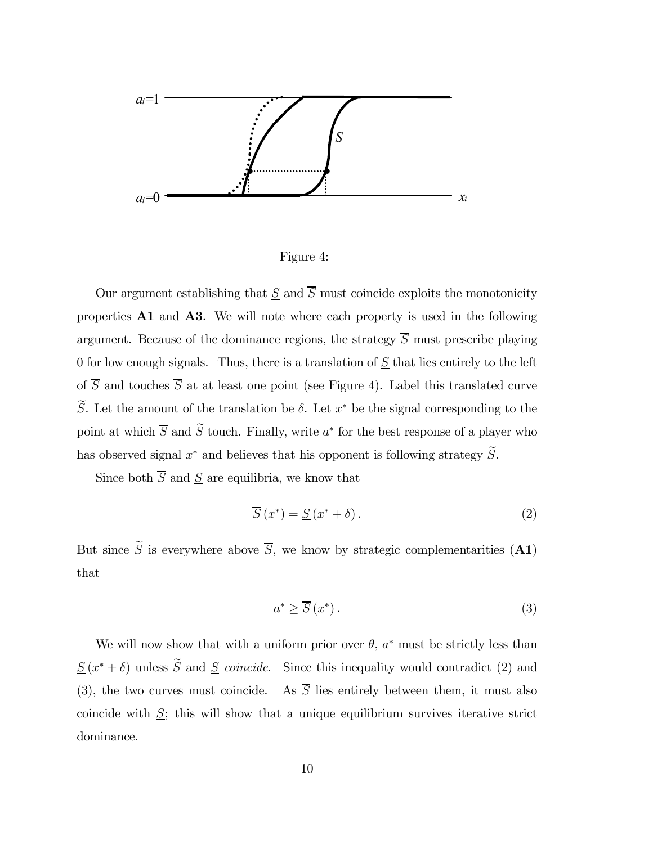

Figure 4:

Our argument establishing that  $\underline{S}$  and  $\overline{S}$  must coincide exploits the monotonicity properties A1 and A3. We will note where each property is used in the following argument. Because of the dominance regions, the strategy  $\overline{S}$  must prescribe playing 0 for low enough signals. Thus, there is a translation of  $S$  that lies entirely to the left of  $\overline{S}$  and touches  $\overline{S}$  at at least one point (see Figure 4). Label this translated curve  $\widetilde{S}$ . Let the amount of the translation be  $\delta$ . Let  $x^*$  be the signal corresponding to the point at which  $\overline{S}$  and  $\widetilde{S}$  touch. Finally, write  $a^*$  for the best response of a player who has observed signal  $x^*$  and believes that his opponent is following strategy  $\widetilde{S}$ .

Since both  $\overline{S}$  and  $\underline{S}$  are equilibria, we know that

$$
\overline{S}(x^*) = \underline{S}(x^* + \delta). \tag{2}
$$

But since  $\widetilde{S}$  is everywhere above  $\overline{S}$ , we know by strategic complementarities (A1) that

$$
a^* \ge \overline{S}(x^*). \tag{3}
$$

We will now show that with a uniform prior over  $\theta$ ,  $a^*$  must be strictly less than  $S(x^* + \delta)$  unless  $\widetilde{S}$  and  $S$  coincide. Since this inequality would contradict (2) and (3), the two curves must coincide. As  $\overline{S}$  lies entirely between them, it must also coincide with  $S$ ; this will show that a unique equilibrium survives iterative strict dominance.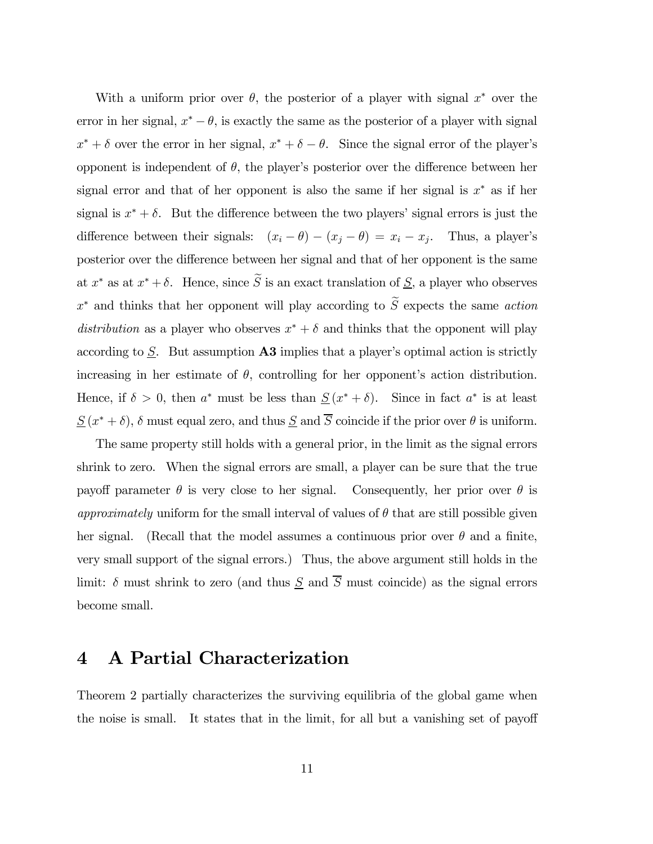With a uniform prior over  $\theta$ , the posterior of a player with signal  $x^*$  over the error in her signal,  $x^* - \theta$ , is exactly the same as the posterior of a player with signal  $x^* + \delta$  over the error in her signal,  $x^* + \delta - \theta$ . Since the signal error of the player's opponent is independent of  $\theta$ , the player's posterior over the difference between her signal error and that of her opponent is also the same if her signal is  $x^*$  as if her signal is  $x^* + \delta$ . But the difference between the two players' signal errors is just the difference between their signals:  $(x_i - \theta) - (x_j - \theta) = x_i - x_j$ . Thus, a player's posterior over the difference between her signal and that of her opponent is the same at  $x^*$  as at  $x^* + \delta$ . Hence, since  $\widetilde{S}$  is an exact translation of  $\underline{S}$ , a player who observes  $x^*$  and thinks that her opponent will play according to  $\widetilde{S}$  expects the same *action* distribution as a player who observes  $x^* + \delta$  and thinks that the opponent will play according to  $S$ . But assumption  $\mathbf{A3}$  implies that a player's optimal action is strictly increasing in her estimate of  $\theta$ , controlling for her opponent's action distribution. Hence, if  $\delta > 0$ , then  $a^*$  must be less than  $\underline{S}(x^* + \delta)$ . Since in fact  $a^*$  is at least  $S(x^* + \delta)$ ,  $\delta$  must equal zero, and thus  $S$  and  $\overline{S}$  coincide if the prior over  $\theta$  is uniform.

The same property still holds with a general prior, in the limit as the signal errors shrink to zero. When the signal errors are small, a player can be sure that the true payoff parameter  $\theta$  is very close to her signal. Consequently, her prior over  $\theta$  is *approximately* uniform for the small interval of values of  $\theta$  that are still possible given her signal. (Recall that the model assumes a continuous prior over  $\theta$  and a finite, very small support of the signal errors.) Thus, the above argument still holds in the limit:  $\delta$  must shrink to zero (and thus  $\underline{S}$  and  $\overline{S}$  must coincide) as the signal errors become small.

## 4 A Partial Characterization

Theorem 2 partially characterizes the surviving equilibria of the global game when the noise is small. It states that in the limit, for all but a vanishing set of payoff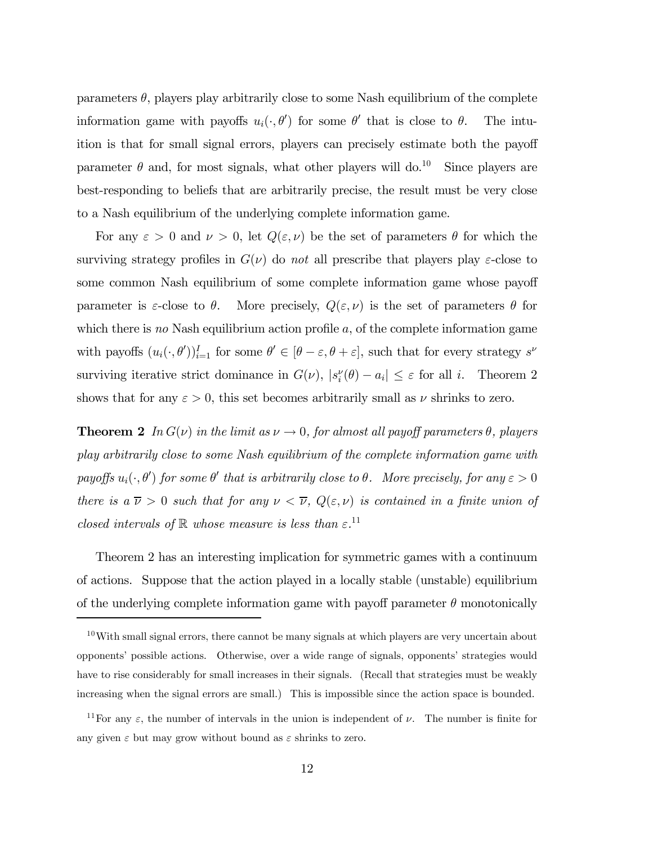parameters  $\theta$ , players play arbitrarily close to some Nash equilibrium of the complete information game with payoffs  $u_i(\cdot, \theta')$  for some  $\theta'$  that is close to  $\theta$ . The intuition is that for small signal errors, players can precisely estimate both the payoff parameter  $\theta$  and, for most signals, what other players will do.<sup>10</sup> Since players are best-responding to beliefs that are arbitrarily precise, the result must be very close to a Nash equilibrium of the underlying complete information game.

For any  $\varepsilon > 0$  and  $\nu > 0$ , let  $Q(\varepsilon, \nu)$  be the set of parameters  $\theta$  for which the surviving strategy profiles in  $G(\nu)$  do not all prescribe that players play  $\varepsilon$ -close to some common Nash equilibrium of some complete information game whose payoff parameter is  $\varepsilon$ -close to  $\theta$ . More precisely,  $Q(\varepsilon,\nu)$  is the set of parameters  $\theta$  for which there is no Nash equilibrium action profile  $a$ , of the complete information game with payoffs  $(u_i(\cdot, \theta'))_{i=1}^I$  for some  $\theta' \in [\theta - \varepsilon, \theta + \varepsilon]$ , such that for every strategy  $s^{\nu}$ surviving iterative strict dominance in  $G(\nu)$ ,  $|s_i^{\nu}(\theta) - a_i| \leq \varepsilon$  for all *i*. Theorem 2 shows that for any  $\varepsilon > 0$ , this set becomes arbitrarily small as  $\nu$  shrinks to zero.

**Theorem 2** In  $G(\nu)$  in the limit as  $\nu \to 0$ , for almost all payoff parameters  $\theta$ , players play arbitrarily close to some Nash equilibrium of the complete information game with payoffs  $u_i(\cdot, \theta')$  for some  $\theta'$  that is arbitrarily close to  $\theta$ . More precisely, for any  $\varepsilon > 0$ there is a  $\overline{\nu} > 0$  such that for any  $\nu < \overline{\nu}$ ,  $Q(\varepsilon, \nu)$  is contained in a finite union of closed intervals of  $\mathbb R$  whose measure is less than  $\varepsilon$ .<sup>11</sup>

Theorem 2 has an interesting implication for symmetric games with a continuum of actions. Suppose that the action played in a locally stable (unstable) equilibrium of the underlying complete information game with payoff parameter  $\theta$  monotonically

<sup>10</sup>With small signal errors, there cannot be many signals at which players are very uncertain about opponentsí possible actions. Otherwise, over a wide range of signals, opponentsí strategies would have to rise considerably for small increases in their signals. (Recall that strategies must be weakly increasing when the signal errors are small.) This is impossible since the action space is bounded.

<sup>&</sup>lt;sup>11</sup>For any  $\varepsilon$ , the number of intervals in the union is independent of  $\nu$ . The number is finite for any given  $\varepsilon$  but may grow without bound as  $\varepsilon$  shrinks to zero.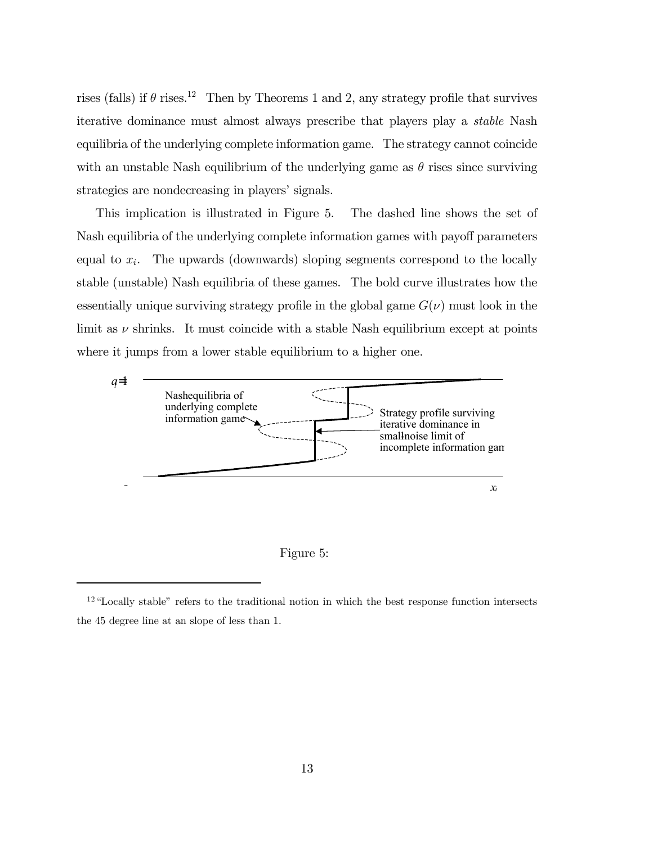rises (falls) if  $\theta$  rises.<sup>12</sup> Then by Theorems 1 and 2, any strategy profile that survives iterative dominance must almost always prescribe that players play a stable Nash equilibria of the underlying complete information game. The strategy cannot coincide with an unstable Nash equilibrium of the underlying game as  $\theta$  rises since surviving strategies are nondecreasing in players' signals.

This implication is illustrated in Figure 5. The dashed line shows the set of Nash equilibria of the underlying complete information games with payoff parameters equal to  $x_i$ . The upwards (downwards) sloping segments correspond to the locally stable (unstable) Nash equilibria of these games. The bold curve illustrates how the essentially unique surviving strategy profile in the global game  $G(\nu)$  must look in the limit as  $\nu$  shrinks. It must coincide with a stable Nash equilibrium except at points where it jumps from a lower stable equilibrium to a higher one.





 $12$  "Locally stable" refers to the traditional notion in which the best response function intersects the 45 degree line at an slope of less than 1.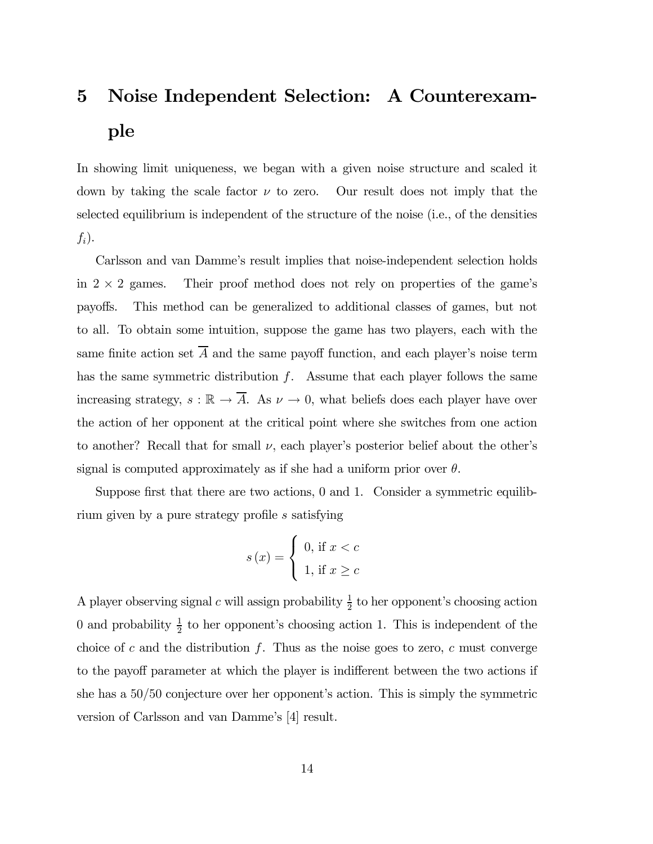# 5 Noise Independent Selection: A Counterexample

In showing limit uniqueness, we began with a given noise structure and scaled it down by taking the scale factor  $\nu$  to zero. Our result does not imply that the selected equilibrium is independent of the structure of the noise (i.e., of the densities  $f_i$ ).

Carlsson and van Dammeís result implies that noise-independent selection holds in  $2 \times 2$  games. Their proof method does not rely on properties of the game's payoffs. This method can be generalized to additional classes of games, but not to all. To obtain some intuition, suppose the game has two players, each with the same finite action set  $\overline{A}$  and the same payoff function, and each player's noise term has the same symmetric distribution  $f$ . Assume that each player follows the same increasing strategy,  $s : \mathbb{R} \to \overline{A}$ . As  $\nu \to 0$ , what beliefs does each player have over the action of her opponent at the critical point where she switches from one action to another? Recall that for small  $\nu$ , each player's posterior belief about the other's signal is computed approximately as if she had a uniform prior over  $\theta$ .

Suppose first that there are two actions, 0 and 1. Consider a symmetric equilibrium given by a pure strategy profile s satisfying

$$
s(x) = \begin{cases} 0, \text{ if } x < c \\ 1, \text{ if } x \ge c \end{cases}
$$

A player observing signal c will assign probability  $\frac{1}{2}$  to her opponent's choosing action 0 and probability  $\frac{1}{2}$  to her opponent's choosing action 1. This is independent of the choice of c and the distribution f. Thus as the noise goes to zero, c must converge to the payoff parameter at which the player is indifferent between the two actions if she has a  $50/50$  conjecture over her opponent's action. This is simply the symmetric version of Carlsson and van Damme's [4] result.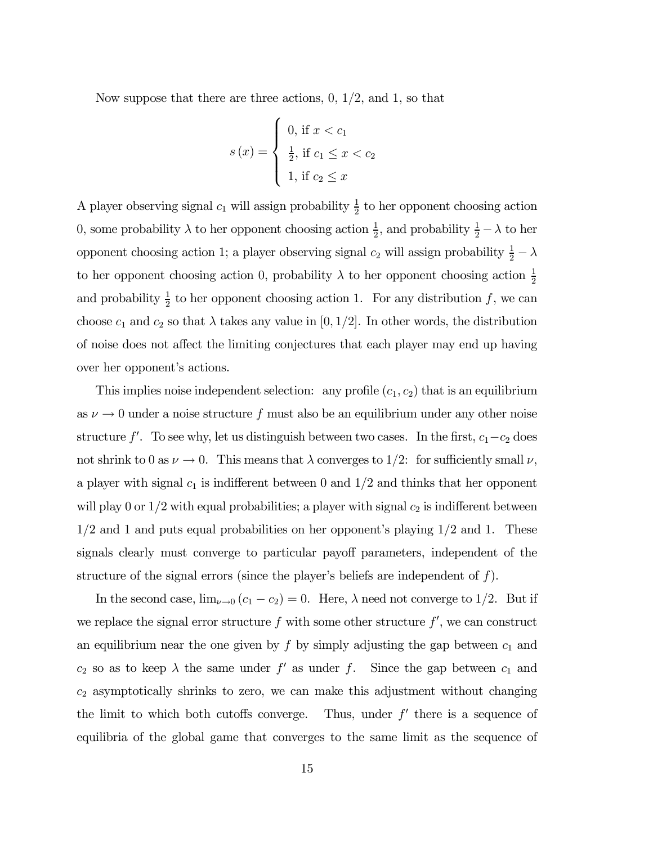Now suppose that there are three actions, 0, 1/2, and 1, so that

$$
s(x) = \begin{cases} 0, \text{ if } x < c_1 \\ \frac{1}{2}, \text{ if } c_1 \leq x < c_2 \\ 1, \text{ if } c_2 \leq x \end{cases}
$$

A player observing signal  $c_1$  will assign probability  $\frac{1}{2}$  to her opponent choosing action 0, some probability  $\lambda$  to her opponent choosing action  $\frac{1}{2}$ , and probability  $\frac{1}{2} - \lambda$  to her opponent choosing action 1; a player observing signal  $c_2$  will assign probability  $\frac{1}{2} - \lambda$ to her opponent choosing action 0, probability  $\lambda$  to her opponent choosing action  $\frac{1}{2}$ and probability  $\frac{1}{2}$  to her opponent choosing action 1. For any distribution f, we can choose  $c_1$  and  $c_2$  so that  $\lambda$  takes any value in [0, 1/2]. In other words, the distribution of noise does not affect the limiting conjectures that each player may end up having over her opponent's actions.

This implies noise independent selection: any profile  $(c_1, c_2)$  that is an equilibrium as  $\nu \to 0$  under a noise structure f must also be an equilibrium under any other noise structure  $f'$ . To see why, let us distinguish between two cases. In the first,  $c_1 - c_2$  does not shrink to 0 as  $\nu \to 0$ . This means that  $\lambda$  converges to 1/2: for sufficiently small  $\nu$ , a player with signal  $c_1$  is indifferent between 0 and  $1/2$  and thinks that her opponent will play 0 or  $1/2$  with equal probabilities; a player with signal  $c_2$  is indifferent between  $1/2$  and 1 and puts equal probabilities on her opponent's playing  $1/2$  and 1. These signals clearly must converge to particular payoff parameters, independent of the structure of the signal errors (since the player's beliefs are independent of  $f$ ).

In the second case,  $\lim_{\nu \to 0} (c_1 - c_2) = 0$ . Here,  $\lambda$  need not converge to 1/2. But if we replace the signal error structure  $f$  with some other structure  $f'$ , we can construct an equilibrium near the one given by f by simply adjusting the gap between  $c_1$  and  $c_2$  so as to keep  $\lambda$  the same under  $f'$  as under  $f$ . Since the gap between  $c_1$  and  $c_2$  asymptotically shrinks to zero, we can make this adjustment without changing the limit to which both cutoffs converge. Thus, under  $f'$  there is a sequence of equilibria of the global game that converges to the same limit as the sequence of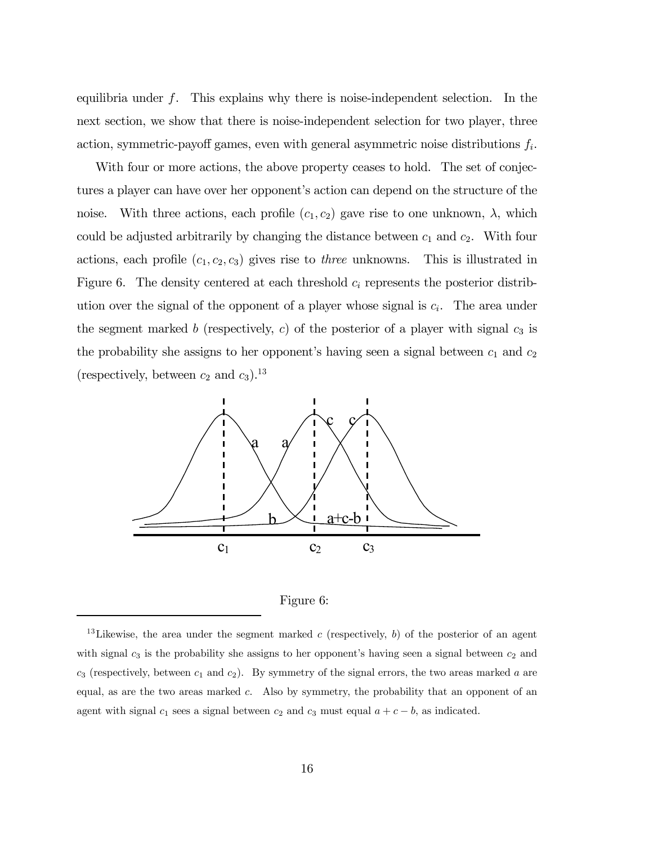equilibria under f. This explains why there is noise-independent selection. In the next section, we show that there is noise-independent selection for two player, three action, symmetric-payoff games, even with general asymmetric noise distributions  $f_i$ .

With four or more actions, the above property ceases to hold. The set of conjectures a player can have over her opponent's action can depend on the structure of the noise. With three actions, each profile  $(c_1, c_2)$  gave rise to one unknown,  $\lambda$ , which could be adjusted arbitrarily by changing the distance between  $c_1$  and  $c_2$ . With four actions, each profile  $(c_1, c_2, c_3)$  gives rise to *three* unknowns. This is illustrated in Figure 6. The density centered at each threshold  $c_i$  represents the posterior distribution over the signal of the opponent of a player whose signal is  $c_i$ . The area under the segment marked b (respectively, c) of the posterior of a player with signal  $c_3$  is the probability she assigns to her opponent's having seen a signal between  $c_1$  and  $c_2$ (respectively, between  $c_2$  and  $c_3$ ).<sup>13</sup>



Figure 6:

<sup>&</sup>lt;sup>13</sup>Likewise, the area under the segment marked c (respectively, b) of the posterior of an agent with signal  $c_3$  is the probability she assigns to her opponent's having seen a signal between  $c_2$  and  $c_3$  (respectively, between  $c_1$  and  $c_2$ ). By symmetry of the signal errors, the two areas marked a are equal, as are the two areas marked  $c$ . Also by symmetry, the probability that an opponent of an agent with signal  $c_1$  sees a signal between  $c_2$  and  $c_3$  must equal  $a + c - b$ , as indicated.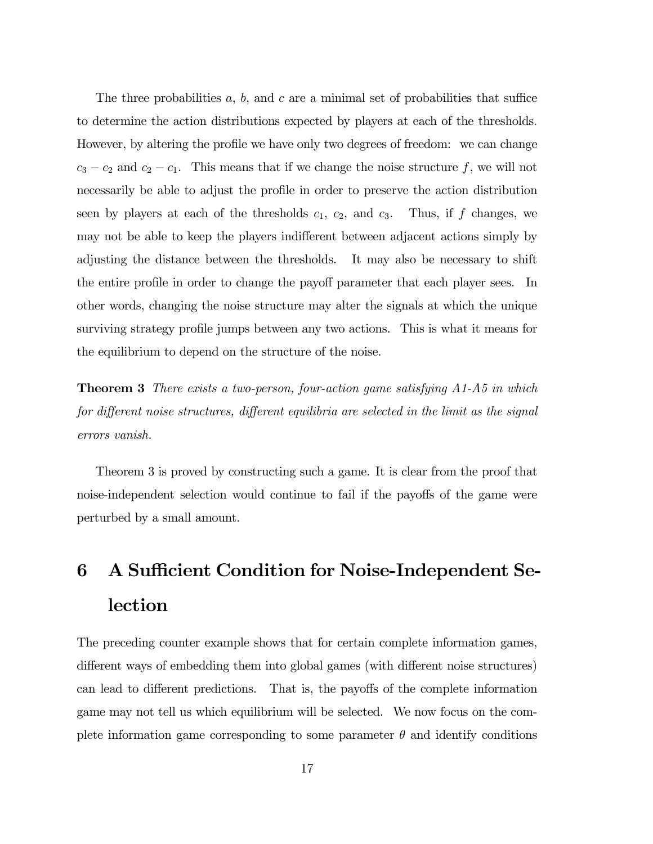The three probabilities a, b, and c are a minimal set of probabilities that suffice to determine the action distributions expected by players at each of the thresholds. However, by altering the profile we have only two degrees of freedom: we can change  $c_3 - c_2$  and  $c_2 - c_1$ . This means that if we change the noise structure f, we will not necessarily be able to adjust the profile in order to preserve the action distribution seen by players at each of the thresholds  $c_1$ ,  $c_2$ , and  $c_3$ . Thus, if f changes, we may not be able to keep the players indifferent between adjacent actions simply by adjusting the distance between the thresholds. It may also be necessary to shift the entire profile in order to change the payoff parameter that each player sees. In other words, changing the noise structure may alter the signals at which the unique surviving strategy profile jumps between any two actions. This is what it means for the equilibrium to depend on the structure of the noise.

**Theorem 3** There exists a two-person, four-action game satisfying  $A1-A5$  in which for different noise structures, different equilibria are selected in the limit as the signal errors vanish.

Theorem 3 is proved by constructing such a game. It is clear from the proof that noise-independent selection would continue to fail if the payoffs of the game were perturbed by a small amount.

# 6 A Sufficient Condition for Noise-Independent Selection

The preceding counter example shows that for certain complete information games, different ways of embedding them into global games (with different noise structures) can lead to different predictions. That is, the payoffs of the complete information game may not tell us which equilibrium will be selected. We now focus on the complete information game corresponding to some parameter  $\theta$  and identify conditions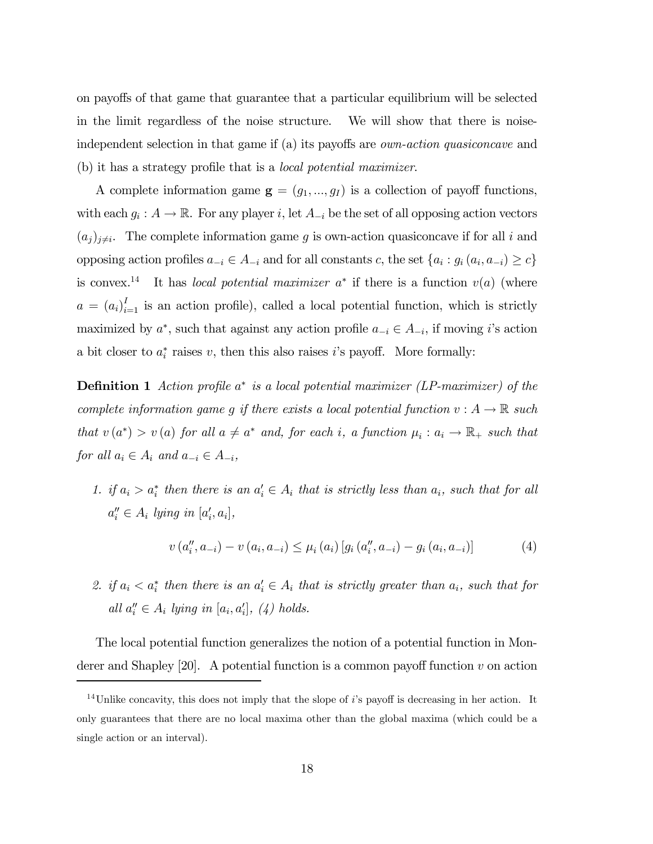on payoffs of that game that guarantee that a particular equilibrium will be selected in the limit regardless of the noise structure. We will show that there is noiseindependent selection in that game if (a) its payoffs are own-action quasiconcave and (b) it has a strategy profile that is a local potential maximizer.

A complete information game  $\mathbf{g} = (g_1, ..., g_I)$  is a collection of payoff functions, with each  $g_i : A \to \mathbb{R}$ . For any player i, let  $A_{-i}$  be the set of all opposing action vectors  $(a_j)_{j\neq i}$ . The complete information game g is own-action quasiconcave if for all i and opposing action profiles  $a_{-i} \in A_{-i}$  and for all constants c, the set  $\{a_i : g_i(a_i, a_{-i}) \ge c\}$ is convex.<sup>14</sup> It has *local potential maximizer*  $a^*$  if there is a function  $v(a)$  (where  $a = (a_i)_{i=1}^I$  is an action profile), called a local potential function, which is strictly maximized by  $a^*$ , such that against any action profile  $a_{-i} \in A_{-i}$ , if moving i's action a bit closer to  $a_i^*$  raises v, then this also raises i's payoff. More formally:

**Definition 1** Action profile  $a^*$  is a local potential maximizer (LP-maximizer) of the complete information game g if there exists a local potential function  $v : A \to \mathbb{R}$  such that  $v(a^*) > v(a)$  for all  $a \neq a^*$  and, for each i, a function  $\mu_i : a_i \to \mathbb{R}_+$  such that for all  $a_i \in A_i$  and  $a_{-i} \in A_{-i}$ ,

1. if  $a_i > a_i^*$  then there is an  $a_i \in A_i$  that is strictly less than  $a_i$ , such that for all  $a''_i \in A_i$  lying in  $[a'_i, a_i]$ ,

$$
v(a''_i, a_{-i}) - v(a_i, a_{-i}) \le \mu_i(a_i) \left[ g_i(a''_i, a_{-i}) - g_i(a_i, a_{-i}) \right]
$$
 (4)

2. if  $a_i < a_i^*$  then there is an  $a_i \in A_i$  that is strictly greater than  $a_i$ , such that for all  $a_i'' \in A_i$  lying in  $[a_i, a_i']$ , (4) holds.

The local potential function generalizes the notion of a potential function in Monderer and Shapley  $[20]$ . A potential function is a common payoff function v on action

<sup>&</sup>lt;sup>14</sup>Unlike concavity, this does not imply that the slope of is payoff is decreasing in her action. It only guarantees that there are no local maxima other than the global maxima (which could be a single action or an interval).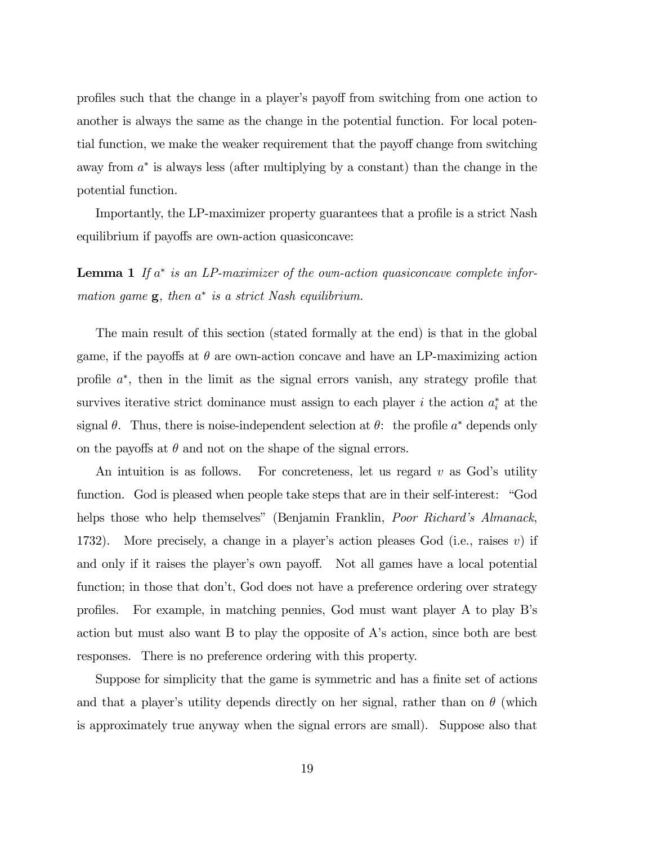profiles such that the change in a playerís payoff from switching from one action to another is always the same as the change in the potential function. For local potential function, we make the weaker requirement that the payoff change from switching away from  $a^*$  is always less (after multiplying by a constant) than the change in the potential function.

Importantly, the LP-maximizer property guarantees that a profile is a strict Nash equilibrium if payoffs are own-action quasiconcave:

**Lemma 1** If  $a^*$  is an LP-maximizer of the own-action quasiconcave complete information game  $\mathbf{g}$ , then  $a^*$  is a strict Nash equilibrium.

The main result of this section (stated formally at the end) is that in the global game, if the payoffs at  $\theta$  are own-action concave and have an LP-maximizing action profile  $a^*$ , then in the limit as the signal errors vanish, any strategy profile that survives iterative strict dominance must assign to each player  $i$  the action  $a_i^*$  at the signal  $\theta$ . Thus, there is noise-independent selection at  $\theta$ : the profile  $a^*$  depends only on the payoffs at  $\theta$  and not on the shape of the signal errors.

An intuition is as follows. For concreteness, let us regard  $v$  as God's utility function. God is pleased when people take steps that are in their self-interest: "God helps those who help themselves" (Benjamin Franklin, *Poor Richard's Almanack*, 1732). More precisely, a change in a player's action pleases God (i.e., raises  $v$ ) if and only if it raises the player's own payoff. Not all games have a local potential function; in those that don't, God does not have a preference ordering over strategy profiles. For example, in matching pennies, God must want player A to play Bís action but must also want B to play the opposite of A's action, since both are best responses. There is no preference ordering with this property.

Suppose for simplicity that the game is symmetric and has a finite set of actions and that a player's utility depends directly on her signal, rather than on  $\theta$  (which is approximately true anyway when the signal errors are small). Suppose also that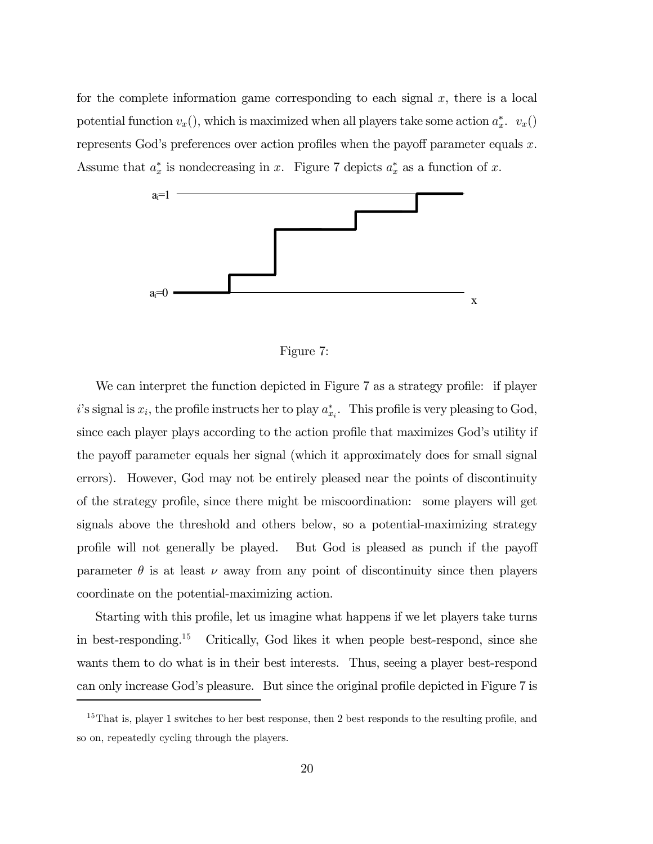for the complete information game corresponding to each signal  $x$ , there is a local potential function  $v_x()$ , which is maximized when all players take some action  $a_x^*$ .  $v_x()$ represents God's preferences over action profiles when the payoff parameter equals  $x$ . Assume that  $a_x^*$  is nondecreasing in x. Figure 7 depicts  $a_x^*$  as a function of x.



Figure 7:

We can interpret the function depicted in Figure 7 as a strategy profile: if player i's signal is  $x_i$ , the profile instructs her to play  $a_{x_i}^*$ . This profile is very pleasing to God, since each player plays according to the action profile that maximizes God's utility if the payoff parameter equals her signal (which it approximately does for small signal errors). However, God may not be entirely pleased near the points of discontinuity of the strategy profile, since there might be miscoordination: some players will get signals above the threshold and others below, so a potential-maximizing strategy profile will not generally be played. But God is pleased as punch if the payoff parameter  $\theta$  is at least  $\nu$  away from any point of discontinuity since then players coordinate on the potential-maximizing action.

Starting with this profile, let us imagine what happens if we let players take turns in best-responding.15 Critically, God likes it when people best-respond, since she wants them to do what is in their best interests. Thus, seeing a player best-respond can only increase God's pleasure. But since the original profile depicted in Figure 7 is

 $15$ That is, player 1 switches to her best response, then 2 best responds to the resulting profile, and so on, repeatedly cycling through the players.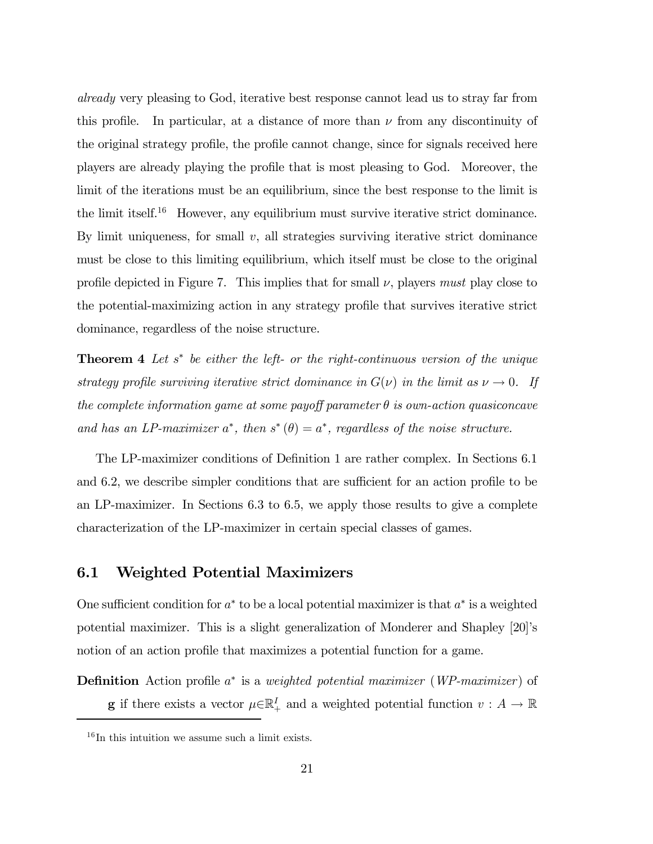already very pleasing to God, iterative best response cannot lead us to stray far from this profile. In particular, at a distance of more than  $\nu$  from any discontinuity of the original strategy profile, the profile cannot change, since for signals received here players are already playing the profile that is most pleasing to God. Moreover, the limit of the iterations must be an equilibrium, since the best response to the limit is the limit itself.<sup>16</sup> However, any equilibrium must survive iterative strict dominance. By limit uniqueness, for small  $v$ , all strategies surviving iterative strict dominance must be close to this limiting equilibrium, which itself must be close to the original profile depicted in Figure 7. This implies that for small  $\nu$ , players must play close to the potential-maximizing action in any strategy profile that survives iterative strict dominance, regardless of the noise structure.

**Theorem 4** Let  $s^*$  be either the left- or the right-continuous version of the unique strategy profile surviving iterative strict dominance in  $G(\nu)$  in the limit as  $\nu \to 0$ . If the complete information game at some payoff parameter  $\theta$  is own-action quasiconcave and has an LP-maximizer  $a^*$ , then  $s^*(\theta) = a^*$ , regardless of the noise structure.

The LP-maximizer conditions of Definition 1 are rather complex. In Sections 6.1 and 6.2, we describe simpler conditions that are sufficient for an action profile to be an LP-maximizer. In Sections 6.3 to 6.5, we apply those results to give a complete characterization of the LP-maximizer in certain special classes of games.

#### 6.1 Weighted Potential Maximizers

One sufficient condition for  $a^*$  to be a local potential maximizer is that  $a^*$  is a weighted potential maximizer. This is a slight generalization of Monderer and Shapley [20]ís notion of an action profile that maximizes a potential function for a game.

Definition Action profile a<sup>∗</sup> is a *weighted potential maximizer* (*WP-maximizer*) of **g** if there exists a vector  $\mu \in \mathbb{R}_+^I$  and a weighted potential function  $v : A \to \mathbb{R}$ 

 $16$  In this intuition we assume such a limit exists.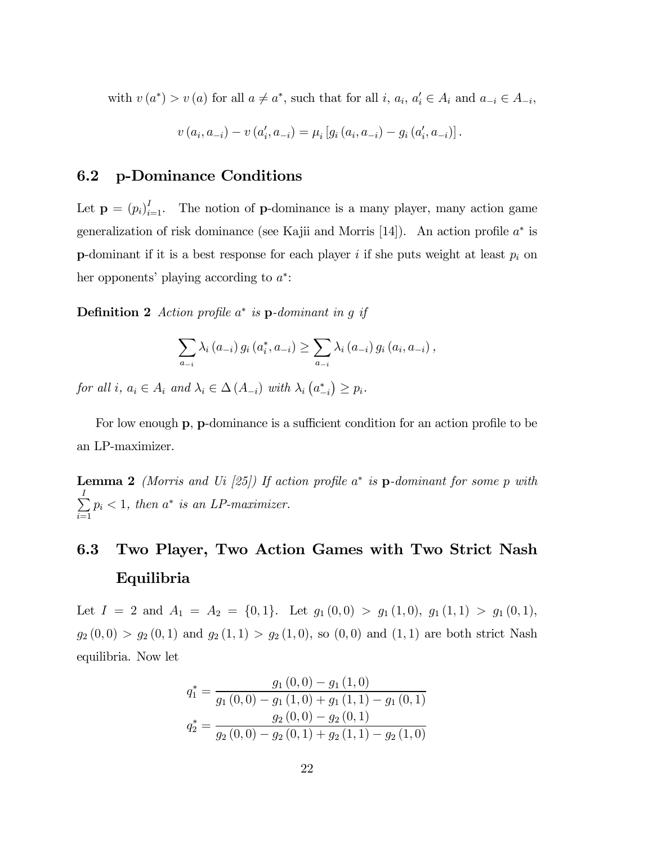with  $v(a^*) > v(a)$  for all  $a \neq a^*$ , such that for all  $i, a_i, a'_i \in A_i$  and  $a_{-i} \in A_{-i}$ ,

$$
v(a_i, a_{-i}) - v(a'_i, a_{-i}) = \mu_i [g_i(a_i, a_{-i}) - g_i(a'_i, a_{-i})].
$$

#### 6.2 p-Dominance Conditions

Let  $\mathbf{p} = (p_i)_{i=1}^I$ . The notion of **p**-dominance is a many player, many action game generalization of risk dominance (see Kajii and Morris [14]). An action profile  $a^*$  is **p**-dominant if it is a best response for each player i if she puts weight at least  $p_i$  on her opponents' playing according to  $a^*$ :

**Definition 2** Action profile  $a^*$  is p-dominant in g if

$$
\sum_{a_{-i}} \lambda_i (a_{-i}) g_i (a_i^*, a_{-i}) \ge \sum_{a_{-i}} \lambda_i (a_{-i}) g_i (a_i, a_{-i}),
$$

for all i,  $a_i \in A_i$  and  $\lambda_i \in \Delta(A_{-i})$  with  $\lambda_i (a_{-i}^*) \ge p_i$ .

For low enough p, p-dominance is a sufficient condition for an action profile to be an LP-maximizer.

**Lemma 2** (Morris and Ui [25]) If action profile  $a^*$  is p-dominant for some p with  $\sum$  $i=1$  $p_i < 1$ , then  $a^*$  is an LP-maximizer.

# 6.3 Two Player, Two Action Games with Two Strict Nash Equilibria

Let  $I = 2$  and  $A_1 = A_2 = \{0, 1\}$ . Let  $g_1(0, 0) > g_1(1, 0)$ ,  $g_1(1, 1) > g_1(0, 1)$ ,  $g_2(0,0) > g_2(0,1)$  and  $g_2(1,1) > g_2(1,0)$ , so  $(0,0)$  and  $(1,1)$  are both strict Nash equilibria. Now let

$$
q_1^* = \frac{g_1(0,0) - g_1(1,0)}{g_1(0,0) - g_1(1,0) + g_1(1,1) - g_1(0,1)}
$$
  

$$
q_2^* = \frac{g_2(0,0) - g_2(0,1)}{g_2(0,0) - g_2(0,1) + g_2(1,1) - g_2(1,0)}
$$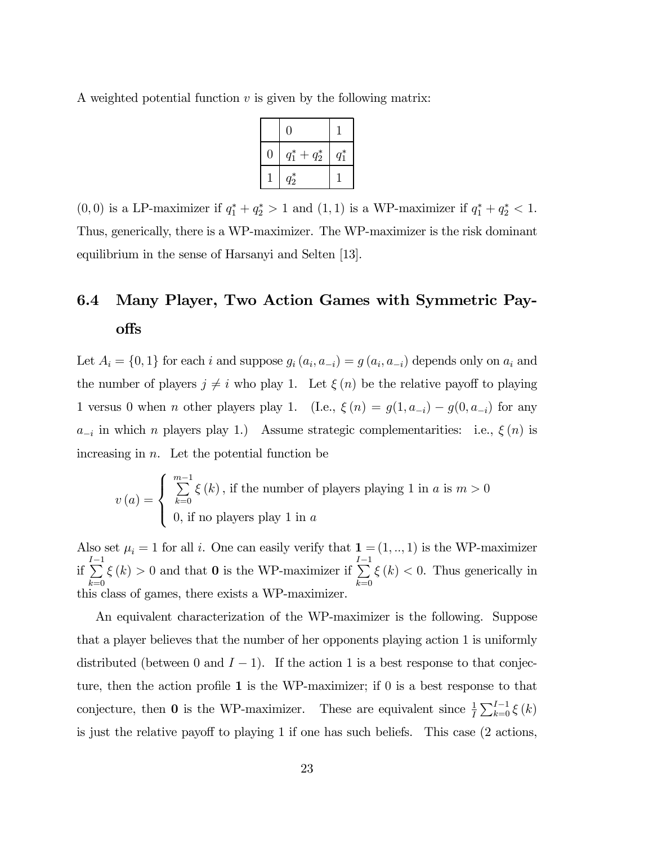A weighted potential function  $v$  is given by the following matrix:

|   | $\left( \right)$     |         |
|---|----------------------|---------|
| 0 | $q_1^*$<br>$+ q_2^*$ | $q_1^*$ |
|   | $q_2^*$              |         |

(0,0) is a LP-maximizer if  $q_1^* + q_2^* > 1$  and  $(1,1)$  is a WP-maximizer if  $q_1^* + q_2^* < 1$ . Thus, generically, there is a WP-maximizer. The WP-maximizer is the risk dominant equilibrium in the sense of Harsanyi and Selten [13].

# 6.4 Many Player, Two Action Games with Symmetric Payoffs

Let  $A_i = \{0, 1\}$  for each i and suppose  $g_i(a_i, a_{-i}) = g(a_i, a_{-i})$  depends only on  $a_i$  and the number of players  $j \neq i$  who play 1. Let  $\xi(n)$  be the relative payoff to playing 1 versus 0 when *n* other players play 1. (I.e.,  $\xi(n) = g(1, a_{-i}) - g(0, a_{-i})$  for any  $a_{-i}$  in which n players play 1.) Assume strategic complementarities: i.e.,  $\xi(n)$  is increasing in  $n$ . Let the potential function be

$$
v(a) = \begin{cases} \sum_{k=0}^{m-1} \xi(k), & \text{if the number of players playing 1 in } a \text{ is } m > 0\\ 0, & \text{if no players play 1 in } a \end{cases}
$$

Also set  $\mu_i = 1$  for all i. One can easily verify that  $\mathbf{1} = (1, ..., 1)$  is the WP-maximizer if  $\sum_{i=1}^{I-1}$  $_{k=0}$  $\xi(k) > 0$  and that **0** is the WP-maximizer if  $\sum_{i=1}^{I-1}$  $_{k=0}$  $\xi(k)$  < 0. Thus generically in this class of games, there exists a WP-maximizer.

An equivalent characterization of the WP-maximizer is the following. Suppose that a player believes that the number of her opponents playing action 1 is uniformly distributed (between 0 and  $I - 1$ ). If the action 1 is a best response to that conjecture, then the action profile 1 is the WP-maximizer; if 0 is a best response to that conjecture, then **0** is the WP-maximizer. These are equivalent since  $\frac{1}{I} \sum_{k=0}^{I-1} \xi(k)$ is just the relative payoff to playing 1 if one has such beliefs. This case (2 actions,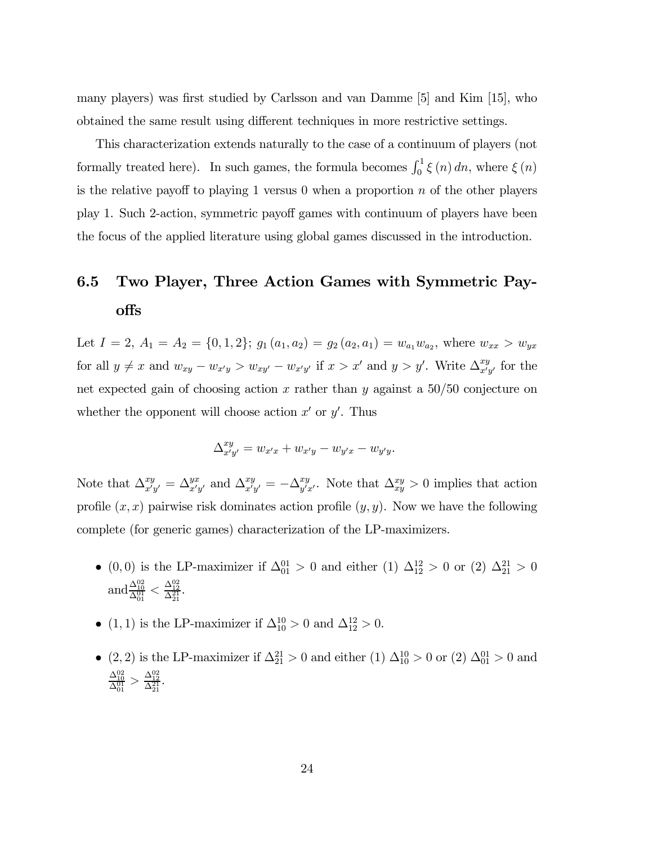many players) was first studied by Carlsson and van Damme [5] and Kim [15], who obtained the same result using different techniques in more restrictive settings.

This characterization extends naturally to the case of a continuum of players (not formally treated here). In such games, the formula becomes  $\int_0^1 \xi(n) dn$ , where  $\xi(n)$ is the relative payoff to playing 1 versus 0 when a proportion  $n$  of the other players play 1. Such 2-action, symmetric payoff games with continuum of players have been the focus of the applied literature using global games discussed in the introduction.

# 6.5 Two Player, Three Action Games with Symmetric Payoffs

Let  $I = 2$ ,  $A_1 = A_2 = \{0, 1, 2\}$ ;  $g_1(a_1, a_2) = g_2(a_2, a_1) = w_{a_1}w_{a_2}$ , where  $w_{xx} > w_{yx}$ for all  $y \neq x$  and  $w_{xy} - w_{x'y} > w_{xy'} - w_{x'y'}$  if  $x > x'$  and  $y > y'$ . Write  $\Delta_{x'y'}^{xy}$  for the net expected gain of choosing action x rather than y against a  $50/50$  conjecture on whether the opponent will choose action  $x'$  or  $y'$ . Thus

$$
\Delta_{x'y'}^{xy} = w_{x'x} + w_{x'y} - w_{y'x} - w_{y'y}.
$$

Note that  $\Delta_{x'y'}^{xy} = \Delta_{x'y'}^{yx}$  and  $\Delta_{x'y'}^{xy} = -\Delta_{y'x'}^{xy}$ . Note that  $\Delta_{xy}^{xy} > 0$  implies that action profile  $(x, x)$  pairwise risk dominates action profile  $(y, y)$ . Now we have the following complete (for generic games) characterization of the LP-maximizers.

- (0, 0) is the LP-maximizer if  $\Delta_{01}^{01} > 0$  and either (1)  $\Delta_{12}^{12} > 0$  or (2)  $\Delta_{21}^{21} > 0$ and  $\frac{\Delta_{10}^{02}}{\Delta_{01}^{01}} < \frac{\Delta_{12}^{02}}{\Delta_{21}^{21}}$ .
- (1, 1) is the LP-maximizer if  $\Delta_{10}^{10} > 0$  and  $\Delta_{12}^{12} > 0$ .
- (2, 2) is the LP-maximizer if  $\Delta_{21}^{21} > 0$  and either (1)  $\Delta_{10}^{10} > 0$  or (2)  $\Delta_{01}^{01} > 0$  and  $\frac{\Delta^{02}_{10}}{\Delta^{01}_{01}} > \frac{\Delta^{02}_{12}}{\Delta^{21}_{21}}$ .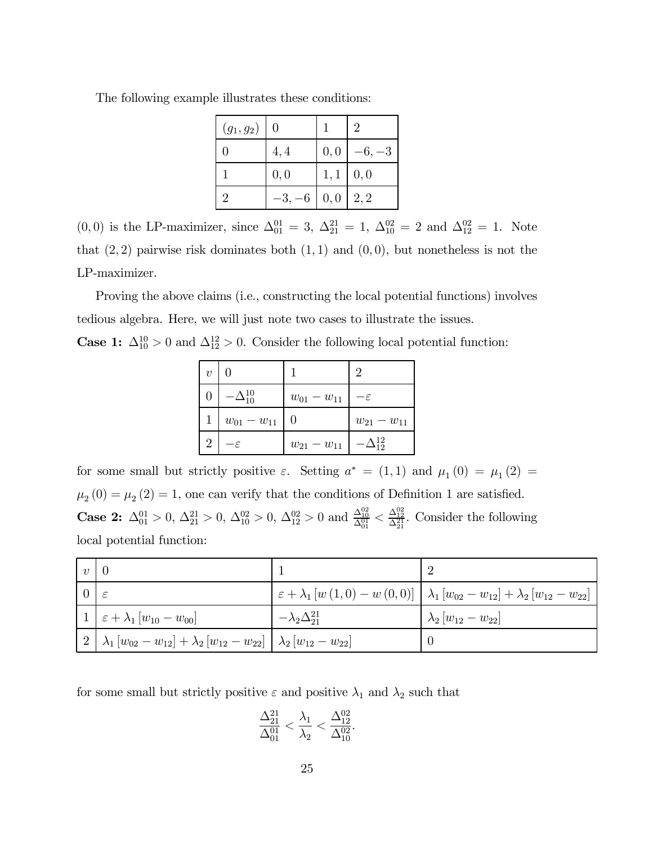|  |  |  |  |  | The following example illustrates these conditions: |
|--|--|--|--|--|-----------------------------------------------------|
|--|--|--|--|--|-----------------------------------------------------|

| $(g_1, g_2)$   | 0        |      | $\mathcal{D}$ |
|----------------|----------|------|---------------|
|                | 4,4      | 0, 0 | $-6, -3$      |
|                | 0, 0     | 1,1  | 0, 0          |
| $\overline{2}$ | $-3, -6$ | 0,0  | 2, 2          |

 $(0,0)$  is the LP-maximizer, since  $\Delta_{01}^{01} = 3$ ,  $\Delta_{21}^{21} = 1$ ,  $\Delta_{10}^{02} = 2$  and  $\Delta_{12}^{02} = 1$ . Note that  $(2, 2)$  pairwise risk dominates both  $(1, 1)$  and  $(0, 0)$ , but nonetheless is not the LP-maximizer.

Proving the above claims (i.e., constructing the local potential functions) involves tedious algebra. Here, we will just note two cases to illustrate the issues.

**Case 1:**  $\Delta_{10}^{10} > 0$  and  $\Delta_{12}^{12} > 0$ . Consider the following local potential function:

| $\boldsymbol{v}$ |                     |                   | $\mathcal{D}_{\mathcal{L}}$ |
|------------------|---------------------|-------------------|-----------------------------|
|                  | $-\Delta_{10}^{10}$ | $w_{01} - w_{11}$ | $-\varepsilon$              |
|                  | $w_{01} - w_{11}$   |                   | $w_{21} - w_{11}$           |
| $\overline{2}$   | -ε                  | $w_{21} - w_{11}$ | -12<br>$-\Delta$            |

for some small but strictly positive  $\varepsilon$ . Setting  $a^* = (1,1)$  and  $\mu_1(0) = \mu_1(2) =$  $\mu_2(0) = \mu_2(2) = 1$ , one can verify that the conditions of Definition 1 are satisfied. **Case 2:**  $\Delta_{01}^{01} > 0$ ,  $\Delta_{21}^{21} > 0$ ,  $\Delta_{10}^{02} > 0$ ,  $\Delta_{12}^{02} > 0$  and  $\frac{\Delta_{10}^{02}}{\Delta_{01}^{01}} < \frac{\Delta_{12}^{02}}{\Delta_{21}^{21}}$ . Consider the following local potential function:

| $\upsilon$ |                                                                                                                                                           |                              |                                                                                                                                                   |
|------------|-----------------------------------------------------------------------------------------------------------------------------------------------------------|------------------------------|---------------------------------------------------------------------------------------------------------------------------------------------------|
|            |                                                                                                                                                           |                              | $\varepsilon + \lambda_1 \left[ w(1,0) - w(0,0) \right] \mid \lambda_1 \left[ w_{02} - w_{12} \right] + \lambda_2 \left[ w_{12} - w_{22} \right]$ |
|            | $1\mid \varepsilon+\lambda_1\left[w_{10}-w_{00}\right]$                                                                                                   | $-\lambda_2\Delta_{21}^{21}$ | $\lambda_2 \left[w_{12} - w_{22}\right]$                                                                                                          |
|            | $\frac{1}{2} \left[ \lambda_1 \left[ w_{02} - w_{12} \right] + \lambda_2 \left[ w_{12} - w_{22} \right] \right] \lambda_2 \left[ w_{12} - w_{22} \right]$ |                              |                                                                                                                                                   |

for some small but strictly positive  $\varepsilon$  and positive  $\lambda_1$  and  $\lambda_2$  such that

$$
\frac{\Delta_{21}^{21}}{\Delta_{01}^{01}} < \frac{\lambda_1}{\lambda_2} < \frac{\Delta_{12}^{02}}{\Delta_{10}^{02}}.
$$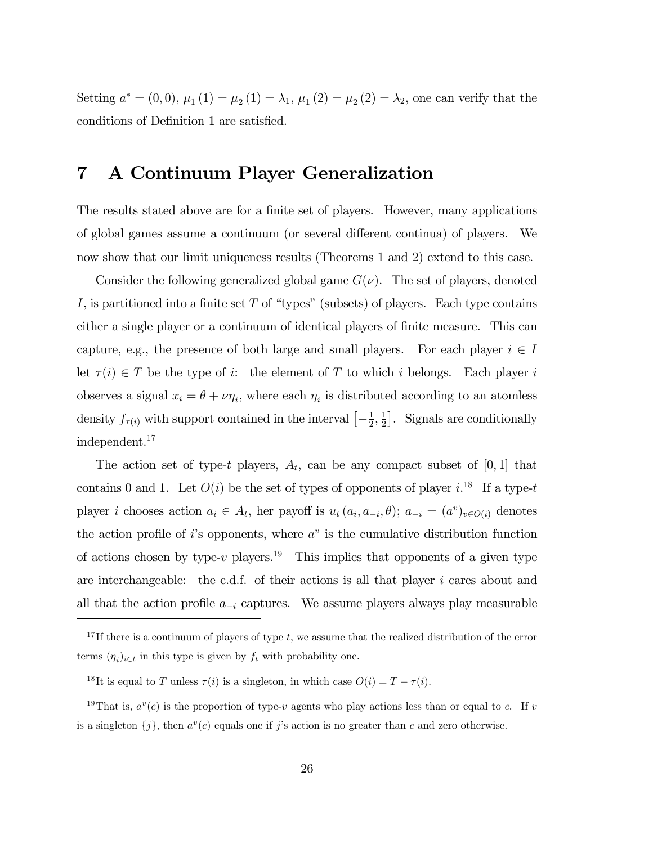Setting  $a^* = (0, 0), \mu_1(1) = \mu_2(1) = \lambda_1, \mu_1(2) = \mu_2(2) = \lambda_2$ , one can verify that the conditions of Definition 1 are satisfied.

# 7 A Continuum Player Generalization

The results stated above are for a finite set of players. However, many applications of global games assume a continuum (or several different continua) of players. We now show that our limit uniqueness results (Theorems 1 and 2) extend to this case.

Consider the following generalized global game  $G(\nu)$ . The set of players, denoted I, is partitioned into a finite set  $T$  of "types" (subsets) of players. Each type contains either a single player or a continuum of identical players of finite measure. This can capture, e.g., the presence of both large and small players. For each player  $i \in I$ let  $\tau(i) \in T$  be the type of i: the element of T to which i belongs. Each player i observes a signal  $x_i = \theta + \nu \eta_i$ , where each  $\eta_i$  is distributed according to an atomless density  $f_{\tau(i)}$  with support contained in the interval  $\left[-\frac{1}{2},\frac{1}{2}\right]$ . Signals are conditionally independent.17

The action set of type-t players,  $A_t$ , can be any compact subset of [0, 1] that contains 0 and 1. Let  $O(i)$  be the set of types of opponents of player i.<sup>18</sup> If a type-t player i chooses action  $a_i \in A_t$ , her payoff is  $u_t(a_i, a_{-i}, \theta)$ ;  $a_{-i} = (a^v)_{v \in O(i)}$  denotes the action profile of is opponents, where  $a^v$  is the cumulative distribution function of actions chosen by type-v players.<sup>19</sup> This implies that opponents of a given type are interchangeable: the c.d.f. of their actions is all that player i cares about and all that the action profile  $a_{-i}$  captures. We assume players always play measurable

<sup>&</sup>lt;sup>17</sup>If there is a continuum of players of type t, we assume that the realized distribution of the error terms  $(\eta_i)_{i \in t}$  in this type is given by  $f_t$  with probability one.

<sup>&</sup>lt;sup>18</sup>It is equal to T unless  $\tau(i)$  is a singleton, in which case  $O(i) = T - \tau(i)$ .

<sup>&</sup>lt;sup>19</sup>That is,  $a^v(c)$  is the proportion of type-v agents who play actions less than or equal to c. If v is a singleton  $\{j\}$ , then  $a^v(c)$  equals one if j's action is no greater than c and zero otherwise.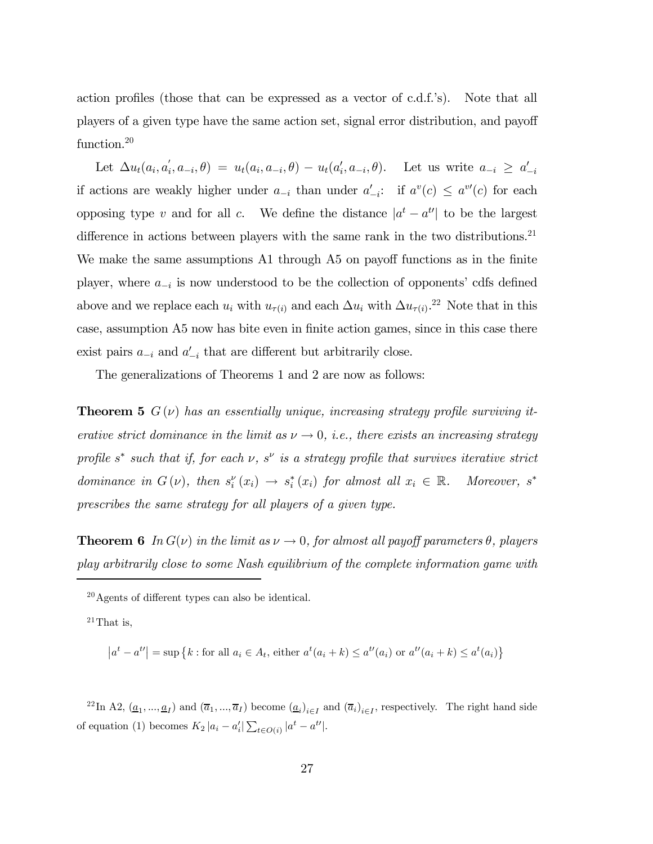action profiles (those that can be expressed as a vector of c.d.f.'s). Note that all players of a given type have the same action set, signal error distribution, and payoff function.<sup>20</sup>

Let  $\Delta u_t(a_i, a_i, a_{-i}, \theta) = u_t(a_i, a_{-i}, \theta) - u_t(a_i, a_{-i}, \theta)$ . Let us write  $a_{-i} \ge a_{-i}'$ if actions are weakly higher under  $a_{-i}$  than under  $a'_{-i}$ : if  $a^v(c) \le a^{v'}(c)$  for each opposing type v and for all c. We define the distance  $|a^t - a^{t\prime}|$  to be the largest difference in actions between players with the same rank in the two distributions.<sup>21</sup> We make the same assumptions A1 through A5 on payoff functions as in the finite player, where  $a_{-i}$  is now understood to be the collection of opponents' cdfs defined above and we replace each  $u_i$  with  $u_{\tau(i)}$  and each  $\Delta u_i$  with  $\Delta u_{\tau(i)}$ .<sup>22</sup> Note that in this case, assumption A5 now has bite even in finite action games, since in this case there exist pairs  $a_{-i}$  and  $a'_{-i}$  that are different but arbitrarily close.

The generalizations of Theorems 1 and 2 are now as follows:

**Theorem 5**  $G(\nu)$  has an essentially unique, increasing strategy profile surviving iterative strict dominance in the limit as  $\nu \to 0$ , i.e., there exists an increasing strategy profile s<sup>\*</sup> such that if, for each  $\nu$ , s<sup> $\nu$ </sup> is a strategy profile that survives iterative strict dominance in  $G(v)$ , then  $s_i^{\nu}(x_i) \to s_i^*(x_i)$  for almost all  $x_i \in \mathbb{R}$ . Moreover,  $s^*$ prescribes the same strategy for all players of a given type.

**Theorem 6** In  $G(\nu)$  in the limit as  $\nu \to 0$ , for almost all payoff parameters  $\theta$ , players play arbitrarily close to some Nash equilibrium of the complete information game with

 $^{21}$ That is,

$$
\left| a^t - a^{t'} \right| = \sup \left\{ k : \text{for all } a_i \in A_t, \text{ either } a^t(a_i + k) \le a^{t'}(a_i) \text{ or } a^{t'}(a_i + k) \le a^t(a_i) \right\}
$$

<sup>22</sup>In A2,  $(\underline{a}_1, ..., \underline{a}_I)$  and  $(\overline{a}_1, ..., \overline{a}_I)$  become  $(\underline{a}_i)_{i \in I}$  and  $(\overline{a}_i)_{i \in I}$ , respectively. The right hand side of equation (1) becomes  $K_2 |a_i - a'_i| \sum_{t \in O(i)} |a^t - a^{t'}|$ .

 $^{20}$ Agents of different types can also be identical.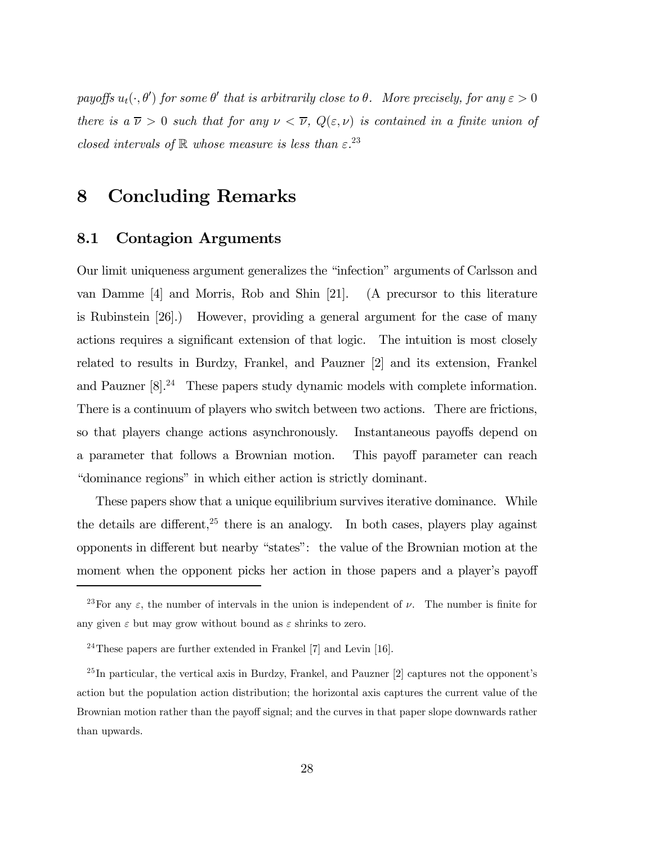payoffs  $u_t(\cdot, \theta')$  for some  $\theta'$  that is arbitrarily close to  $\theta$ . More precisely, for any  $\varepsilon > 0$ there is a  $\overline{\nu} > 0$  such that for any  $\nu < \overline{\nu}$ ,  $Q(\varepsilon, \nu)$  is contained in a finite union of closed intervals of  $\mathbb R$  whose measure is less than  $\varepsilon^{23}$ 

## 8 Concluding Remarks

#### 8.1 Contagion Arguments

Our limit uniqueness argument generalizes the "infection" arguments of Carlsson and van Damme [4] and Morris, Rob and Shin [21]. (A precursor to this literature is Rubinstein [26].) However, providing a general argument for the case of many actions requires a significant extension of that logic. The intuition is most closely related to results in Burdzy, Frankel, and Pauzner [2] and its extension, Frankel and Pauzner [8].<sup>24</sup> These papers study dynamic models with complete information. There is a continuum of players who switch between two actions. There are frictions, so that players change actions asynchronously. Instantaneous payoffs depend on a parameter that follows a Brownian motion. This payoff parameter can reach ìdominance regionsî in which either action is strictly dominant.

These papers show that a unique equilibrium survives iterative dominance. While the details are different,  $25$  there is an analogy. In both cases, players play against opponents in different but nearby "states": the value of the Brownian motion at the moment when the opponent picks her action in those papers and a player's payoff

<sup>&</sup>lt;sup>23</sup>For any  $\varepsilon$ , the number of intervals in the union is independent of  $\nu$ . The number is finite for any given  $\varepsilon$  but may grow without bound as  $\varepsilon$  shrinks to zero.

 $^{24}$ These papers are further extended in Frankel [7] and Levin [16].

 $^{25}$ In particular, the vertical axis in Burdzy, Frankel, and Pauzner [2] captures not the opponent's action but the population action distribution; the horizontal axis captures the current value of the Brownian motion rather than the payoff signal; and the curves in that paper slope downwards rather than upwards.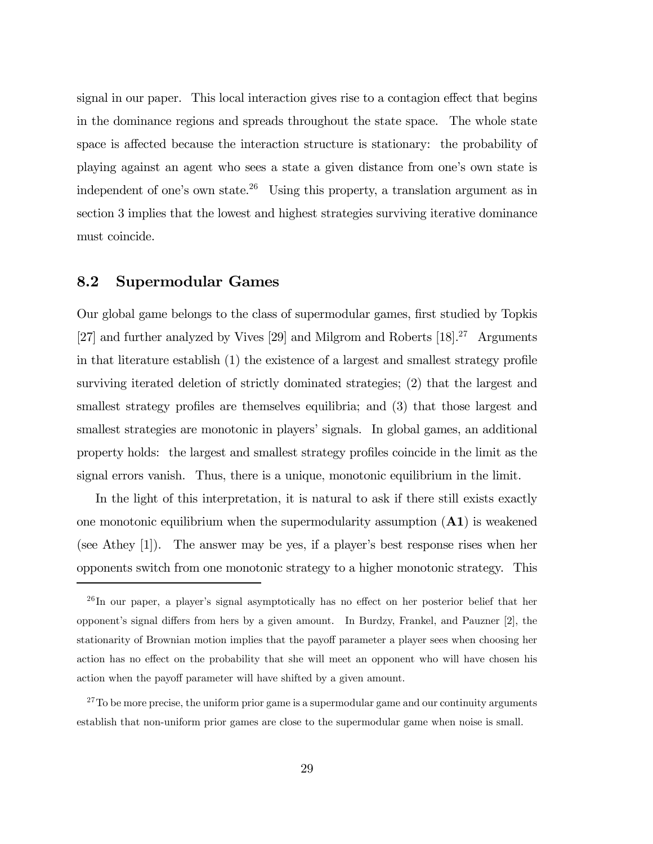signal in our paper. This local interaction gives rise to a contagion effect that begins in the dominance regions and spreads throughout the state space. The whole state space is affected because the interaction structure is stationary: the probability of playing against an agent who sees a state a given distance from one's own state is independent of one's own state.<sup>26</sup> Using this property, a translation argument as in section 3 implies that the lowest and highest strategies surviving iterative dominance must coincide.

#### 8.2 Supermodular Games

Our global game belongs to the class of supermodular games, first studied by Topkis [27] and further analyzed by Vives [29] and Milgrom and Roberts [18].<sup>27</sup> Arguments in that literature establish (1) the existence of a largest and smallest strategy profile surviving iterated deletion of strictly dominated strategies; (2) that the largest and smallest strategy profiles are themselves equilibria; and (3) that those largest and smallest strategies are monotonic in players' signals. In global games, an additional property holds: the largest and smallest strategy profiles coincide in the limit as the signal errors vanish. Thus, there is a unique, monotonic equilibrium in the limit.

In the light of this interpretation, it is natural to ask if there still exists exactly one monotonic equilibrium when the supermodularity assumption  $(A1)$  is weakened (see Athey  $[1]$ ). The answer may be yes, if a player's best response rises when her opponents switch from one monotonic strategy to a higher monotonic strategy. This

 $^{26}$ In our paper, a player's signal asymptotically has no effect on her posterior belief that her opponentís signal differs from hers by a given amount. In Burdzy, Frankel, and Pauzner [2], the stationarity of Brownian motion implies that the payoff parameter a player sees when choosing her action has no effect on the probability that she will meet an opponent who will have chosen his action when the payoff parameter will have shifted by a given amount.

 $27$ To be more precise, the uniform prior game is a supermodular game and our continuity arguments establish that non-uniform prior games are close to the supermodular game when noise is small.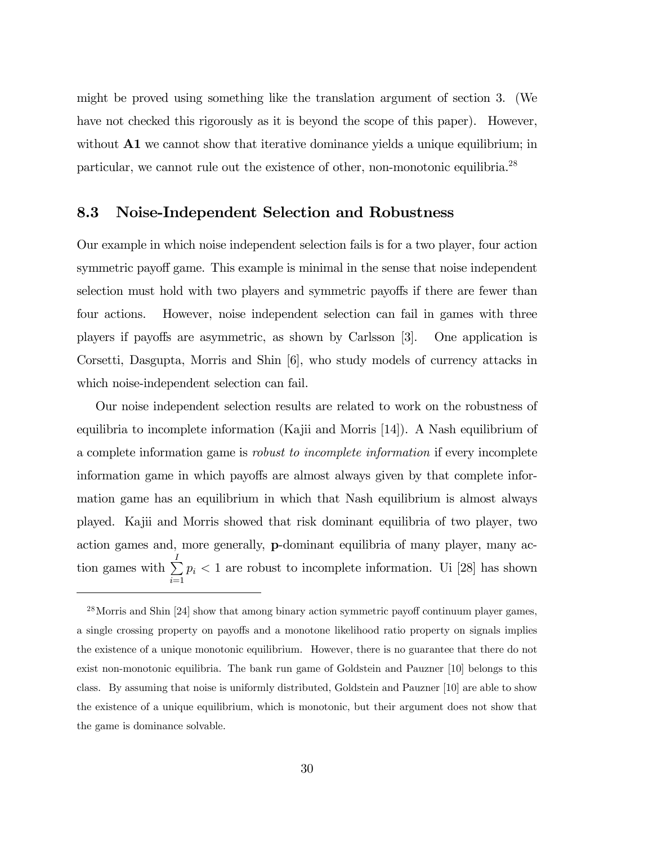might be proved using something like the translation argument of section 3. (We have not checked this rigorously as it is beyond the scope of this paper). However, without  $\mathbf{A1}$  we cannot show that iterative dominance yields a unique equilibrium; in particular, we cannot rule out the existence of other, non-monotonic equilibria.28

#### 8.3 Noise-Independent Selection and Robustness

Our example in which noise independent selection fails is for a two player, four action symmetric payoff game. This example is minimal in the sense that noise independent selection must hold with two players and symmetric payoffs if there are fewer than four actions. However, noise independent selection can fail in games with three players if payoffs are asymmetric, as shown by Carlsson [3]. One application is Corsetti, Dasgupta, Morris and Shin [6], who study models of currency attacks in which noise-independent selection can fail.

Our noise independent selection results are related to work on the robustness of equilibria to incomplete information (Kajii and Morris [14]). A Nash equilibrium of a complete information game is robust to incomplete information if every incomplete information game in which payoffs are almost always given by that complete information game has an equilibrium in which that Nash equilibrium is almost always played. Kajii and Morris showed that risk dominant equilibria of two player, two action games and, more generally, p-dominant equilibria of many player, many action games with  $\sum_{i=1}^{I}$  $i=1$  $p_i < 1$  are robust to incomplete information. Ui [28] has shown

 $^{28}$ Morris and Shin [24] show that among binary action symmetric payoff continuum player games, a single crossing property on payoffs and a monotone likelihood ratio property on signals implies the existence of a unique monotonic equilibrium. However, there is no guarantee that there do not exist non-monotonic equilibria. The bank run game of Goldstein and Pauzner [10] belongs to this class. By assuming that noise is uniformly distributed, Goldstein and Pauzner [10] are able to show the existence of a unique equilibrium, which is monotonic, but their argument does not show that the game is dominance solvable.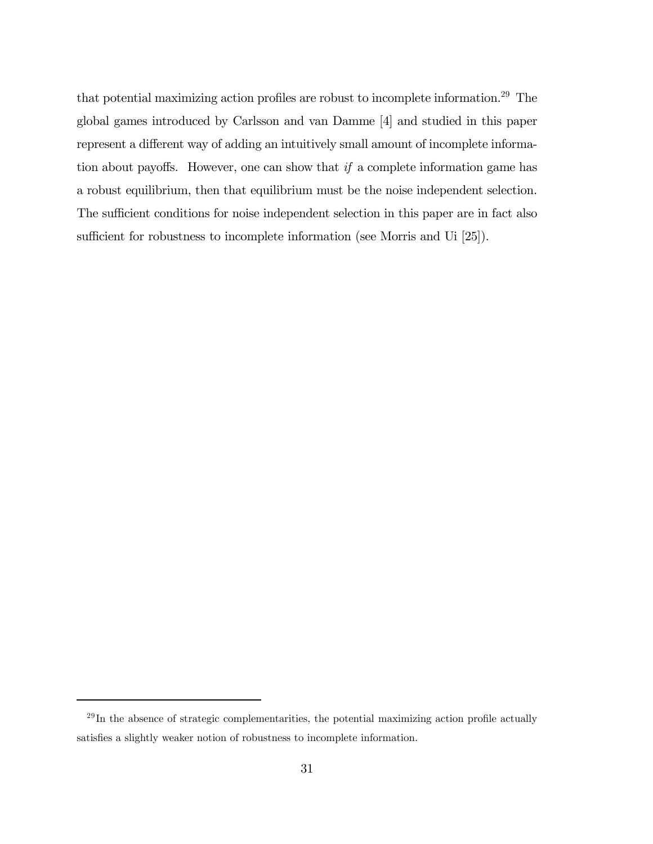that potential maximizing action profiles are robust to incomplete information.29 The global games introduced by Carlsson and van Damme [4] and studied in this paper represent a different way of adding an intuitively small amount of incomplete information about payoffs. However, one can show that if a complete information game has a robust equilibrium, then that equilibrium must be the noise independent selection. The sufficient conditions for noise independent selection in this paper are in fact also sufficient for robustness to incomplete information (see Morris and Ui [25]).

 $^{29}$ In the absence of strategic complementarities, the potential maximizing action profile actually satisfies a slightly weaker notion of robustness to incomplete information.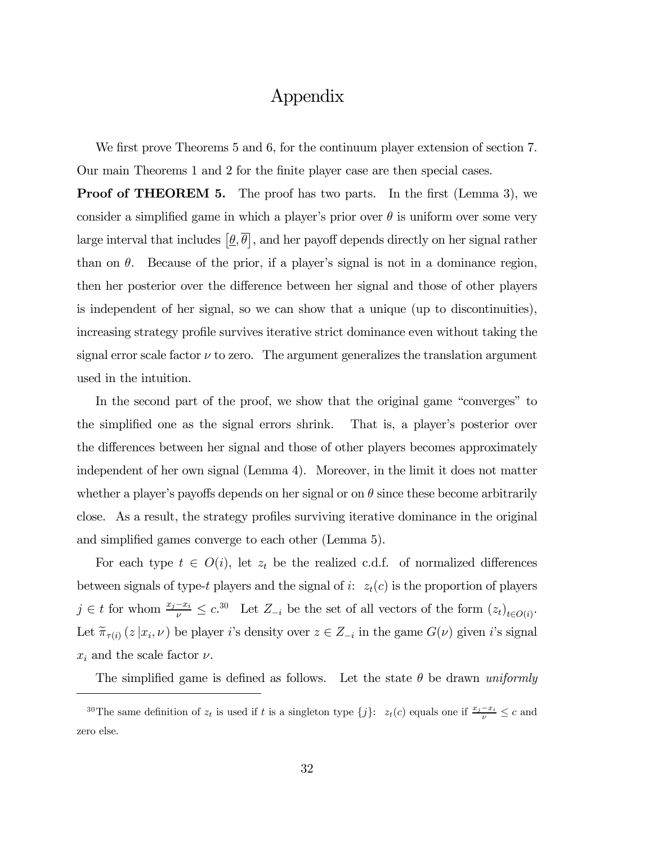### Appendix

We first prove Theorems 5 and 6, for the continuum player extension of section 7. Our main Theorems 1 and 2 for the finite player case are then special cases.

**Proof of THEOREM 5.** The proof has two parts. In the first (Lemma 3), we consider a simplified game in which a player's prior over  $\theta$  is uniform over some very large interval that includes  $[\underline{\theta}, \overline{\theta}]$ , and her payoff depends directly on her signal rather than on  $\theta$ . Because of the prior, if a player's signal is not in a dominance region, then her posterior over the difference between her signal and those of other players is independent of her signal, so we can show that a unique (up to discontinuities), increasing strategy profile survives iterative strict dominance even without taking the signal error scale factor  $\nu$  to zero. The argument generalizes the translation argument used in the intuition.

In the second part of the proof, we show that the original game "converges" to the simplified one as the signal errors shrink. That is, a player's posterior over the differences between her signal and those of other players becomes approximately independent of her own signal (Lemma 4). Moreover, in the limit it does not matter whether a player's payoffs depends on her signal or on  $\theta$  since these become arbitrarily close. As a result, the strategy profiles surviving iterative dominance in the original and simplified games converge to each other (Lemma 5).

For each type  $t \in O(i)$ , let  $z_t$  be the realized c.d.f. of normalized differences between signals of type-t players and the signal of i:  $z_t(c)$  is the proportion of players j ∈ t for whom  $\frac{x_j - x_i}{\nu} \le c^{30}$  Let  $Z_{-i}$  be the set of all vectors of the form  $(z_t)_{t \in O(i)}$ . Let  $\tilde{\pi}_{\tau(i)}(z | x_i, \nu)$  be player i's density over  $z \in Z_{-i}$  in the game  $G(\nu)$  given i's signal  $x_i$  and the scale factor  $\nu$ .

The simplified game is defined as follows. Let the state  $\theta$  be drawn uniformly

<sup>&</sup>lt;sup>30</sup>The same definition of  $z_t$  is used if t is a singleton type  $\{j\}$ :  $z_t(c)$  equals one if  $\frac{x_j - x_i}{\nu} \leq c$  and zero else.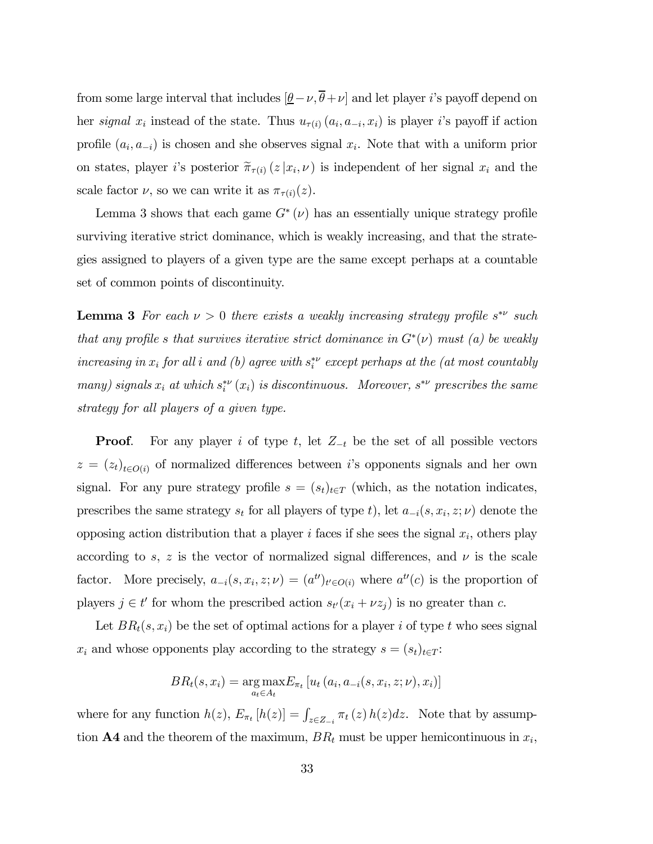from some large interval that includes  $[\underline{\theta}-\nu, \overline{\theta}+\nu]$  and let player *i*'s payoff depend on her signal  $x_i$  instead of the state. Thus  $u_{\tau(i)}(a_i, a_{-i}, x_i)$  is player i's payoff if action profile  $(a_i, a_{-i})$  is chosen and she observes signal  $x_i$ . Note that with a uniform prior on states, player i's posterior  $\tilde{\pi}_{\tau(i)}(z|x_i,\nu)$  is independent of her signal  $x_i$  and the scale factor  $\nu$ , so we can write it as  $\pi_{\tau(i)}(z)$ .

Lemma 3 shows that each game  $G^*(\nu)$  has an essentially unique strategy profile surviving iterative strict dominance, which is weakly increasing, and that the strategies assigned to players of a given type are the same except perhaps at a countable set of common points of discontinuity.

**Lemma 3** For each  $\nu > 0$  there exists a weakly increasing strategy profile  $s^*$  such that any profile s that survives iterative strict dominance in  $G^*(\nu)$  must (a) be weakly increasing in  $x_i$  for all i and (b) agree with  $s_i^*$  except perhaps at the (at most countably many) signals  $x_i$  at which  $s_i^{*\nu}(x_i)$  is discontinuous. Moreover,  $s^{*\nu}$  prescribes the same strategy for all players of a given type.

**Proof.** For any player i of type t, let  $Z_{-t}$  be the set of all possible vectors  $z = (z_t)_{t \in O(i)}$  of normalized differences between is opponents signals and her own signal. For any pure strategy profile  $s = (s_t)_{t \in T}$  (which, as the notation indicates, prescribes the same strategy  $s_t$  for all players of type t), let  $a_{-i}(s, x_i, z; \nu)$  denote the opposing action distribution that a player i faces if she sees the signal  $x_i$ , others play according to s, z is the vector of normalized signal differences, and  $\nu$  is the scale factor. More precisely,  $a_{-i}(s, x_i, z; \nu) = (a^{t\prime})_{t\prime \in O(i)}$  where  $a^{t\prime}(c)$  is the proportion of players  $j \in t'$  for whom the prescribed action  $s_{t'}(x_i + \nu z_j)$  is no greater than c.

Let  $BR_t(s, x_i)$  be the set of optimal actions for a player i of type t who sees signal  $x_i$  and whose opponents play according to the strategy  $s = (s_t)_{t \in T}$ :

$$
BR_t(s, x_i) = \underset{a_t \in A_t}{\arg \max} E_{\pi_t} \left[ u_t \left( a_i, a_{-i}(s, x_i, z; \nu), x_i \right) \right]
$$

where for any function  $h(z)$ ,  $E_{\pi_t}[h(z)] = \int_{z \in Z_{-i}} \pi_t(z) h(z) dz$ . Note that by assumption **A4** and the theorem of the maximum,  $BR_t$  must be upper hemicontinuous in  $x_i$ ,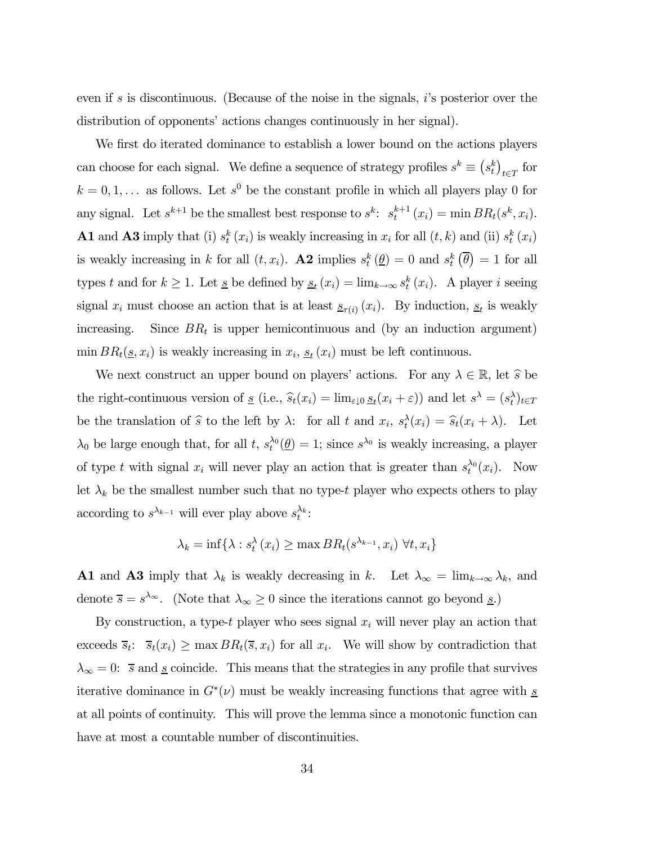even if s is discontinuous. (Because of the noise in the signals,  $i$ 's posterior over the distribution of opponents' actions changes continuously in her signal).

We first do iterated dominance to establish a lower bound on the actions players can choose for each signal. We define a sequence of strategy profiles  $s^k \equiv (s_t^k)_{t \in T}$  for  $k = 0, 1, \ldots$  as follows. Let  $s^0$  be the constant profile in which all players play 0 for any signal. Let  $s^{k+1}$  be the smallest best response to  $s^k$ :  $s_t^{k+1}(x_i) = \min BR_t(s^k, x_i)$ . **A1** and **A3** imply that (i)  $s_t^k(x_i)$  is weakly increasing in  $x_i$  for all  $(t, k)$  and (ii)  $s_t^k(x_i)$ is weakly increasing in k for all  $(t, x_i)$ . **A2** implies  $s_t^k(\underline{\theta})=0$  and  $s_t^k(\overline{\theta})=1$  for all types t and for  $k \geq 1$ . Let <u>s</u> be defined by  $\underline{s}_t(x_i) = \lim_{k \to \infty} s_t^k(x_i)$ . A player i seeing signal  $x_i$  must choose an action that is at least  $s_{\tau(i)}(x_i)$ . By induction,  $s_t$  is weakly increasing. Since  $BR_t$  is upper hemicontinuous and (by an induction argument) min  $BR_t(\underline{s}, x_i)$  is weakly increasing in  $x_i$ ,  $\underline{s}_t(x_i)$  must be left continuous.

We next construct an upper bound on players' actions. For any  $\lambda \in \mathbb{R}$ , let  $\hat{s}$  be the right-continuous version of <u>s</u> (i.e.,  $\hat{s}_t(x_i) = \lim_{\varepsilon \downarrow 0} \underline{s}_t(x_i + \varepsilon)$ ) and let  $s^{\lambda} = (s_t^{\lambda})_{t \in T}$ be the translation of  $\hat{s}$  to the left by  $\lambda$ : for all t and  $x_i$ ,  $s_t^{\lambda}(x_i) = \hat{s}_t(x_i + \lambda)$ . Let  $\lambda_0$  be large enough that, for all t,  $s_t^{\lambda_0}(\underline{\theta})=1$ ; since  $s^{\lambda_0}$  is weakly increasing, a player of type t with signal  $x_i$  will never play an action that is greater than  $s_t^{\lambda_0}(x_i)$ . Now let  $\lambda_k$  be the smallest number such that no type-t player who expects others to play according to  $s^{\lambda_{k-1}}$  will ever play above  $s_t^{\lambda_k}$ :

$$
\lambda_k = \inf \{ \lambda : s_t^{\lambda}(x_i) \ge \max BR_t(s^{\lambda_{k-1}}, x_i) \ \forall t, x_i \}
$$

**A1** and **A3** imply that  $\lambda_k$  is weakly decreasing in k. Let  $\lambda_\infty = \lim_{k \to \infty} \lambda_k$ , and denote  $\overline{s} = s^{\lambda_{\infty}}$ . (Note that  $\lambda_{\infty} \ge 0$  since the iterations cannot go beyond <u>s</u>.)

By construction, a type-t player who sees signal  $x_i$  will never play an action that exceeds  $\overline{s}_t$ :  $\overline{s}_t(x_i) \ge \max BR_t(\overline{s}, x_i)$  for all  $x_i$ . We will show by contradiction that  $\lambda_{\infty} = 0$ :  $\bar{s}$  and <u>s</u> coincide. This means that the strategies in any profile that survives iterative dominance in  $G^*(\nu)$  must be weakly increasing functions that agree with s at all points of continuity. This will prove the lemma since a monotonic function can have at most a countable number of discontinuities.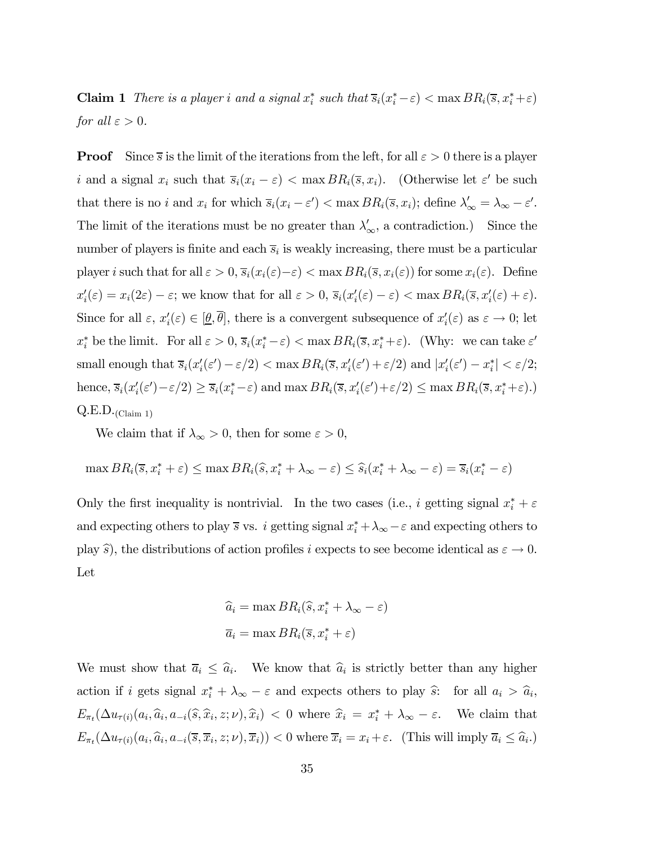**Claim 1** There is a player i and a signal  $x_i^*$  such that  $\overline{s}_i(x_i^*-\varepsilon) < \max BR_i(\overline{s}, x_i^*+\varepsilon)$ for all  $\varepsilon > 0$ .

**Proof** Since  $\overline{s}$  is the limit of the iterations from the left, for all  $\varepsilon > 0$  there is a player i and a signal  $x_i$  such that  $\overline{s}_i(x_i - \varepsilon) < \max BR_i(\overline{s}, x_i)$ . (Otherwise let  $\varepsilon'$  be such that there is no i and  $x_i$  for which  $\overline{s}_i(x_i - \varepsilon') < \max BR_i(\overline{s}, x_i)$ ; define  $\lambda'_{\infty} = \lambda_{\infty} - \varepsilon'$ . The limit of the iterations must be no greater than  $\lambda'_{\infty}$ , a contradiction.) Since the number of players is finite and each  $\overline{s}_i$  is weakly increasing, there must be a particular player i such that for all  $\varepsilon > 0$ ,  $\overline{s}_i(x_i(\varepsilon) - \varepsilon) < \max BR_i(\overline{s}, x_i(\varepsilon))$  for some  $x_i(\varepsilon)$ . Define  $x_i'(\varepsilon) = x_i(2\varepsilon) - \varepsilon$ ; we know that for all  $\varepsilon > 0$ ,  $\overline{s}_i(x_i'(\varepsilon) - \varepsilon) < \max BR_i(\overline{s}, x_i'(\varepsilon) + \varepsilon)$ . Since for all  $\varepsilon$ ,  $x_i'(\varepsilon) \in [\underline{\theta}, \theta]$ , there is a convergent subsequence of  $x_i'(\varepsilon)$  as  $\varepsilon \to 0$ ; let  $x_i^*$  be the limit. For all  $\varepsilon > 0$ ,  $\overline{s}_i(x_i^* - \varepsilon) < \max BR_i(\overline{s}, x_i^* + \varepsilon)$ . (Why: we can take  $\varepsilon'$ small enough that  $\overline{s}_i(x'_i(\varepsilon') - \varepsilon/2) < \max BR_i(\overline{s}, x'_i(\varepsilon') + \varepsilon/2)$  and  $|x'_i(\varepsilon') - x^*_i| < \varepsilon/2$ ; hence,  $\overline{s}_i(x'_i(\varepsilon')-\varepsilon/2) \ge \overline{s}_i(x_i^*-\varepsilon)$  and  $\max BR_i(\overline{s}, x'_i(\varepsilon')+\varepsilon/2) \le \max BR_i(\overline{s}, x_i^*+\varepsilon)$ .)  $Q.E.D.$ (Claim 1)

We claim that if  $\lambda_{\infty} > 0$ , then for some  $\varepsilon > 0$ ,

$$
\max BR_i(\overline{s}, x_i^* + \varepsilon) \le \max BR_i(\widehat{s}, x_i^* + \lambda_{\infty} - \varepsilon) \le \widehat{s}_i(x_i^* + \lambda_{\infty} - \varepsilon) = \overline{s}_i(x_i^* - \varepsilon)
$$

Only the first inequality is nontrivial. In the two cases (i.e., i getting signal  $x_i^* + \varepsilon$ and expecting others to play  $\overline{s}$  vs. i getting signal  $x_i^* + \lambda_\infty - \varepsilon$  and expecting others to play  $\hat{s}$ ), the distributions of action profiles i expects to see become identical as  $\varepsilon \to 0$ . Let

$$
\hat{a}_i = \max BR_i(\hat{s}, x_i^* + \lambda_{\infty} - \varepsilon)
$$

$$
\overline{a}_i = \max BR_i(\overline{s}, x_i^* + \varepsilon)
$$

We must show that  $\overline{a}_i \leq \hat{a}_i$ . We know that  $\hat{a}_i$  is strictly better than any higher action if i gets signal  $x_i^* + \lambda_{\infty} - \varepsilon$  and expects others to play  $\hat{s}$ : for all  $a_i > \hat{a}_i$ ,  $E_{\pi_t}(\Delta u_{\tau(i)}(a_i, \hat{a}_i, a_{-i}(\hat{s}, \hat{x}_i, z; \nu), \hat{x}_i) < 0$  where  $\hat{x}_i = x_i^* + \lambda_{\infty} - \varepsilon$ . We claim that  $E_{\pi_t}(\Delta u_{\tau(i)}(a_i, \hat{a}_i, a_{-i}(\overline{s}, \overline{x}_i, z; \nu), \overline{x}_i)) < 0$  where  $\overline{x}_i = x_i + \varepsilon$ . (This will imply  $\overline{a}_i \leq \hat{a}_i$ .)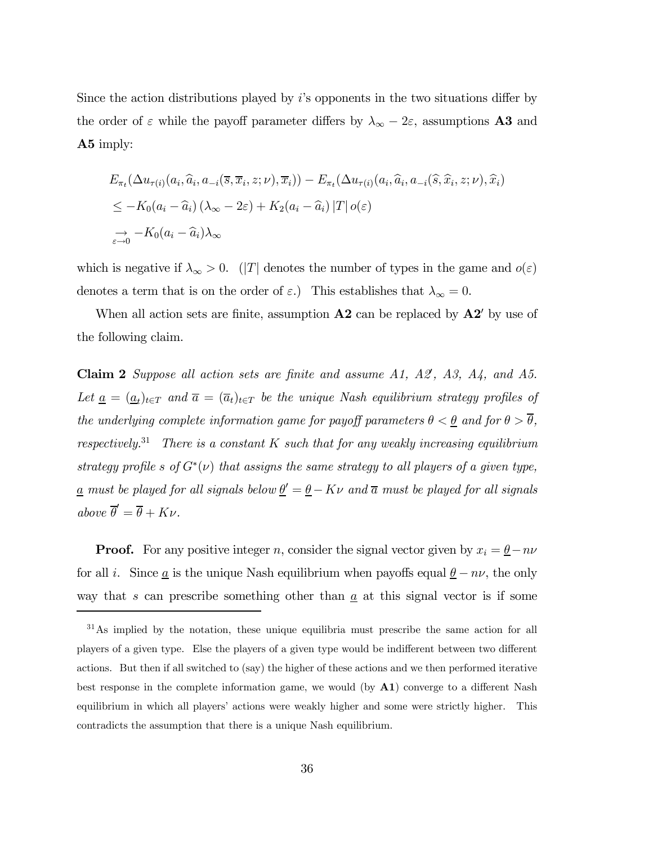Since the action distributions played by  $i$ 's opponents in the two situations differ by the order of  $\varepsilon$  while the payoff parameter differs by  $\lambda_{\infty} - 2\varepsilon$ , assumptions **A3** and A5 imply:

$$
E_{\pi_t}(\Delta u_{\tau(i)}(a_i, \widehat{a}_i, a_{-i}(\overline{s}, \overline{x}_i, z; \nu), \overline{x}_i)) - E_{\pi_t}(\Delta u_{\tau(i)}(a_i, \widehat{a}_i, a_{-i}(\widehat{s}, \widehat{x}_i, z; \nu), \widehat{x}_i))
$$
  
\n
$$
\leq -K_0(a_i - \widehat{a}_i) (\lambda_{\infty} - 2\varepsilon) + K_2(a_i - \widehat{a}_i) |T| o(\varepsilon)
$$
  
\n
$$
\rightarrow -K_0(a_i - \widehat{a}_i) \lambda_{\infty}
$$

which is negative if  $\lambda_{\infty} > 0$ . (|T| denotes the number of types in the game and  $o(\varepsilon)$ denotes a term that is on the order of  $\varepsilon$ .) This establishes that  $\lambda_{\infty} = 0$ .

When all action sets are finite, assumption  $\bf{A2}$  can be replaced by  $\bf{A2'}$  by use of the following claim.

**Claim 2** Suppose all action sets are finite and assume  $A1$ ,  $A2$ ,  $A3$ ,  $A4$ , and  $A5$ . Let  $\underline{a} = (\underline{a}_t)_{t \in T}$  and  $\overline{a} = (\overline{a}_t)_{t \in T}$  be the unique Nash equilibrium strategy profiles of the underlying complete information game for payoff parameters  $\theta < \underline{\theta}$  and for  $\theta > \overline{\theta}$ , respectively.<sup>31</sup> There is a constant K such that for any weakly increasing equilibrium strategy profile s of  $G^*(v)$  that assigns the same strategy to all players of a given type, <u>a</u> must be played for all signals below  $\underline{\theta}' = \underline{\theta} - K\nu$  and  $\overline{a}$  must be played for all signals above  $\overline{\theta}' = \overline{\theta} + K\nu$ .

**Proof.** For any positive integer n, consider the signal vector given by  $x_i = \underline{\theta} - n\nu$ for all *i*. Since <u>a</u> is the unique Nash equilibrium when payoffs equal  $\underline{\theta} - n\nu$ , the only way that s can prescribe something other than  $\underline{a}$  at this signal vector is if some

<sup>31</sup>As implied by the notation, these unique equilibria must prescribe the same action for all players of a given type. Else the players of a given type would be indifferent between two different actions. But then if all switched to (say) the higher of these actions and we then performed iterative best response in the complete information game, we would (by  $\mathbf{A1}$ ) converge to a different Nash equilibrium in which all players' actions were weakly higher and some were strictly higher. This contradicts the assumption that there is a unique Nash equilibrium.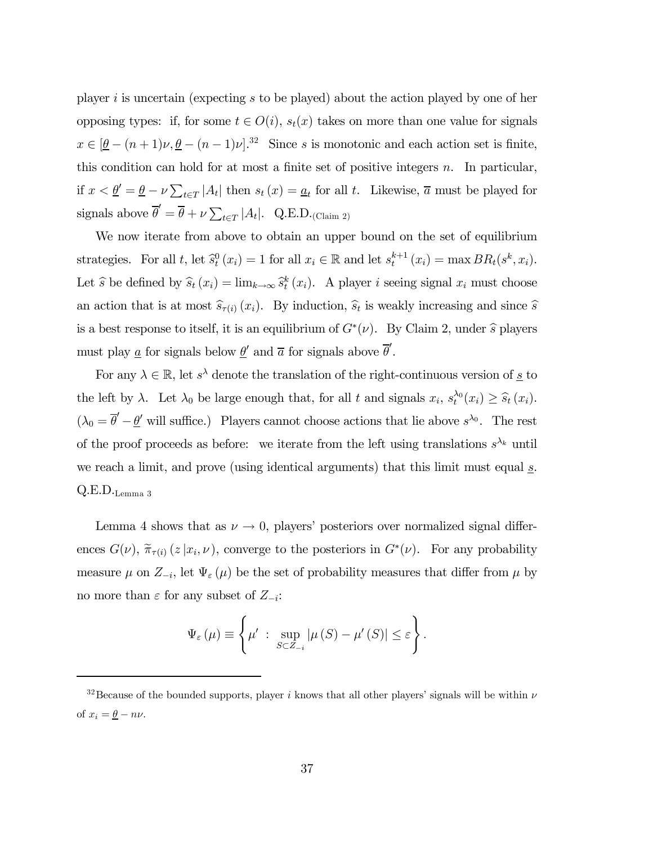player i is uncertain (expecting s to be played) about the action played by one of her opposing types: if, for some  $t \in O(i)$ ,  $s_t(x)$  takes on more than one value for signals  $x \in [\underline{\theta} - (n+1)\nu, \underline{\theta} - (n-1)\nu]$ <sup>32</sup> Since s is monotonic and each action set is finite, this condition can hold for at most a finite set of positive integers  $n$ . In particular, if  $x < \underline{\theta}' = \underline{\theta} - \nu \sum_{t \in T} |A_t|$  then  $s_t(x) = \underline{a}_t$  for all t. Likewise,  $\overline{a}$  must be played for signals above  $\overline{\theta}' = \overline{\theta} + \nu \sum_{t \in T} |A_t|$ . Q.E.D.<sub>(Claim 2)</sub>

We now iterate from above to obtain an upper bound on the set of equilibrium strategies. For all t, let  $\hat{s}_t^0(x_i) = 1$  for all  $x_i \in \mathbb{R}$  and let  $s_t^{k+1}(x_i) = \max BR_t(s^k, x_i)$ . Let  $\hat{s}$  be defined by  $\hat{s}_t(x_i) = \lim_{k \to \infty} \hat{s}_t^k(x_i)$ . A player i seeing signal  $x_i$  must choose an action that is at most  $\widehat{s}_{\tau(i)}(x_i)$ . By induction,  $\widehat{s}_t$  is weakly increasing and since  $\widehat{s}$ is a best response to itself, it is an equilibrium of  $G^*(\nu)$ . By Claim 2, under  $\hat{s}$  players must play <u>a</u> for signals below  $\underline{\theta}'$  and  $\overline{a}$  for signals above  $\overline{\theta}'$ .

For any  $\lambda \in \mathbb{R}$ , let  $s^{\lambda}$  denote the translation of the right-continuous version of <u>s</u> to the left by  $\lambda$ . Let  $\lambda_0$  be large enough that, for all t and signals  $x_i$ ,  $s_t^{\lambda_0}(x_i) \geq \hat{s}_t(x_i)$ .  $(\lambda_0 = \overline{\theta}' - \underline{\theta}'$  will suffice.) Players cannot choose actions that lie above  $s^{\lambda_0}$ . The rest of the proof proceeds as before: we iterate from the left using translations  $s^{\lambda_k}$  until we reach a limit, and prove (using identical arguments) that this limit must equal  $\underline{s}$ .  $Q.E.D._$ Lemma 3

Lemma 4 shows that as  $\nu \to 0$ , players' posteriors over normalized signal differences  $G(\nu)$ ,  $\widetilde{\pi}_{\tau(i)}(z|x_i,\nu)$ , converge to the posteriors in  $G^*(\nu)$ . For any probability measure  $\mu$  on  $Z_{-i}$ , let  $\Psi_{\varepsilon}(\mu)$  be the set of probability measures that differ from  $\mu$  by no more than  $\varepsilon$  for any subset of  $Z_{-i}$ :

$$
\Psi_{\varepsilon}(\mu) \equiv \left\{ \mu' \; : \; \sup_{S \subset Z_{-i}} |\mu(S) - \mu'(S)| \leq \varepsilon \right\}.
$$

<sup>&</sup>lt;sup>32</sup>Because of the bounded supports, player i knows that all other players' signals will be within  $\nu$ of  $x_i = \underline{\theta} - n\nu$ .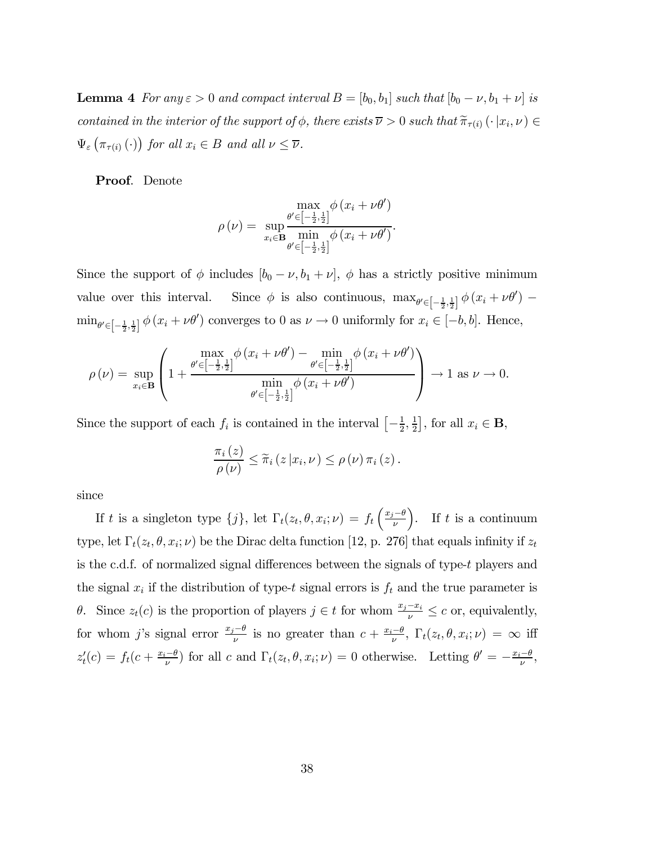**Lemma 4** For any  $\varepsilon > 0$  and compact interval  $B = [b_0, b_1]$  such that  $[b_0 - \nu, b_1 + \nu]$  is contained in the interior of the support of  $\phi$ , there exists  $\overline{\nu} > 0$  such that  $\widetilde{\pi}_{\tau(i)} (\cdot | x_i, \nu) \in$  $\Psi_{\varepsilon}\left(\pi_{\tau(i)}\left(\cdot\right)\right)$  for all  $x_i \in B$  and all  $\nu \leq \overline{\nu}$ .

Proof. Denote

$$
\rho(\nu) = \sup_{x_i \in \mathbf{B}} \frac{\max_{\theta' \in \left[-\frac{1}{2},\frac{1}{2}\right]} \phi(x_i + \nu \theta')}{\min_{\theta' \in \left[-\frac{1}{2},\frac{1}{2}\right]} \phi(x_i + \nu \theta')}.
$$

Since the support of  $\phi$  includes  $[b_0 - \nu, b_1 + \nu]$ ,  $\phi$  has a strictly positive minimum value over this interval. Since  $\phi$  is also continuous,  $\max_{\theta' \in \left[-\frac{1}{2},\frac{1}{2}\right]} \phi(x_i + \nu \theta')$  $\min_{\theta' \in \left[-\frac{1}{2},\frac{1}{2}\right]} \phi(x_i + \nu \theta')$  converges to 0 as  $\nu \to 0$  uniformly for  $x_i \in \left[-b, b\right]$ . Hence,

$$
\rho(\nu) = \sup_{x_i \in \mathbf{B}} \left( 1 + \frac{\frac{\max}{\theta' \in \left[-\frac{1}{2},\frac{1}{2}\right]} \phi\left(x_i + \nu\theta'\right) - \min_{\theta' \in \left[-\frac{1}{2},\frac{1}{2}\right]} \phi\left(x_i + \nu\theta'\right)}{\min_{\theta' \in \left[-\frac{1}{2},\frac{1}{2}\right]} \phi\left(x_i + \nu\theta'\right)} \right) \to 1 \text{ as } \nu \to 0.
$$

Since the support of each  $f_i$  is contained in the interval  $\left[-\frac{1}{2},\frac{1}{2}\right]$ , for all  $x_i \in \mathbf{B}$ ,

$$
\frac{\pi_i(z)}{\rho(\nu)} \leq \widetilde{\pi}_i(z|x_i,\nu) \leq \rho(\nu) \pi_i(z).
$$

since

If t is a singleton type  $\{j\}$ , let  $\Gamma_t(z_t, \theta, x_i; \nu) = f_t\left(\frac{x_j-\theta}{\nu}\right)$ ). If  $t$  is a continuum type, let  $\Gamma_t(z_t, \theta, x_i; \nu)$  be the Dirac delta function [12, p. 276] that equals infinity if  $z_t$ is the c.d.f. of normalized signal differences between the signals of type-t players and the signal  $x_i$  if the distribution of type-t signal errors is  $f_t$  and the true parameter is θ. Since  $z_t(c)$  is the proportion of players  $j \in t$  for whom  $\frac{x_j-x_i}{\nu}$  ≤ c or, equivalently, for whom j's signal error  $\frac{x_j-\theta}{\nu}$  is no greater than  $c + \frac{x_i-\theta}{\nu}$ ,  $\Gamma_t(z_t, \theta, x_i; \nu) = \infty$  iff  $z'_t(c) = f_t(c + \frac{x_i - \theta}{\nu})$  for all c and  $\Gamma_t(z_t, \theta, x_i; \nu) = 0$  otherwise. Letting  $\theta' = -\frac{x_i - \theta}{\nu}$ ,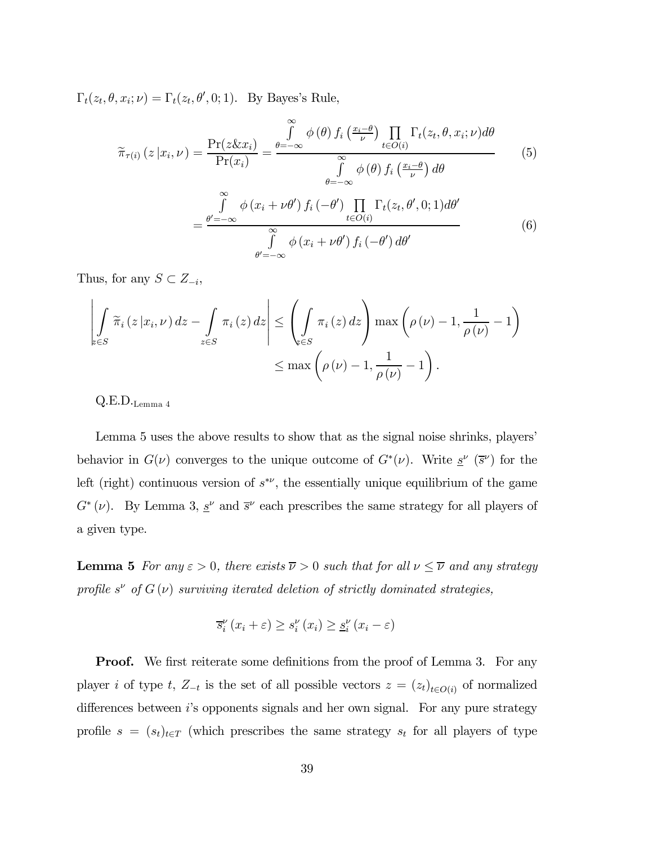$\Gamma_t(z_t, \theta, x_i; \nu) = \Gamma_t(z_t, \theta', 0; 1)$ . By Bayes's Rule,

$$
\widetilde{\pi}_{\tau(i)}(z|x_i,\nu) = \frac{\Pr(z \& x_i)}{\Pr(x_i)} = \frac{\int_{\theta=-\infty}^{\infty} \phi(\theta) f_i\left(\frac{x_i-\theta}{\nu}\right) \prod_{t \in O(i)} \Gamma_t(z_t, \theta, x_i; \nu) d\theta}{\int_{\theta=-\infty}^{\infty} \phi(\theta) f_i\left(\frac{x_i-\theta}{\nu}\right) d\theta}
$$
\n
$$
= \frac{\int_{\theta'=-\infty}^{\infty} \phi(x_i + \nu \theta') f_i(-\theta') \prod_{t \in O(i)} \Gamma_t(z_t, \theta', 0; 1) d\theta'}{\int_{\theta'=-\infty}^{\infty} \phi(x_i + \nu \theta') f_i(-\theta') d\theta'}
$$
\n(6)

∞

Thus, for any  $S \subset Z_{-i}$ ,

$$
\left| \int_{\substack{\epsilon \in S}} \widetilde{\pi}_i(z | x_i, \nu) dz - \int_{z \in S} \pi_i(z) dz \right| \leq \left( \int_{\substack{\epsilon \in S}} \pi_i(z) dz \right) \max \left( \rho(\nu) - 1, \frac{1}{\rho(\nu)} - 1 \right)
$$

$$
\leq \max \left( \rho(\nu) - 1, \frac{1}{\rho(\nu)} - 1 \right).
$$

 $Q.E.D._\text{Lemma 4}$ 

Lemma 5 uses the above results to show that as the signal noise shrinks, players' behavior in  $G(\nu)$  converges to the unique outcome of  $G^*(\nu)$ . Write  $\underline{s}^{\nu}(\bar{s}^{\nu})$  for the left (right) continuous version of  $s^{\ast\nu}$ , the essentially unique equilibrium of the game  $G^* (\nu)$ . By Lemma 3,  $\underline{s}^{\nu}$  and  $\overline{s}^{\nu}$  each prescribes the same strategy for all players of a given type.

**Lemma 5** For any  $\varepsilon > 0$ , there exists  $\overline{\nu} > 0$  such that for all  $\nu \leq \overline{\nu}$  and any strategy profile  $s^{\nu}$  of  $G(\nu)$  surviving iterated deletion of strictly dominated strategies,

$$
\overline{s}_{i}^{\nu}\left(x_{i}+\varepsilon\right) \geq s_{i}^{\nu}\left(x_{i}\right) \geq \underline{s}_{i}^{\nu}\left(x_{i}-\varepsilon\right)
$$

**Proof.** We first reiterate some definitions from the proof of Lemma 3. For any player i of type t,  $Z_{-t}$  is the set of all possible vectors  $z = (z_t)_{t \in O(i)}$  of normalized differences between is opponents signals and her own signal. For any pure strategy profile  $s = (s_t)_{t \in T}$  (which prescribes the same strategy  $s_t$  for all players of type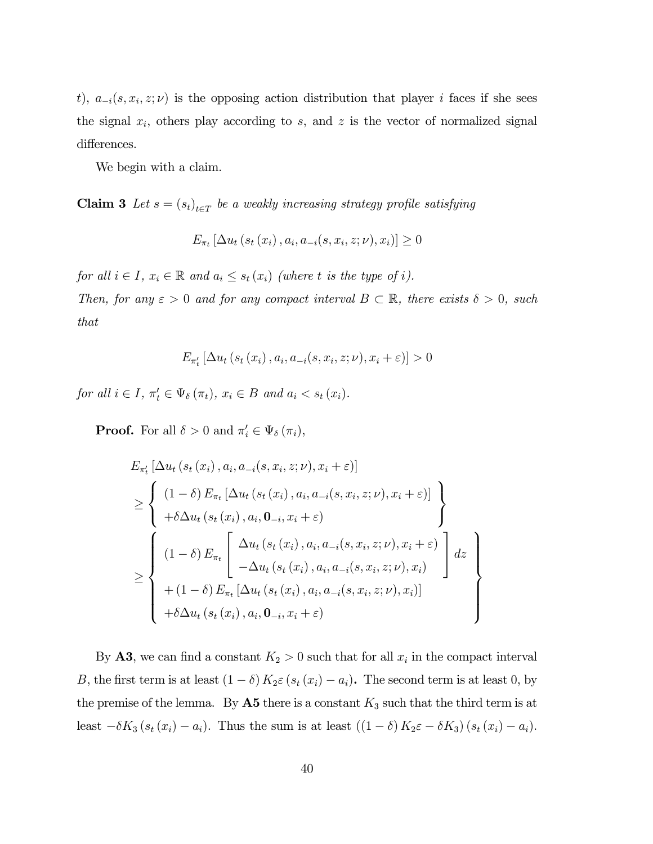t),  $a_{-i}(s, x_i, z; \nu)$  is the opposing action distribution that player i faces if she sees the signal  $x_i$ , others play according to s, and z is the vector of normalized signal differences.

We begin with a claim.

Claim 3 Let  $s = (s_t)_{t \in T}$  be a weakly increasing strategy profile satisfying

$$
E_{\pi_t} [\Delta u_t (s_t (x_i), a_i, a_{-i}(s, x_i, z; \nu), x_i)] \geq 0
$$

for all  $i \in I$ ,  $x_i \in \mathbb{R}$  and  $a_i \leq s_t(x_i)$  (where t is the type of i).

Then, for any  $\varepsilon > 0$  and for any compact interval  $B \subset \mathbb{R}$ , there exists  $\delta > 0$ , such that

$$
E_{\pi'_t} \left[ \Delta u_t \left( s_t \left( x_i \right), a_i, a_{-i} (s, x_i, z; \nu), x_i + \varepsilon \right) \right] > 0
$$

for all  $i \in I$ ,  $\pi'_t \in \Psi_\delta(\pi_t)$ ,  $x_i \in B$  and  $a_i < s_t(x_i)$ .

**Proof.** For all  $\delta > 0$  and  $\pi'_i \in \Psi_{\delta}(\pi_i)$ ,

$$
E_{\pi'_{t}}\left[\Delta u_{t}\left(s_{t}\left(x_{i}\right), a_{i}, a_{-i}(s, x_{i}, z; \nu), x_{i} + \varepsilon\right)\right]
$$
\n
$$
\geq \left\{\n\begin{array}{l}\n(1-\delta) E_{\pi_{t}}\left[\Delta u_{t}\left(s_{t}\left(x_{i}\right), a_{i}, a_{-i}(s, x_{i}, z; \nu), x_{i} + \varepsilon\right)\right] \\
+\delta \Delta u_{t}\left(s_{t}\left(x_{i}\right), a_{i}, \mathbf{0}_{-i}, x_{i} + \varepsilon\right) \\
\left(1-\delta\right) E_{\pi_{t}}\left[\n\begin{array}{l}\Delta u_{t}\left(s_{t}\left(x_{i}\right), a_{i}, a_{-i}(s, x_{i}, z; \nu), x_{i} + \varepsilon\right) \\
-\Delta u_{t}\left(s_{t}\left(x_{i}\right), a_{i}, a_{-i}(s, x_{i}, z; \nu), x_{i}\right)\n\end{array}\n\right] dz \\
+(1-\delta) E_{\pi_{t}}\left[\Delta u_{t}\left(s_{t}\left(x_{i}\right), a_{i}, a_{-i}(s, x_{i}, z; \nu), x_{i}\right)\right] \\
+\delta \Delta u_{t}\left(s_{t}\left(x_{i}\right), a_{i}, \mathbf{0}_{-i}, x_{i} + \varepsilon\right)\n\end{array}\n\right\}
$$

By **A3**, we can find a constant  $K_2 > 0$  such that for all  $x_i$  in the compact interval B, the first term is at least  $(1 - \delta) K_2 \varepsilon (s_t (x_i) - a_i)$ . The second term is at least 0, by the premise of the lemma. By  $\mathbf{A5}$  there is a constant  $K_3$  such that the third term is at least  $-\delta K_3 (s_t (x_i) - a_i)$ . Thus the sum is at least  $((1 - \delta) K_2 \varepsilon - \delta K_3) (s_t (x_i) - a_i)$ .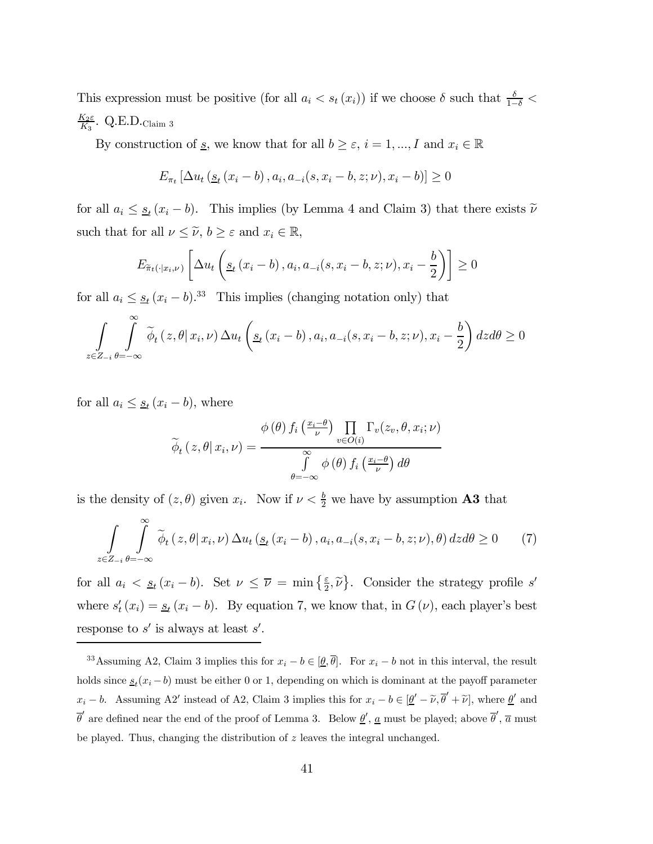This expression must be positive (for all  $a_i < s_t(x_i)$ ) if we choose  $\delta$  such that  $\frac{\delta}{1-\delta}$  $\frac{K_2 \varepsilon}{K_3}$ . Q.E.D.<sub>Claim</sub> 3

By construction of <u>s</u>, we know that for all  $b \geq \varepsilon$ ,  $i = 1, ..., I$  and  $x_i \in \mathbb{R}$ 

$$
E_{\pi_t} [\Delta u_t (s_t (x_i - b), a_i, a_{-i}(s, x_i - b, z; \nu), x_i - b)] \ge 0
$$

for all  $a_i \leq s_t (x_i - b)$ . This implies (by Lemma 4 and Claim 3) that there exists  $\tilde{\nu}$ such that for all  $\nu \leq \tilde{\nu}$ ,  $b \geq \varepsilon$  and  $x_i \in \mathbb{R}$ ,

$$
E_{\tilde{\pi}_t(\cdot|x_i,\nu)}\left[\Delta u_t\left(s_t\left(x_i-b\right),a_i,a_{-i}(s,x_i-b,z;\nu),x_i-\frac{b}{2}\right)\right] \geq 0
$$

for all  $a_i \leq s_t (x_i - b)^{33}$  This implies (changing notation only) that

$$
\int_{z \in Z_{-i}} \int_{\theta=-\infty}^{\infty} \widetilde{\phi}_t(z,\theta | x_i, \nu) \, \Delta u_t \left( \underline{s}_t (x_i - b), a_i, a_{-i}(s, x_i - b, z; \nu), x_i - \frac{b}{2} \right) dz d\theta \ge 0
$$

for all  $a_i \leq \underline{s}_t (x_i - b)$ , where

$$
\widetilde{\phi}_{t}(z,\theta|x_{i},\nu) = \frac{\phi(\theta) f_{i}\left(\frac{x_{i}-\theta}{\nu}\right) \prod_{v \in O(i)} \Gamma_{v}(z_{v},\theta,x_{i};\nu)}{\int_{\theta=-\infty}^{\infty} \phi(\theta) f_{i}\left(\frac{x_{i}-\theta}{\nu}\right) d\theta}
$$

is the density of  $(z, \theta)$  given  $x_i$ . Now if  $\nu < \frac{b}{2}$  we have by assumption **A3** that

$$
\int_{z \in Z_{-i}} \int_{\theta=-\infty}^{\infty} \tilde{\phi}_t(z,\theta | x_i, \nu) \, \Delta u_t(\underline{s}_t(x_i - b), a_i, a_{-i}(s, x_i - b, z; \nu), \theta) \, dz d\theta \ge 0 \tag{7}
$$

for all  $a_i < s_f (x_i - b)$ . Set  $\nu \leq \overline{\nu} = \min\left\{\frac{\varepsilon}{2}, \tilde{\nu}\right\}$ . Consider the strategy profile s' where  $s_t'(x_i) = s_t(x_i - b)$ . By equation 7, we know that, in  $G(\nu)$ , each player's best response to  $s'$  is always at least  $s'$ .

<sup>&</sup>lt;sup>33</sup>Assuming A2, Claim 3 implies this for  $x_i - b \in [\underline{\theta}, \overline{\theta}]$ . For  $x_i - b$  not in this interval, the result holds since  $s_t(x_i - b)$  must be either 0 or 1, depending on which is dominant at the payoff parameter  $x_i - b$ . Assuming A2' instead of A2, Claim 3 implies this for  $x_i - b \in [\underline{\theta}' - \tilde{\nu}, \overline{\theta}' + \tilde{\nu}]$ , where  $\underline{\theta}'$  and  $\bar{\theta}'$  are defined near the end of the proof of Lemma 3. Below  $\underline{\theta}', \underline{a}$  must be played; above  $\bar{\theta}', \bar{a}$  must be played. Thus, changing the distribution of  $z$  leaves the integral unchanged.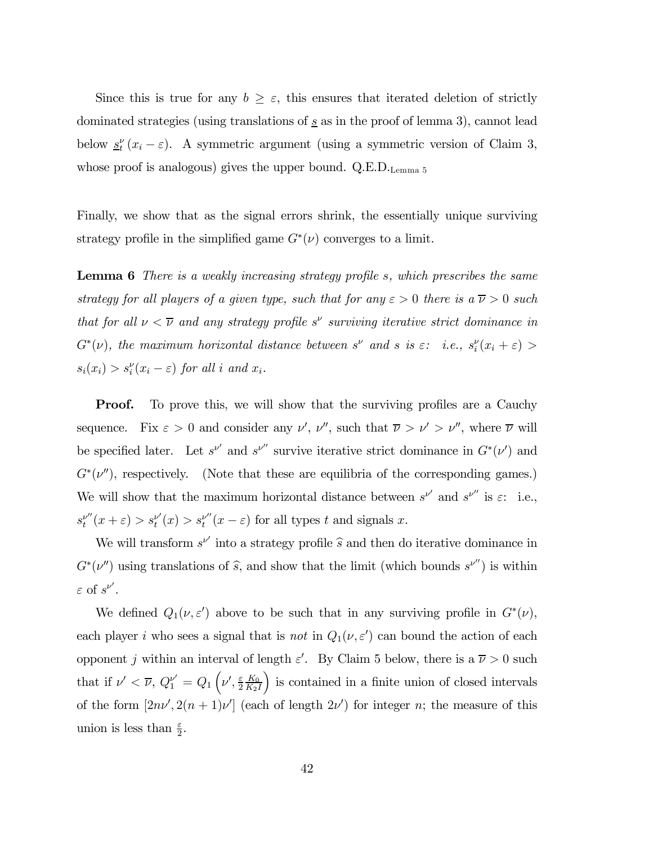Since this is true for any  $b \geq \varepsilon$ , this ensures that iterated deletion of strictly dominated strategies (using translations of  $s$  as in the proof of lemma 3), cannot lead below  $\underline{s}^{\nu}_t(x_i - \varepsilon)$ . A symmetric argument (using a symmetric version of Claim 3, whose proof is analogous) gives the upper bound. Q.E.D.<sub>Lemma 5</sub>

Finally, we show that as the signal errors shrink, the essentially unique surviving strategy profile in the simplified game  $G^*(\nu)$  converges to a limit.

Lemma 6 There is a weakly increasing strategy profile s, which prescribes the same strategy for all players of a given type, such that for any  $\varepsilon > 0$  there is a  $\overline{\nu} > 0$  such that for all  $\nu < \overline{\nu}$  and any strategy profile s<sup>ν</sup> surviving iterative strict dominance in  $G^*(\nu)$ , the maximum horizontal distance between  $s^{\nu}$  and  $s$  is  $\varepsilon$ : i.e.,  $s_i^{\nu}(x_i + \varepsilon)$  >  $s_i(x_i) > s_i^{\nu}(x_i - \varepsilon)$  for all i and  $x_i$ .

**Proof.** To prove this, we will show that the surviving profiles are a Cauchy sequence. Fix  $\varepsilon > 0$  and consider any  $\nu'$ ,  $\nu''$ , such that  $\overline{\nu} > \nu' > \nu''$ , where  $\overline{\nu}$  will be specified later. Let  $s^{\nu'}$  and  $s^{\nu''}$  survive iterative strict dominance in  $G^*(\nu')$  and  $G<sup>*</sup>(\nu'')$ , respectively. (Note that these are equilibria of the corresponding games.) We will show that the maximum horizontal distance between  $s^{\nu'}$  and  $s^{\nu''}$  is  $\varepsilon$ : i.e.,  $s_t^{\nu''}(x+\varepsilon) > s_t^{\nu'}(x) > s_t^{\nu''}(x-\varepsilon)$  for all types t and signals x.

We will transform  $s^{\nu'}$  into a strategy profile  $\widehat{s}$  and then do iterative dominance in  $G<sup>*</sup>(\nu'')$  using translations of  $\hat{s}$ , and show that the limit (which bounds  $s^{\nu''}$ ) is within  $\varepsilon$  of  $s^{\nu'}$ .

We defined  $Q_1(\nu, \varepsilon')$  above to be such that in any surviving profile in  $G^*(\nu)$ , each player *i* who sees a signal that is *not* in  $Q_1(\nu, \varepsilon')$  can bound the action of each opponent j within an interval of length  $\varepsilon'$ . By Claim 5 below, there is a  $\overline{\nu} > 0$  such that if  $\nu' < \overline{\nu}$ ,  $Q_1^{\nu'} = Q_1 \left(\nu', \frac{\varepsilon}{2}\right)$  $_{K_0}$  $K_2I$ : is contained in a finite union of closed intervals of the form  $[2n\nu', 2(n+1)\nu']$  (each of length  $2\nu'$ ) for integer n; the measure of this union is less than  $\frac{\varepsilon}{2}$ .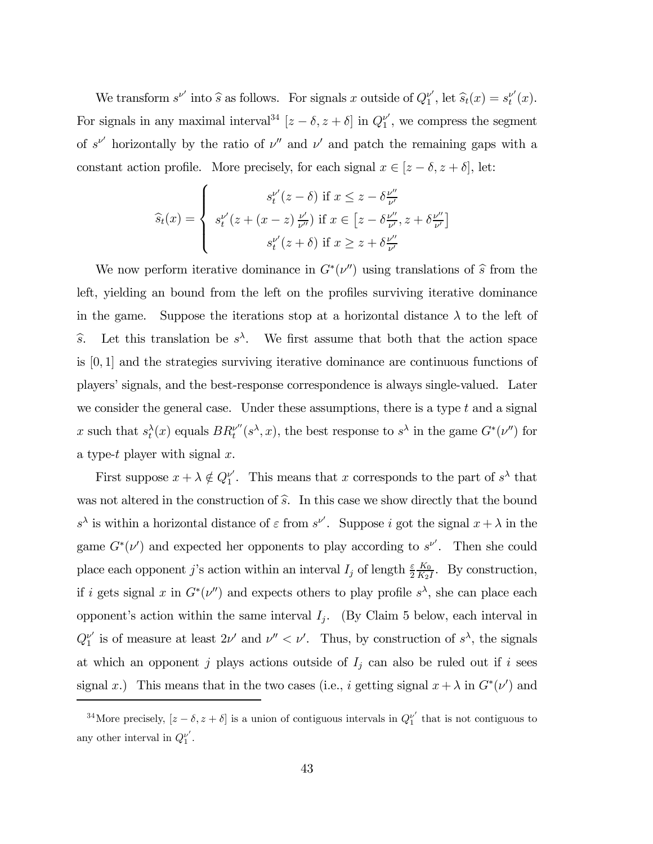We transform  $s^{\nu'}$  into  $\hat{s}$  as follows. For signals x outside of  $Q_1^{\nu'}$ , let  $\hat{s}_t(x) = s_t^{\nu'}(x)$ . For signals in any maximal interval<sup>34</sup>  $[z - \delta, z + \delta]$  in  $Q_1^{\nu'}$ , we compress the segment of  $s^{\nu'}$  horizontally by the ratio of  $\nu''$  and  $\nu'$  and patch the remaining gaps with a constant action profile. More precisely, for each signal  $x \in [z - \delta, z + \delta]$ , let:

$$
\widehat{s}_t(x) = \begin{cases}\ns_t^{\nu'}(z-\delta) & \text{if } x \leq z - \delta \frac{\nu''}{\nu'} \\
s_t^{\nu'}(z + (x-z)\frac{\nu'}{\nu''}) & \text{if } x \in \left[z - \delta \frac{\nu''}{\nu'}, z + \delta \frac{\nu''}{\nu'}\right] \\
s_t^{\nu'}(z+\delta) & \text{if } x \geq z + \delta \frac{\nu''}{\nu'}\n\end{cases}
$$

We now perform iterative dominance in  $G^*(\nu'')$  using translations of  $\hat{s}$  from the left, yielding an bound from the left on the profiles surviving iterative dominance in the game. Suppose the iterations stop at a horizontal distance  $\lambda$  to the left of s. Let this translation be  $s^{\lambda}$ . We first assume that both that the action space is [0, 1] and the strategies surviving iterative dominance are continuous functions of playersí signals, and the best-response correspondence is always single-valued. Later we consider the general case. Under these assumptions, there is a type  $t$  and a signal x such that  $s_t^{\lambda}(x)$  equals  $BR_t^{\nu''}(s^{\lambda}, x)$ , the best response to  $s^{\lambda}$  in the game  $G^*(\nu'')$  for a type-t player with signal  $x$ .

First suppose  $x + \lambda \notin Q_1^{\nu'}$ . This means that x corresponds to the part of  $s^{\lambda}$  that was not altered in the construction of  $\hat{s}$ . In this case we show directly that the bound  $s^{\lambda}$  is within a horizontal distance of  $\varepsilon$  from  $s^{\nu'}$ . Suppose i got the signal  $x + \lambda$  in the game  $G^*(\nu')$  and expected her opponents to play according to  $s^{\nu'}$ . Then she could place each opponent j's action within an interval  $I_j$  of length  $\frac{\varepsilon}{2}$  $\frac{K_0}{K_2I}$ . By construction, if i gets signal x in  $G^*(v'')$  and expects others to play profile  $s^{\lambda}$ , she can place each opponent's action within the same interval  $I_j$ . (By Claim 5 below, each interval in  $Q_1^{\nu'}$  is of measure at least  $2\nu'$  and  $\nu'' < \nu'$ . Thus, by construction of  $s^{\lambda}$ , the signals at which an opponent j plays actions outside of  $I_j$  can also be ruled out if i sees signal x.) This means that in the two cases (i.e., i getting signal  $x + \lambda$  in  $G^*(\nu')$  and

<sup>&</sup>lt;sup>34</sup>More precisely,  $[z - \delta, z + \delta]$  is a union of contiguous intervals in  $Q_1^{\nu'}$  that is not contiguous to any other interval in  $Q_1^{\nu'}$ .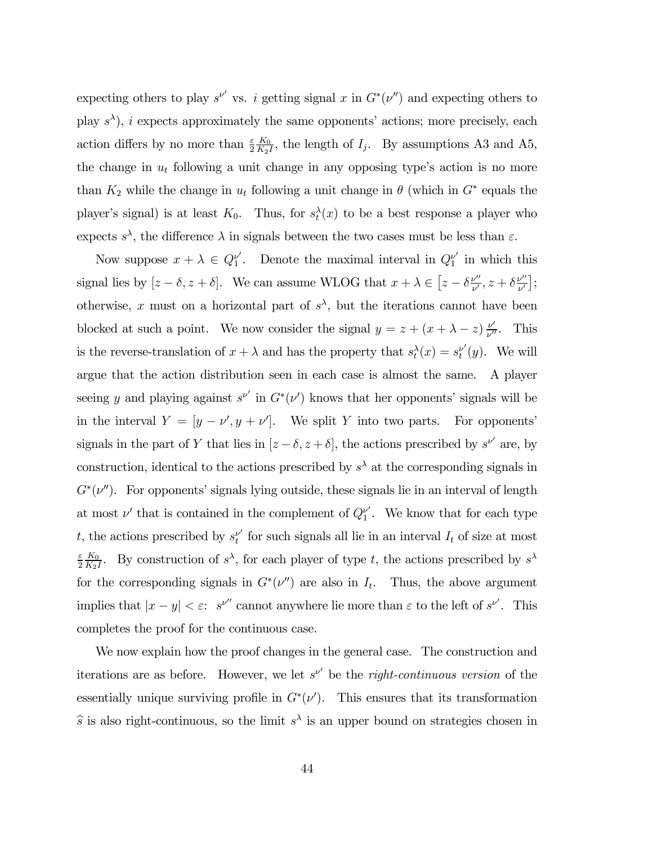expecting others to play  $s^{\nu'}$  vs. i getting signal x in  $G^*(\nu'')$  and expecting others to play  $s^{\lambda}$ , i expects approximately the same opponents' actions; more precisely, each action differs by no more than  $\frac{\varepsilon}{2}$  $\frac{K_0}{K_2I}$ , the length of  $I_j$ . By assumptions A3 and A5, the change in  $u_t$  following a unit change in any opposing type's action is no more than  $K_2$  while the change in  $u_t$  following a unit change in  $\theta$  (which in  $G^*$  equals the player's signal) is at least  $K_0$ . Thus, for  $s_t^{\lambda}(x)$  to be a best response a player who expects  $s^{\lambda}$ , the difference  $\lambda$  in signals between the two cases must be less than  $\varepsilon$ .

Now suppose  $x + \lambda \in Q_1^{\nu'}$ . Denote the maximal interval in  $Q_1^{\nu'}$  in which this signal lies by  $[z - \delta, z + \delta]$ . We can assume WLOG that  $x + \lambda \in [z - \delta \frac{\nu''}{\nu'}, z + \delta \frac{\nu''}{\nu'}];$ otherwise, x must on a horizontal part of  $s^{\lambda}$ , but the iterations cannot have been blocked at such a point. We now consider the signal  $y = z + (x + \lambda - z) \frac{\nu'}{\nu''}$ . This is the reverse-translation of  $x + \lambda$  and has the property that  $s_t^{\lambda}(x) = s_t^{\nu'}(y)$ . We will argue that the action distribution seen in each case is almost the same. A player seeing y and playing against  $s^{\nu'}$  in  $G^*(\nu')$  knows that her opponents' signals will be in the interval  $Y = [y - \nu', y + \nu']$ . We split Y into two parts. For opponents' signals in the part of Y that lies in  $[z - \delta, z + \delta]$ , the actions prescribed by  $s^{\nu'}$  are, by construction, identical to the actions prescribed by  $s^{\lambda}$  at the corresponding signals in  $G<sup>*</sup>(\nu'')$ . For opponents' signals lying outside, these signals lie in an interval of length at most  $\nu'$  that is contained in the complement of  $Q_1^{\nu'}$ . We know that for each type t, the actions prescribed by  $s_t^{\nu'}$  for such signals all lie in an interval  $I_t$  of size at most ε 2  $\frac{K_0}{K_2I}$ . By construction of  $s^{\lambda}$ , for each player of type t, the actions prescribed by  $s^{\lambda}$ for the corresponding signals in  $G<sup>*</sup>(\nu'')$  are also in  $I_t$ . Thus, the above argument implies that  $|x - y| < \varepsilon$ : s<sup>ν''</sup> cannot anywhere lie more than  $\varepsilon$  to the left of s<sup>ν'</sup>. This completes the proof for the continuous case.

We now explain how the proof changes in the general case. The construction and iterations are as before. However, we let  $s^{\nu'}$  be the *right-continuous version* of the essentially unique surviving profile in  $G^*(\nu')$ . This ensures that its transformation  $\hat{s}$  is also right-continuous, so the limit  $s^{\lambda}$  is an upper bound on strategies chosen in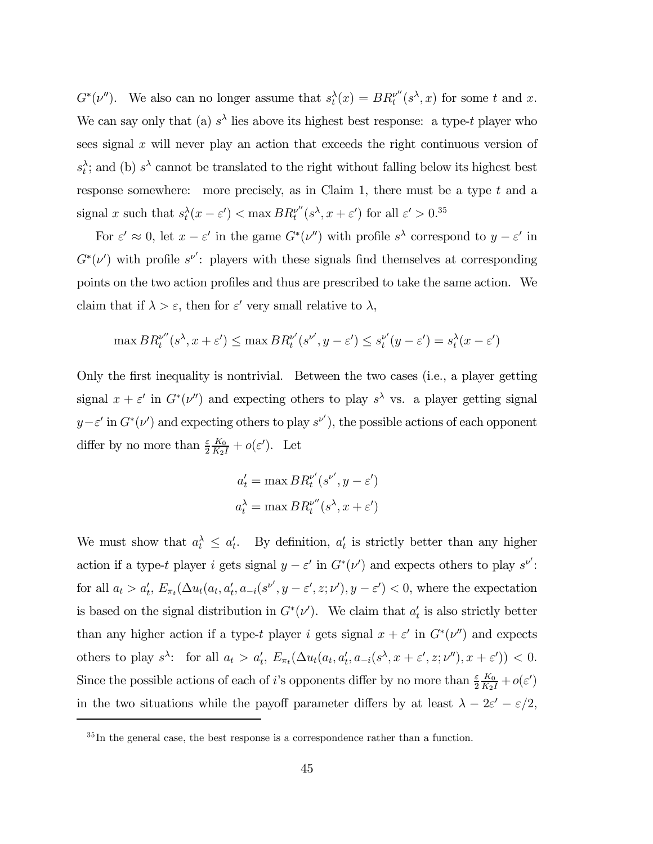$G^*(\nu'')$ . We also can no longer assume that  $s_t^{\lambda}(x) = BR_t^{\nu''}(s^{\lambda}, x)$  for some t and x. We can say only that (a)  $s^{\lambda}$  lies above its highest best response: a type-t player who sees signal  $x$  will never play an action that exceeds the right continuous version of  $s_t^{\lambda}$ ; and (b)  $s^{\lambda}$  cannot be translated to the right without falling below its highest best response somewhere: more precisely, as in Claim 1, there must be a type  $t$  and a signal x such that  $s_t^{\lambda}(x - \varepsilon') < \max BR_t^{\nu''}(s^{\lambda}, x + \varepsilon')$  for all  $\varepsilon' > 0.$ <sup>35</sup>

For  $\varepsilon' \approx 0$ , let  $x - \varepsilon'$  in the game  $G^*(\nu'')$  with profile  $s^{\lambda}$  correspond to  $y - \varepsilon'$  in  $G^*(\nu')$  with profile  $s^{\nu'}$ : players with these signals find themselves at corresponding points on the two action profiles and thus are prescribed to take the same action. We claim that if  $\lambda > \varepsilon$ , then for  $\varepsilon'$  very small relative to  $\lambda$ ,

$$
\max BR_t^{\nu''}(s^\lambda, x + \varepsilon') \le \max BR_t^{\nu'}(s^{\nu'}, y - \varepsilon') \le s^{\nu'}_t(y - \varepsilon') = s_t^\lambda(x - \varepsilon')
$$

Only the first inequality is nontrivial. Between the two cases (i.e., a player getting signal  $x + \varepsilon'$  in  $G^*(v'')$  and expecting others to play  $s^{\lambda}$  vs. a player getting signal  $y - \varepsilon'$  in  $G^*(v')$  and expecting others to play  $s^{v'}$ , the possible actions of each opponent differ by no more than  $\frac{\varepsilon}{2}$  $\frac{K_0}{K_2I}+o(\varepsilon')$ . Let

$$
a'_t = \max BR_t^{\nu'}(s^{\nu'}, y - \varepsilon')
$$
  

$$
a_t^{\lambda} = \max BR_t^{\nu''}(s^{\lambda}, x + \varepsilon')
$$

We must show that  $a_t^{\lambda} \leq a_t'$ . By definition,  $a_t'$  is strictly better than any higher action if a type-t player i gets signal  $y - \varepsilon'$  in  $G^*(\nu')$  and expects others to play  $s^{\nu'}$ : for all  $a_t > a'_t$ ,  $E_{\pi_t}(\Delta u_t(a_t, a'_t, a_{-i}(s^{\nu'}, y - \varepsilon', z; \nu'), y - \varepsilon') < 0$ , where the expectation is based on the signal distribution in  $G^*(\nu')$ . We claim that  $a'_t$  is also strictly better than any higher action if a type-t player i gets signal  $x + \varepsilon'$  in  $G^*(v'')$  and expects others to play  $s^{\lambda}$ : for all  $a_t > a'_t$ ,  $E_{\pi_t}(\Delta u_t(a_t, a'_t, a_{-i}(s^{\lambda}, x + \varepsilon', z; \nu''), x + \varepsilon')) < 0$ . Since the possible actions of each of *i*'s opponents differ by no more than  $\frac{\varepsilon}{2}$  $\frac{K_0}{K_2 I}+o(\varepsilon')$ in the two situations while the payoff parameter differs by at least  $\lambda - 2\varepsilon' - \varepsilon/2$ ,

 ${}^{35}$ In the general case, the best response is a correspondence rather than a function.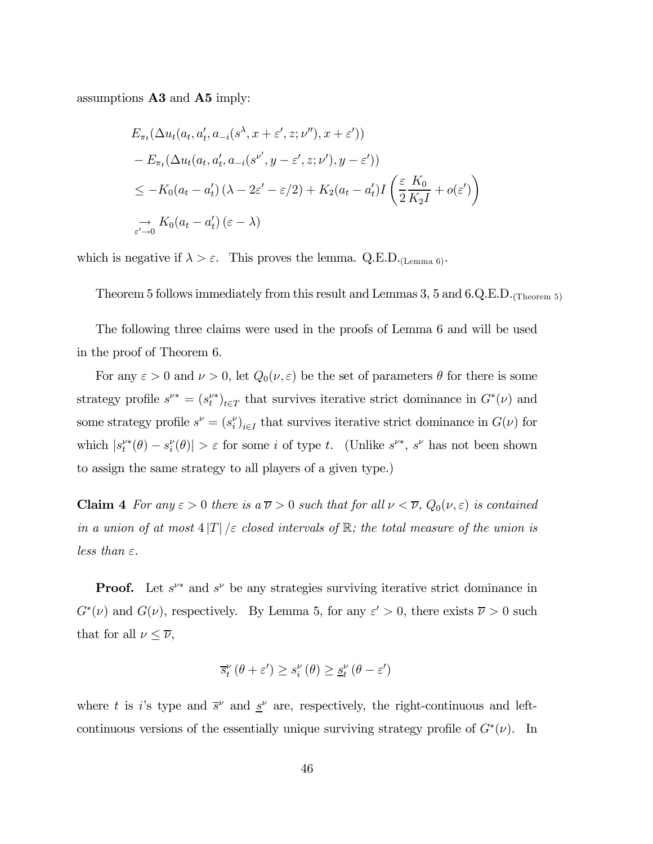assumptions A3 and A5 imply:

$$
E_{\pi_t}(\Delta u_t(a_t, a'_t, a_{-i}(s^{\lambda}, x + \varepsilon', z; \nu''), x + \varepsilon'))
$$
  
- 
$$
E_{\pi_t}(\Delta u_t(a_t, a'_t, a_{-i}(s^{\nu'}, y - \varepsilon', z; \nu'), y - \varepsilon'))
$$
  

$$
\leq -K_0(a_t - a'_t) (\lambda - 2\varepsilon' - \varepsilon/2) + K_2(a_t - a'_t)I\left(\frac{\varepsilon}{2}\frac{K_0}{K_2I} + o(\varepsilon')\right)
$$
  

$$
\xrightarrow[\varepsilon' \to 0]{} K_0(a_t - a'_t) (\varepsilon - \lambda)
$$

which is negative if  $\lambda > \varepsilon$ . This proves the lemma. Q.E.D. (Lemma 6).

Theorem 5 follows immediately from this result and Lemmas 3, 5 and 6.Q.E.D.  $_{(\text{Theorem 5})}$ 

The following three claims were used in the proofs of Lemma 6 and will be used in the proof of Theorem 6.

For any  $\varepsilon > 0$  and  $\nu > 0$ , let  $Q_0(\nu, \varepsilon)$  be the set of parameters  $\theta$  for there is some strategy profile  $s^{\nu*} = (s^{\nu*}_t)_{t \in T}$  that survives iterative strict dominance in  $G^*(\nu)$  and some strategy profile  $s^{\nu} = (s_i^{\nu})_{i \in I}$  that survives iterative strict dominance in  $G(\nu)$  for which  $|s_t^{\nu*}(\theta) - s_t^{\nu}(\theta)| > \varepsilon$  for some *i* of type *t*. (Unlike  $s^{\nu*}$ ,  $s^{\nu}$  has not been shown to assign the same strategy to all players of a given type.)

**Claim 4** For any  $\varepsilon > 0$  there is a  $\overline{\nu} > 0$  such that for all  $\nu < \overline{\nu}$ ,  $Q_0(\nu, \varepsilon)$  is contained in a union of at most  $4|T|/\varepsilon$  closed intervals of  $\mathbb{R}$ ; the total measure of the union is less than  $\varepsilon$ .

**Proof.** Let  $s^{\nu*}$  and  $s^{\nu}$  be any strategies surviving iterative strict dominance in  $G^*(\nu)$  and  $G(\nu)$ , respectively. By Lemma 5, for any  $\varepsilon' > 0$ , there exists  $\overline{\nu} > 0$  such that for all  $\nu \leq \overline{\nu}$ ,

$$
\overline{s}_{t}^{\nu}(\theta+\varepsilon') \geq s_{i}^{\nu}(\theta) \geq \underline{s}_{t}^{\nu}(\theta-\varepsilon')
$$

where t is i's type and  $\bar{s}^{\nu}$  and  $\underline{s}^{\nu}$  are, respectively, the right-continuous and leftcontinuous versions of the essentially unique surviving strategy profile of  $G^*(\nu)$ . In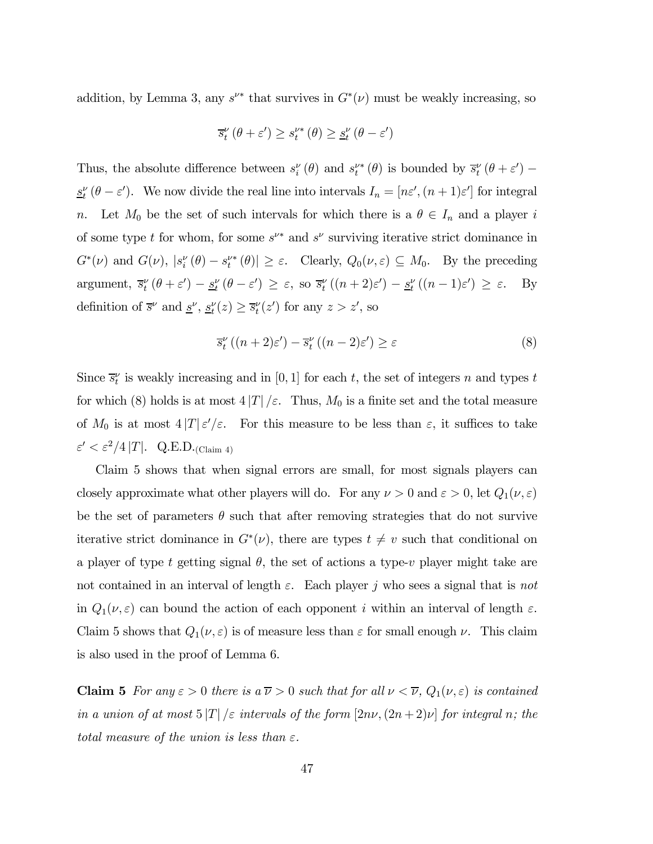addition, by Lemma 3, any  $s^{\nu*}$  that survives in  $G^*(\nu)$  must be weakly increasing, so

$$
\overline{s}_{t}^{\nu}(\theta + \varepsilon') \ge s_{t}^{\nu*}(\theta) \ge \underline{s}_{t}^{\nu}(\theta - \varepsilon')
$$

Thus, the absolute difference between  $s_i^{\nu}(\theta)$  and  $s_t^{\nu*}(\theta)$  is bounded by  $\bar{s}_t^{\nu}(\theta + \varepsilon')$  –  $\underline{s}^{\nu}_{t}(\theta - \varepsilon')$ . We now divide the real line into intervals  $I_n = [n\varepsilon', (n+1)\varepsilon']$  for integral n. Let  $M_0$  be the set of such intervals for which there is a  $\theta \in I_n$  and a player i of some type t for whom, for some  $s^{\nu*}$  and  $s^{\nu}$  surviving iterative strict dominance in  $G^*(\nu)$  and  $G(\nu)$ ,  $|s_i^{\nu}(\theta) - s_i^{\nu*}(\theta)| \geq \varepsilon$ . Clearly,  $Q_0(\nu, \varepsilon) \subseteq M_0$ . By the preceding argument,  $\overline{s}_t^{\nu}(\theta + \varepsilon') - \underline{s}_t^{\nu}(\theta - \varepsilon') \geq \varepsilon$ , so  $\overline{s}_t^{\nu}((n+2)\varepsilon') - \underline{s}_t^{\nu}((n-1)\varepsilon') \geq \varepsilon$ . By definition of  $\bar{s}^{\nu}$  and  $\underline{s}^{\nu}$ ,  $\underline{s}^{\nu}_t(z) \ge \bar{s}^{\nu}_t(z')$  for any  $z > z'$ , so

$$
\overline{s}_{t}^{\nu}((n+2)\varepsilon') - \overline{s}_{t}^{\nu}((n-2)\varepsilon') \ge \varepsilon
$$
\n(8)

Since  $\bar{s}_t^{\nu}$  is weakly increasing and in [0, 1] for each t, the set of integers n and types t for which (8) holds is at most  $4|T|/\varepsilon$ . Thus,  $M_0$  is a finite set and the total measure of  $M_0$  is at most  $4|T|\varepsilon'/\varepsilon$ . For this measure to be less than  $\varepsilon$ , it suffices to take  $\varepsilon' < \varepsilon^2/4 |T|$ . Q.E.D. (Claim 4)

Claim 5 shows that when signal errors are small, for most signals players can closely approximate what other players will do. For any  $\nu > 0$  and  $\varepsilon > 0$ , let  $Q_1(\nu, \varepsilon)$ be the set of parameters  $\theta$  such that after removing strategies that do not survive iterative strict dominance in  $G^*(\nu)$ , there are types  $t \neq v$  such that conditional on a player of type t getting signal  $\theta$ , the set of actions a type-v player might take are not contained in an interval of length  $\varepsilon$ . Each player j who sees a signal that is not in  $Q_1(\nu, \varepsilon)$  can bound the action of each opponent i within an interval of length  $\varepsilon$ . Claim 5 shows that  $Q_1(\nu, \varepsilon)$  is of measure less than  $\varepsilon$  for small enough  $\nu$ . This claim is also used in the proof of Lemma 6.

**Claim 5** For any  $\varepsilon > 0$  there is a  $\overline{\nu} > 0$  such that for all  $\nu < \overline{\nu}$ ,  $Q_1(\nu, \varepsilon)$  is contained in a union of at most  $5|T|/\varepsilon$  intervals of the form  $[2n\nu,(2n+2)\nu]$  for integral n; the total measure of the union is less than  $\varepsilon$ .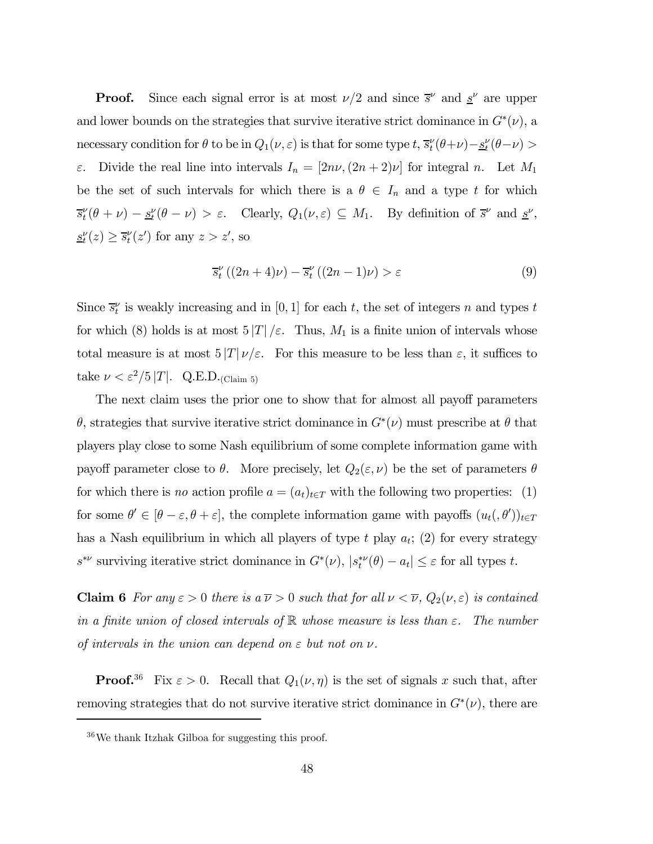**Proof.** Since each signal error is at most  $\nu/2$  and since  $\bar{s}^{\nu}$  and  $\underline{s}^{\nu}$  are upper and lower bounds on the strategies that survive iterative strict dominance in  $G^*(v)$ , a necessary condition for  $\theta$  to be in  $Q_1(\nu, \varepsilon)$  is that for some type  $t$ ,  $\bar{s}_t^{\nu}(\theta+\nu) - \underline{s}_t^{\nu}(\theta-\nu)$ ε. Divide the real line into intervals  $I_n = [2n\nu, (2n+2)\nu]$  for integral n. Let  $M_1$ be the set of such intervals for which there is a  $\theta \in I_n$  and a type t for which  $\overline{s}_t^{\nu}(\theta + \nu) - \underline{s}_t^{\nu}(\theta - \nu) > \varepsilon$ . Clearly,  $Q_1(\nu, \varepsilon) \subseteq M_1$ . By definition of  $\overline{s}^{\nu}$  and  $\underline{s}^{\nu}$ ,  $\underline{s}_t^{\nu}(z) \geq \overline{s}_t^{\nu}(z')$  for any  $z > z'$ , so

$$
\overline{s}_{t}^{\nu}((2n+4)\nu) - \overline{s}_{t}^{\nu}((2n-1)\nu) > \varepsilon
$$
\n(9)

Since  $\bar{s}_t^{\nu}$  is weakly increasing and in [0, 1] for each t, the set of integers n and types t for which (8) holds is at most  $5|T|/\varepsilon$ . Thus,  $M_1$  is a finite union of intervals whose total measure is at most  $5|T|\nu/\varepsilon$ . For this measure to be less than  $\varepsilon$ , it suffices to take  $\nu < \varepsilon^2/5 |T|$ . Q.E.D.<sub>(Claim 5)</sub>

The next claim uses the prior one to show that for almost all payoff parameters θ, strategies that survive iterative strict dominance in G∗(ν) must prescribe at θ that players play close to some Nash equilibrium of some complete information game with payoff parameter close to  $\theta$ . More precisely, let  $Q_2(\varepsilon,\nu)$  be the set of parameters  $\theta$ for which there is no action profile  $a = (a_t)_{t \in T}$  with the following two properties: (1) for some  $\theta' \in [\theta - \varepsilon, \theta + \varepsilon]$ , the complete information game with payoffs  $(u_t, \theta')_{t \in T}$ has a Nash equilibrium in which all players of type  $t$  play  $a_t$ ; (2) for every strategy  $s^{*\nu}$  surviving iterative strict dominance in  $G^*(\nu)$ ,  $|s_t^{*\nu}(\theta) - a_t| \leq \varepsilon$  for all types t.

**Claim 6** For any  $\varepsilon > 0$  there is a  $\overline{\nu} > 0$  such that for all  $\nu < \overline{\nu}$ ,  $Q_2(\nu, \varepsilon)$  is contained in a finite union of closed intervals of  $\mathbb R$  whose measure is less than  $\varepsilon$ . The number of intervals in the union can depend on  $\varepsilon$  but not on  $\nu$ .

**Proof.**<sup>36</sup> Fix  $\varepsilon > 0$ . Recall that  $Q_1(\nu, \eta)$  is the set of signals x such that, after removing strategies that do not survive iterative strict dominance in  $G<sup>*</sup>(\nu)$ , there are

<sup>36</sup>We thank Itzhak Gilboa for suggesting this proof.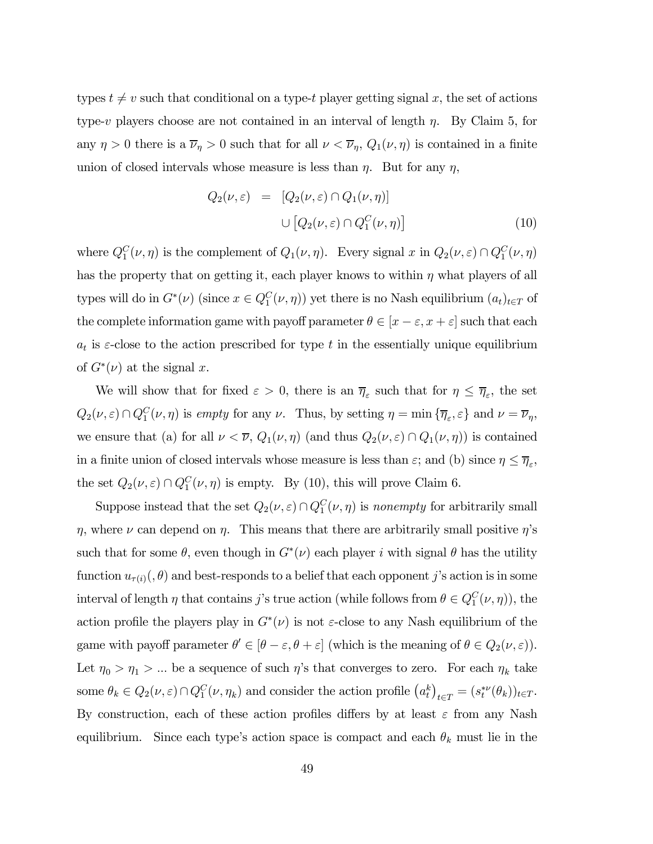types  $t \neq v$  such that conditional on a type-t player getting signal x, the set of actions type-v players choose are not contained in an interval of length  $\eta$ . By Claim 5, for any  $\eta > 0$  there is a  $\overline{\nu}_{\eta} > 0$  such that for all  $\nu < \overline{\nu}_{\eta}$ ,  $Q_1(\nu, \eta)$  is contained in a finite union of closed intervals whose measure is less than  $\eta$ . But for any  $\eta$ ,

$$
Q_2(\nu, \varepsilon) = [Q_2(\nu, \varepsilon) \cap Q_1(\nu, \eta)]
$$
  

$$
\cup [Q_2(\nu, \varepsilon) \cap Q_1^C(\nu, \eta)]
$$
 (10)

where  $Q_1^C(\nu, \eta)$  is the complement of  $Q_1(\nu, \eta)$ . Every signal x in  $Q_2(\nu, \varepsilon) \cap Q_1^C(\nu, \eta)$ has the property that on getting it, each player knows to within  $\eta$  what players of all types will do in  $G^*(\nu)$  (since  $x \in Q_1^C(\nu, \eta)$ ) yet there is no Nash equilibrium  $(a_t)_{t \in T}$  of the complete information game with payoff parameter  $\theta \in [x - \varepsilon, x + \varepsilon]$  such that each  $a_t$  is  $\varepsilon$ -close to the action prescribed for type t in the essentially unique equilibrium of  $G^*(\nu)$  at the signal x.

We will show that for fixed  $\varepsilon > 0$ , there is an  $\overline{\eta}_{\varepsilon}$  such that for  $\eta \leq \overline{\eta}_{\varepsilon}$ , the set  $Q_2(\nu, \varepsilon) \cap Q_1^C(\nu, \eta)$  is empty for any  $\nu$ . Thus, by setting  $\eta = \min \{ \overline{\eta}_{\varepsilon}, \varepsilon \}$  and  $\nu = \overline{\nu}_{\eta}$ , we ensure that (a) for all  $\nu < \overline{\nu}$ ,  $Q_1(\nu, \eta)$  (and thus  $Q_2(\nu, \varepsilon) \cap Q_1(\nu, \eta)$ ) is contained in a finite union of closed intervals whose measure is less than  $\varepsilon$ ; and (b) since  $\eta \leq \overline{\eta}_{\varepsilon}$ , the set  $Q_2(\nu, \varepsilon) \cap Q_1^C(\nu, \eta)$  is empty. By (10), this will prove Claim 6.

Suppose instead that the set  $Q_2(\nu, \varepsilon) \cap Q_1^C(\nu, \eta)$  is nonempty for arbitrarily small  $η$ , where  $ν$  can depend on  $η$ . This means that there are arbitrarily small positive  $η$ 's such that for some  $\theta$ , even though in  $G^*(\nu)$  each player i with signal  $\theta$  has the utility function  $u_{\tau(i)}(\theta)$  and best-responds to a belief that each opponent j's action is in some interval of length  $\eta$  that contains j's true action (while follows from  $\theta \in Q_1^C(\nu, \eta)$ ), the action profile the players play in  $G<sup>*</sup>(\nu)$  is not  $\varepsilon$ -close to any Nash equilibrium of the game with payoff parameter  $\theta' \in [\theta - \varepsilon, \theta + \varepsilon]$  (which is the meaning of  $\theta \in Q_2(\nu, \varepsilon)$ ). Let  $\eta_0 > \eta_1 > ...$  be a sequence of such  $\eta$ 's that converges to zero. For each  $\eta_k$  take some  $\theta_k \in Q_2(\nu, \varepsilon) \cap Q_1^C(\nu, \eta_k)$  and consider the action profile  $(a_t^k)_{t \in T} = (s_t^{*\nu}(\theta_k))_{t \in T}$ . By construction, each of these action profiles differs by at least  $\varepsilon$  from any Nash equilibrium. Since each type's action space is compact and each  $\theta_k$  must lie in the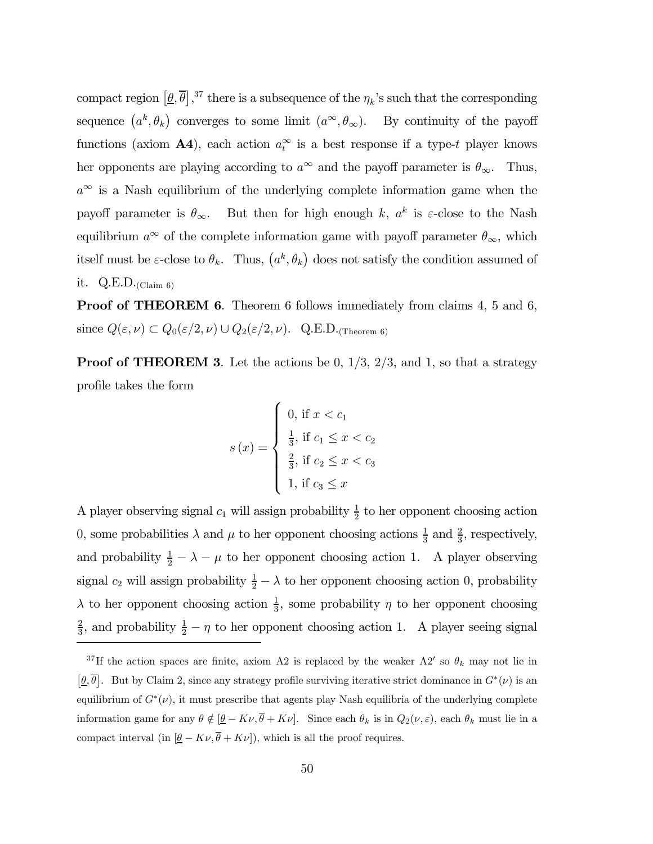compact region  $[\underline{\theta}, \overline{\theta}]$ ,<sup>37</sup> there is a subsequence of the  $\eta_k$ 's such that the corresponding sequence  $(a^k, \theta_k)$  converges to some limit  $(a^{\infty}, \theta_{\infty})$ . By continuity of the payoff functions (axiom  $\mathbf{A4}$ ), each action  $a_t^{\infty}$  is a best response if a type-t player knows her opponents are playing according to  $a^{\infty}$  and the payoff parameter is  $\theta_{\infty}$ . Thus,  $a^{\infty}$  is a Nash equilibrium of the underlying complete information game when the payoff parameter is  $\theta_{\infty}$ . But then for high enough k,  $a^{k}$  is  $\varepsilon$ -close to the Nash equilibrium  $a^{\infty}$  of the complete information game with payoff parameter  $\theta_{\infty}$ , which itself must be  $\varepsilon$ -close to  $\theta_k$ . Thus,  $(a^k, \theta_k)$  does not satisfy the condition assumed of it.  $Q.E.D._{\text{(Claim 6)}}$ 

Proof of THEOREM 6. Theorem 6 follows immediately from claims 4, 5 and 6, since  $Q(\varepsilon,\nu) \subset Q_0(\varepsilon/2,\nu) \cup Q_2(\varepsilon/2,\nu)$ . Q.E.D.<sub>(Theorem 6)</sub>

**Proof of THEOREM 3.** Let the actions be 0,  $1/3$ ,  $2/3$ , and 1, so that a strategy profile takes the form

$$
s(x) = \begin{cases} 0, \text{ if } x < c_1 \\ \frac{1}{3}, \text{ if } c_1 \leq x < c_2 \\ \frac{2}{3}, \text{ if } c_2 \leq x < c_3 \\ 1, \text{ if } c_3 \leq x \end{cases}
$$

A player observing signal  $c_1$  will assign probability  $\frac{1}{2}$  to her opponent choosing action 0, some probabilities  $\lambda$  and  $\mu$  to her opponent choosing actions  $\frac{1}{3}$  and  $\frac{2}{3}$ , respectively, and probability  $\frac{1}{2} - \lambda - \mu$  to her opponent choosing action 1. A player observing signal  $c_2$  will assign probability  $\frac{1}{2} - \lambda$  to her opponent choosing action 0, probability  $\lambda$  to her opponent choosing action  $\frac{1}{3}$ , some probability  $\eta$  to her opponent choosing  $\frac{2}{3}$ , and probability  $\frac{1}{2} - \eta$  to her opponent choosing action 1. A player seeing signal

<sup>&</sup>lt;sup>37</sup>If the action spaces are finite, axiom A2 is replaced by the weaker A2' so  $\theta_k$  may not lie in  $[\underline{\theta}, \overline{\theta}]$ . But by Claim 2, since any strategy profile surviving iterative strict dominance in  $G^*(\nu)$  is an equilibrium of  $G^*(v)$ , it must prescribe that agents play Nash equilibria of the underlying complete information game for any  $\theta \notin [\underline{\theta} - K\nu, \overline{\theta} + K\nu]$ . Since each  $\theta_k$  is in  $Q_2(\nu, \varepsilon)$ , each  $\theta_k$  must lie in a compact interval (in  $[\underline{\theta} - K\nu, \overline{\theta} + K\nu]$ ), which is all the proof requires.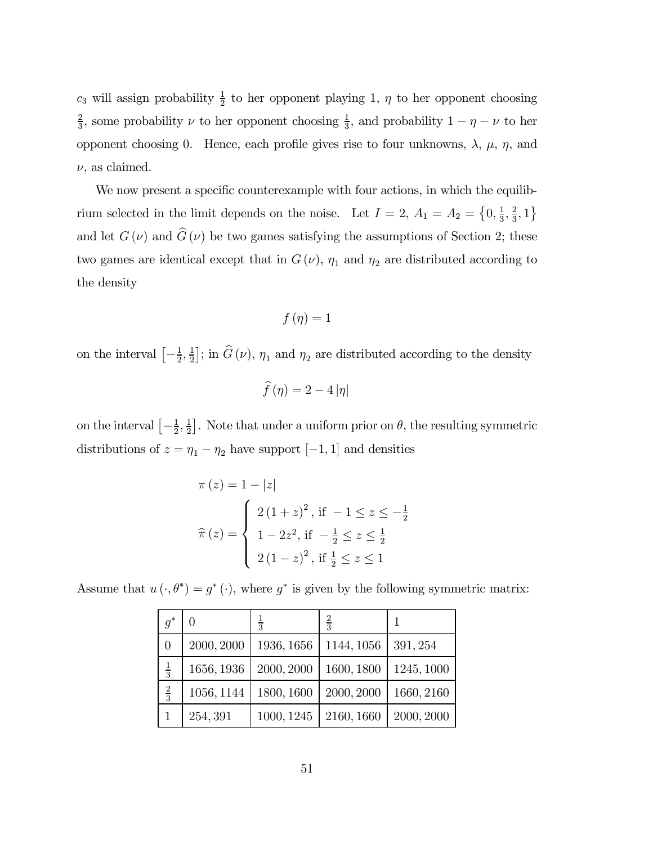$c_3$  will assign probability  $\frac{1}{2}$  to her opponent playing 1,  $\eta$  to her opponent choosing  $\frac{2}{3}$ , some probability  $\nu$  to her opponent choosing  $\frac{1}{3}$ , and probability  $1 - \eta - \nu$  to her opponent choosing 0. Hence, each profile gives rise to four unknowns,  $\lambda$ ,  $\mu$ ,  $\eta$ , and  $\nu$ , as claimed.

We now present a specific counterexample with four actions, in which the equilibrium selected in the limit depends on the noise. Let  $I = 2$ ,  $A_1 = A_2 = \{0, \frac{1}{3}, \frac{2}{3}, 1\}$ and let  $G(\nu)$  and  $\widehat{G}(\nu)$  be two games satisfying the assumptions of Section 2; these two games are identical except that in  $G(\nu)$ ,  $\eta_1$  and  $\eta_2$  are distributed according to the density

$$
f(\eta) = 1
$$

on the interval  $\left[-\frac{1}{2},\frac{1}{2}\right]$ ; in  $\widehat{G}(\nu)$ ,  $\eta_1$  and  $\eta_2$  are distributed according to the density

$$
\widehat{f}(\eta) = 2 - 4 |\eta|
$$

on the interval  $\left[-\frac{1}{2},\frac{1}{2}\right]$ . Note that under a uniform prior on  $\theta$ , the resulting symmetric distributions of  $z = \eta_1 - \eta_2$  have support [−1, 1] and densities

$$
\pi(z) = 1 - |z|
$$
  
\n
$$
\hat{\pi}(z) = \begin{cases}\n2(1+z)^2, & \text{if } -1 \le z \le -\frac{1}{2} \\
1 - 2z^2, & \text{if } -\frac{1}{2} \le z \le \frac{1}{2} \\
2(1-z)^2, & \text{if } \frac{1}{2} \le z \le 1\n\end{cases}
$$

Assume that  $u(\cdot, \theta^*) = g^*(\cdot)$ , where  $g^*$  is given by the following symmetric matrix:

| $g^*$         |            | $\frac{1}{3}$ | $\overline{3}$ |            |
|---------------|------------|---------------|----------------|------------|
| 0             | 2000, 2000 | 1936, 1656    | 1144, 1056     | 391, 254   |
| $\frac{1}{3}$ | 1656, 1936 | 2000, 2000    | 1600, 1800     | 1245, 1000 |
| $\frac{2}{3}$ | 1056, 1144 | 1800, 1600    | 2000, 2000     | 1660, 2160 |
|               | 254, 391   | 1000, 1245    | 2160, 1660     | 2000, 2000 |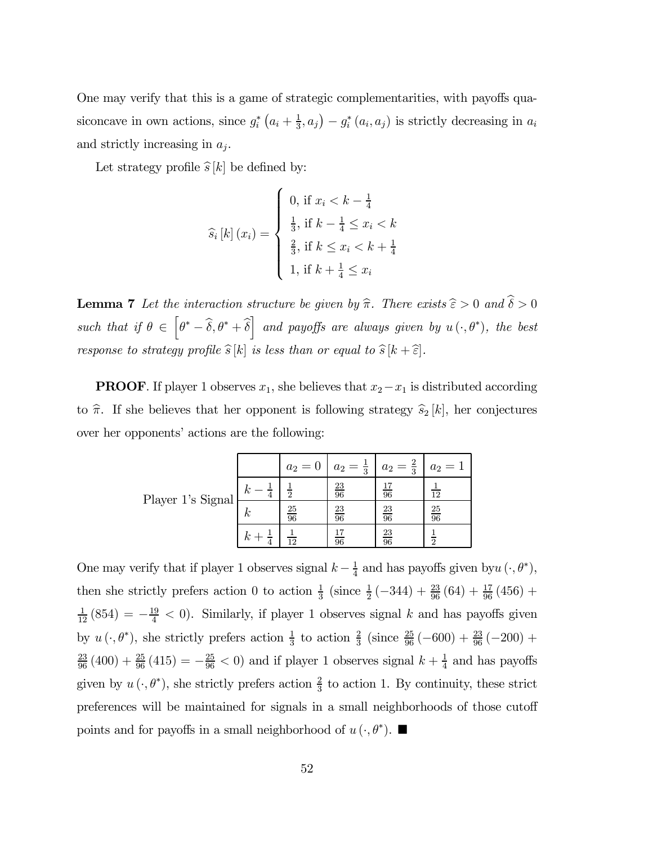One may verify that this is a game of strategic complementarities, with payoffs quasiconcave in own actions, since  $g_i^* (a_i + \frac{1}{3}, a_j) - g_i^* (a_i, a_j)$  is strictly decreasing in  $a_i$ and strictly increasing in  $a_i$ .

Let strategy profile  $\hat{s}[k]$  be defined by:

$$
\hat{s}_i[k](x_i) = \begin{cases} 0, \text{ if } x_i < k - \frac{1}{4} \\ \frac{1}{3}, \text{ if } k - \frac{1}{4} \le x_i < k \\ \frac{2}{3}, \text{ if } k \le x_i < k + \frac{1}{4} \\ 1, \text{ if } k + \frac{1}{4} \le x_i \end{cases}
$$

**Lemma 7** Let the interaction structure be given by  $\hat{\pi}$ . There exists  $\hat{\epsilon} > 0$  and  $\hat{\delta} > 0$ such that if  $\theta \in \left[\theta^* - \widehat{\delta}, \theta^* + \widehat{\delta}\right]$  and payoffs are always given by  $u(\cdot, \theta^*)$ , the best response to strategy profile  $\widehat{s}[k]$  is less than or equal to  $\widehat{s}[k+\widehat{\epsilon}]$ .

**PROOF.** If player 1 observes  $x_1$ , she believes that  $x_2 - x_1$  is distributed according to  $\hat{\pi}$ . If she believes that her opponent is following strategy  $\hat{s}_2 [k]$ , her conjectures over her opponents' actions are the following:

|                   |             | $a_2 =$         | $\frac{1}{3}$<br>$a_2 =$ | $a_2 = \frac{2}{3}$ | $a_2 =$         |
|-------------------|-------------|-----------------|--------------------------|---------------------|-----------------|
| Player 1's Signal | $\kappa$    | $\overline{2}$  | $\frac{23}{96}$          | $\overline{96}$     | 12              |
|                   | $_{\kappa}$ | $\frac{25}{96}$ | $\frac{23}{96}$          | $\frac{23}{96}$     | $\frac{25}{96}$ |
|                   | $\kappa$    | 12              | 96                       | $\frac{23}{96}$     |                 |

One may verify that if player 1 observes signal  $k - \frac{1}{4}$  and has payoffs given by  $u(\cdot, \theta^*)$ , then she strictly prefers action 0 to action  $\frac{1}{3}$  (since  $\frac{1}{2}$  (-344) +  $\frac{23}{96}$  (64) +  $\frac{17}{96}$  (456) +  $\frac{1}{12}(854) = -\frac{19}{4} < 0$ . Similarly, if player 1 observes signal k and has payoffs given by  $u(\cdot, \theta^*)$ , she strictly prefers action  $\frac{1}{3}$  to action  $\frac{2}{3}$  (since  $\frac{25}{96}(-600) + \frac{23}{96}(-200) +$  $\frac{23}{96}(400) + \frac{25}{96}(415) = -\frac{25}{96} < 0$  and if player 1 observes signal  $k + \frac{1}{4}$  and has payoffs given by  $u(\cdot, \theta^*)$ , she strictly prefers action  $\frac{2}{3}$  to action 1. By continuity, these strict preferences will be maintained for signals in a small neighborhoods of those cutoff points and for payoffs in a small neighborhood of  $u(\cdot, \theta^*)$ .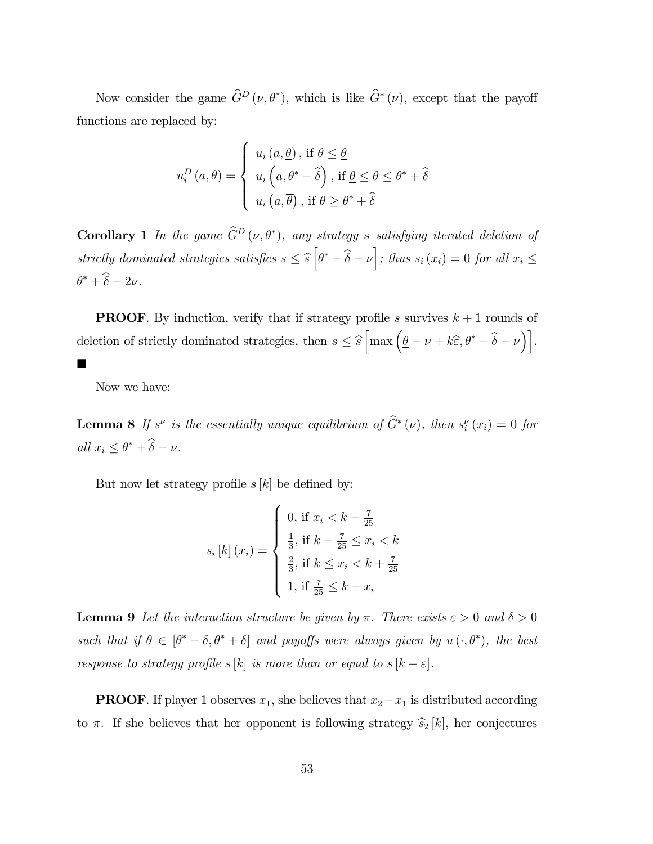Now consider the game  $\hat{G}^D(\nu, \theta^*)$ , which is like  $\hat{G}^*(\nu)$ , except that the payoff functions are replaced by:

$$
u_i^D(a,\theta) = \begin{cases} u_i(a,\underline{\theta}), \text{ if } \theta \leq \underline{\theta} \\ u_i(a,\theta^* + \widehat{\delta}), \text{ if } \underline{\theta} \leq \theta \leq \theta^* + \widehat{\delta} \\ u_i(a,\overline{\theta}), \text{ if } \theta \geq \theta^* + \widehat{\delta} \end{cases}
$$

**Corollary 1** In the game  $\tilde{G}^D(\nu,\theta^*)$ , any strategy s satisfying iterated deletion of strictly dominated strategies satisfies  $s \leq \widehat{s} \left[\theta^* + \widehat{\delta} - \nu\right]$ ; thus  $s_i(x_i) = 0$  for all  $x_i \leq$  $\theta^* + \widehat{\delta} - 2\nu$ .

**PROOF.** By induction, verify that if strategy profile s survives  $k + 1$  rounds of deletion of strictly dominated strategies, then  $s \leq \hat{s} \left[ \max \left( \underline{\theta} - \nu + k \hat{\epsilon}, \theta^* + \hat{\delta} - \nu \right) \right]$ .

Now we have:

**.** 

**Lemma 8** If s<sup>ν</sup> is the essentially unique equilibrium of  $\widehat{G}^*(v)$ , then  $s_i^{\nu}(x_i)=0$  for all  $x_i \leq \theta^* + \widehat{\delta} - \nu$ .

But now let strategy profile  $s[k]$  be defined by:

$$
s_i[k](x_i) = \begin{cases} 0, \text{ if } x_i < k - \frac{7}{25} \\ \frac{1}{3}, \text{ if } k - \frac{7}{25} \le x_i < k \\ \frac{2}{3}, \text{ if } k \le x_i < k + \frac{7}{25} \\ 1, \text{ if } \frac{7}{25} \le k + x_i \end{cases}
$$

**Lemma 9** Let the interaction structure be given by  $\pi$ . There exists  $\varepsilon > 0$  and  $\delta > 0$ such that if  $\theta \in [\theta^* - \delta, \theta^* + \delta]$  and payoffs were always given by  $u(\cdot, \theta^*)$ , the best response to strategy profile s [k] is more than or equal to  $s [k - \varepsilon]$ .

**PROOF.** If player 1 observes  $x_1$ , she believes that  $x_2 - x_1$  is distributed according to  $\pi$ . If she believes that her opponent is following strategy  $\hat{s}_2$  [k], her conjectures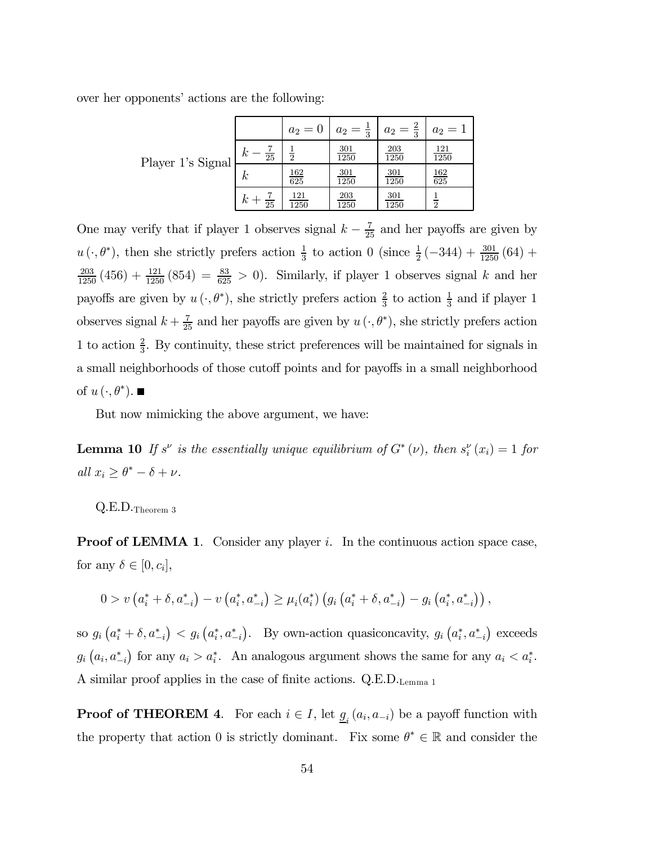over her opponents' actions are the following:

|                   |                                    | $a_2=0$                         | $a_2=\frac{1}{3}$  | $a_2=\frac{2}{3}$  | $a_2 = 1$          |
|-------------------|------------------------------------|---------------------------------|--------------------|--------------------|--------------------|
| Player 1's Signal | $\kappa$<br>$\overline{25}$        | $\overline{2}$                  | <b>301</b><br>1250 | $\frac{203}{1250}$ | <u>121</u><br>1250 |
|                   | $\kappa$                           | $\frac{162}{625}$               | $\frac{301}{1250}$ | $\frac{301}{1250}$ | $\frac{162}{625}$  |
|                   | $\boldsymbol{k}$<br>$\frac{1}{25}$ | <u>121</u><br>$\overline{1250}$ | <u>203</u><br>1250 | <b>301</b><br>1250 | $\overline{2}$     |

One may verify that if player 1 observes signal  $k - \frac{7}{25}$  and her payoffs are given by  $u(\cdot,\theta^*)$ , then she strictly prefers action  $\frac{1}{3}$  to action 0 (since  $\frac{1}{2}(-344) + \frac{301}{1250}(64) +$  $\frac{203}{1250}$  (456) +  $\frac{121}{1250}$  (854) =  $\frac{83}{625} > 0$ ). Similarly, if player 1 observes signal k and her payoffs are given by  $u(\cdot, \theta^*)$ , she strictly prefers action  $\frac{2}{3}$  to action  $\frac{1}{3}$  and if player 1 observes signal  $k + \frac{7}{25}$  and her payoffs are given by  $u(\cdot, \theta^*)$ , she strictly prefers action 1 to action  $\frac{2}{3}$ . By continuity, these strict preferences will be maintained for signals in a small neighborhoods of those cutoff points and for payoffs in a small neighborhood of  $u(\cdot, \theta^*)$ .

But now mimicking the above argument, we have:

**Lemma 10** If  $s^{\nu}$  is the essentially unique equilibrium of  $G^*(\nu)$ , then  $s_i^{\nu}(x_i)=1$  for all  $x_i \geq \theta^* - \delta + \nu$ .

Q.E.D.Theorem 3

**Proof of LEMMA 1.** Consider any player i. In the continuous action space case, for any  $\delta \in [0, c_i],$ 

$$
0 > v\left(a_i^* + \delta, a_{-i}^*\right) - v\left(a_i^*, a_{-i}^*\right) \ge \mu_i(a_i^*) \left(g_i\left(a_i^* + \delta, a_{-i}^*\right) - g_i\left(a_i^*, a_{-i}^*\right)\right),
$$

so  $g_i(a_i^* + \delta, a_{-i}^*) < g_i(a_i^*, a_{-i}^*)$ . By own-action quasiconcavity,  $g_i(a_i^*, a_{-i}^*)$  exceeds  $g_i\left(a_i, a_{-i}^*\right)$  for any  $a_i > a_i^*$ . An analogous argument shows the same for any  $a_i < a_i^*$ . A similar proof applies in the case of finite actions. Q.E.D.Lemma 1

**Proof of THEOREM 4.** For each  $i \in I$ , let  $\underline{g}_i(a_i, a_{-i})$  be a payoff function with the property that action 0 is strictly dominant. Fix some  $\theta^* \in \mathbb{R}$  and consider the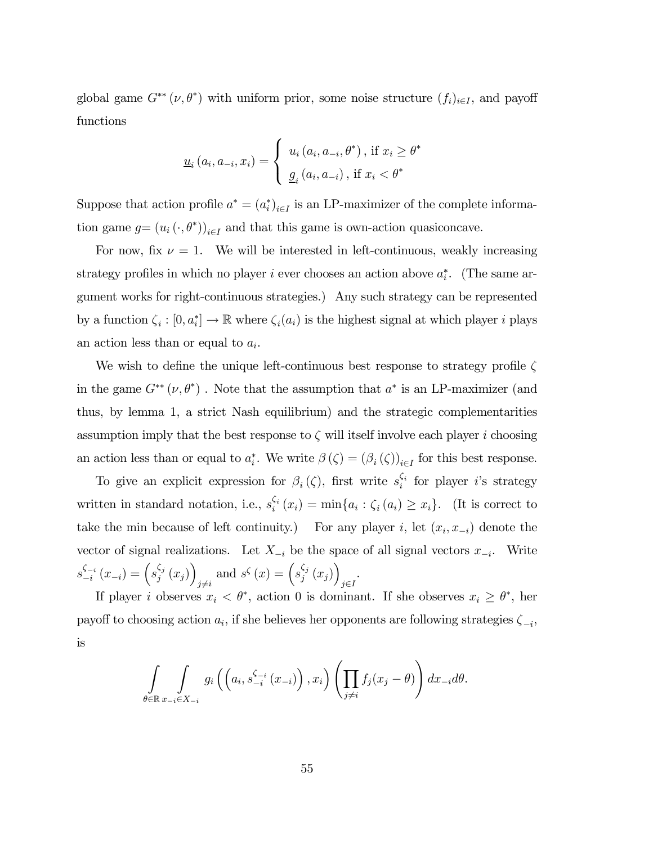global game  $G^{**}(\nu, \theta^*)$  with uniform prior, some noise structure  $(f_i)_{i \in I}$ , and payoff functions

$$
\underline{u}_{i}(a_{i}, a_{-i}, x_{i}) = \begin{cases} u_{i}(a_{i}, a_{-i}, \theta^{*}), \text{ if } x_{i} \geq \theta^{*} \\ \underline{g}_{i}(a_{i}, a_{-i}), \text{ if } x_{i} < \theta^{*} \end{cases}
$$

Suppose that action profile  $a^* = (a_i^*)_{i \in I}$  is an LP-maximizer of the complete information game  $g = (u_i(\cdot, \theta^*))_{i \in I}$  and that this game is own-action quasiconcave.

For now, fix  $\nu = 1$ . We will be interested in left-continuous, weakly increasing strategy profiles in which no player i ever chooses an action above  $a_i^*$ . (The same argument works for right-continuous strategies.) Any such strategy can be represented by a function  $\zeta_i : [0, a_i^*] \to \mathbb{R}$  where  $\zeta_i(a_i)$  is the highest signal at which player *i* plays an action less than or equal to  $a_i$ .

We wish to define the unique left-continuous best response to strategy profile  $\zeta$ in the game  $G^{**}(\nu, \theta^*)$ . Note that the assumption that  $a^*$  is an LP-maximizer (and thus, by lemma 1, a strict Nash equilibrium) and the strategic complementarities assumption imply that the best response to  $\zeta$  will itself involve each player i choosing an action less than or equal to  $a_i^*$ . We write  $\beta(\zeta)=(\beta_i(\zeta))_{i\in I}$  for this best response.

To give an explicit expression for  $\beta_i(\zeta)$ , first write  $s_i^{\zeta_i}$  for player *i*'s strategy written in standard notation, i.e.,  $s_i^{\zeta_i}(x_i) = \min\{a_i : \zeta_i(a_i) \geq x_i\}$ . (It is correct to take the min because of left continuity.) For any player i, let  $(x_i, x_{-i})$  denote the vector of signal realizations. Let  $X_{-i}$  be the space of all signal vectors  $x_{-i}$ . Write  $s_{-i}^{\zeta_{-i}}(x_{-i}) = \left(s_{j}^{\zeta_{j}}(x_{j})\right)$  $j\neq i$ and  $s^{\zeta}(x) = \left(s_j^{\zeta_j}(x_j)\right)$ j∈I .

If player *i* observes  $x_i < \theta^*$ , action 0 is dominant. If she observes  $x_i \geq \theta^*$ , her payoff to choosing action  $a_i$ , if she believes her opponents are following strategies  $\zeta_{-i}$ , is

$$
\int_{\theta \in \mathbb{R}} \int_{x_{-i} \in X_{-i}} g_i \left( \left( a_i, s_{-i}^{\zeta_{-i}} (x_{-i}) \right), x_i \right) \left( \prod_{j \neq i} f_j (x_j - \theta) \right) dx_{-i} d\theta.
$$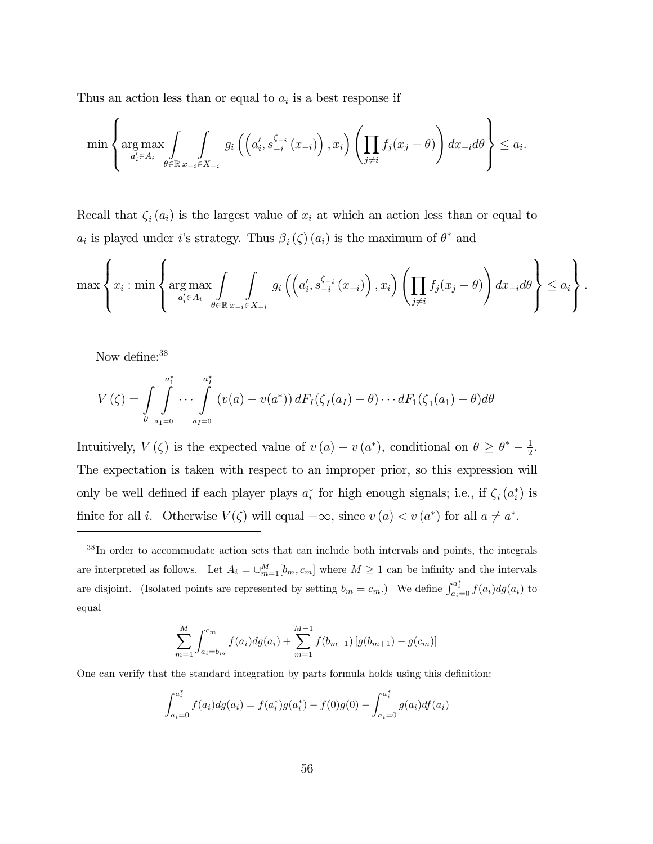Thus an action less than or equal to  $a_i$  is a best response if

$$
\min \left\{\arg \max_{a'_i \in A_i} \int_{\theta \in \mathbb{R}} \int_{x_{-i} \in X_{-i}} g_i \left( \left( a'_i, s_{-i}^{\zeta_{-i}} (x_{-i}) \right), x_i \right) \left( \prod_{j \neq i} f_j (x_j - \theta) \right) dx_{-i} d\theta \right\} \le a_i.
$$

Recall that  $\zeta_i(a_i)$  is the largest value of  $x_i$  at which an action less than or equal to  $a_i$  is played under i's strategy. Thus  $\beta_i(\zeta)(a_i)$  is the maximum of  $\theta^*$  and

$$
\max\left\{x_i:\min\left\{\argmax_{a'_i\in A_i}\int\limits_{\theta\in\mathbb{R}}\int\limits_{x_{-i}\in X_{-i}}g_i\left(\left(a'_i,s_{-i}^{\zeta_{-i}}(x_{-i})\right),x_i\right)\left(\prod\limits_{j\neq i}f_j(x_j-\theta)\right)dx_{-i}d\theta\right\}\leq a_i\right\}.
$$

Now define:<sup>38</sup>

$$
V(\zeta) = \int\limits_{\theta} \int\limits_{a_1=0}^{a_1^*} \cdots \int\limits_{a_I=0}^{a_I^*} \left( v(a) - v(a^*) \right) dF_I(\zeta_I(a_I) - \theta) \cdots dF_1(\zeta_I(a_1) - \theta) d\theta
$$

Intuitively,  $V(\zeta)$  is the expected value of  $v(a) - v(a^*)$ , conditional on  $\theta \ge \theta^* - \frac{1}{2}$ . The expectation is taken with respect to an improper prior, so this expression will only be well defined if each player plays  $a_i^*$  for high enough signals; i.e., if  $\zeta_i(a_i^*)$  is finite for all *i*. Otherwise  $V(\zeta)$  will equal  $-\infty$ , since  $v(a) < v(a^*)$  for all  $a \neq a^*$ .

<sup>38</sup> In order to accommodate action sets that can include both intervals and points, the integrals are interpreted as follows. Let  $A_i = \bigcup_{m=1}^{M} [b_m, c_m]$  where  $M \geq 1$  can be infinity and the intervals are disjoint. (Isolated points are represented by setting  $b_m = c_m$ .) We define  $\int_{a_i=0}^{a_i^*} f(a_i) dg(a_i)$  to equal

$$
\sum_{m=1}^{M} \int_{a_i=b_m}^{c_m} f(a_i) dg(a_i) + \sum_{m=1}^{M-1} f(b_{m+1}) [g(b_{m+1}) - g(c_m)]
$$

One can verify that the standard integration by parts formula holds using this definition:

$$
\int_{a_i=0}^{a_i^*} f(a_i) dg(a_i) = f(a_i^*) g(a_i^*) - f(0)g(0) - \int_{a_i=0}^{a_i^*} g(a_i) df(a_i)
$$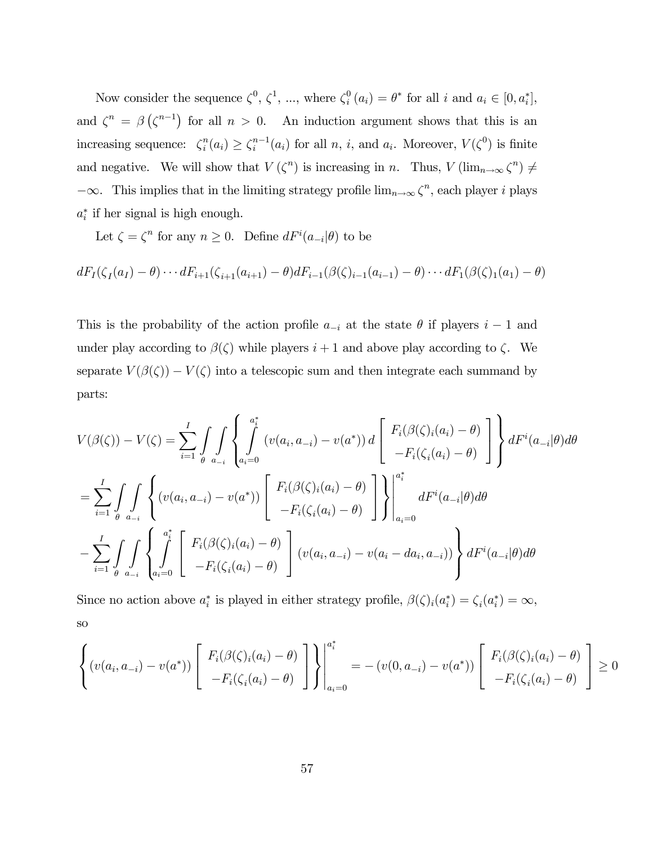Now consider the sequence  $\zeta^0$ ,  $\zeta^1$ , ..., where  $\zeta_i^0$   $(a_i) = \theta^*$  for all i and  $a_i \in [0, a_i^*]$ , and  $\zeta^{n} = \beta(\zeta^{n-1})$  for all  $n > 0$ . An induction argument shows that this is an increasing sequence:  $\zeta_i^n(a_i) \geq \zeta_i^{n-1}(a_i)$  for all n, i, and  $a_i$ . Moreover,  $V(\zeta^0)$  is finite and negative. We will show that  $V(\zeta^n)$  is increasing in n. Thus,  $V(\lim_{n\to\infty}\zeta^n) \neq$  $-\infty$ . This implies that in the limiting strategy profile  $\lim_{n\to\infty} \zeta^n$ , each player i plays  $a_i^*$  if her signal is high enough.

Let  $\zeta = \zeta^n$  for any  $n \geq 0$ . Define  $dF^i(a_{-i}|\theta)$  to be

$$
dF_1(\zeta_1(a_1) - \theta) \cdots dF_{i+1}(\zeta_{i+1}(a_{i+1}) - \theta) dF_{i-1}(\beta(\zeta)_{i-1}(a_{i-1}) - \theta) \cdots dF_1(\beta(\zeta)_{1}(a_1) - \theta)
$$

This is the probability of the action profile  $a_{-i}$  at the state  $\theta$  if players  $i-1$  and under play according to  $\beta(\zeta)$  while players  $i+1$  and above play according to  $\zeta$ . We separate  $V(\beta(\zeta)) - V(\zeta)$  into a telescopic sum and then integrate each summand by parts:

$$
V(\beta(\zeta)) - V(\zeta) = \sum_{i=1}^{I} \int \int \int \left\{ \int_{a_i=0}^{a_i^*} (v(a_i, a_{-i}) - v(a^*)) d \begin{bmatrix} F_i(\beta(\zeta)_i(a_i) - \theta) \\ -F_i(\zeta_i(a_i) - \theta) \end{bmatrix} \right\} dF^i(a_{-i}|\theta) d\theta
$$
  

$$
= \sum_{i=1}^{I} \int \int \int \left\{ (v(a_i, a_{-i}) - v(a^*)) \begin{bmatrix} F_i(\beta(\zeta)_i(a_i) - \theta) \\ -F_i(\zeta_i(a_i) - \theta) \end{bmatrix} \right\} \Big|_{a_i=0}^{a_i^*} dF^i(a_{-i}|\theta) d\theta
$$
  

$$
- \sum_{i=1}^{I} \int \int \int \int \int \int_{a_{i}=0}^{a_i^*} \int \left[ F_i(\beta(\zeta)_i(a_i) - \theta) \right] (v(a_i, a_{-i}) - v(a_i - da_i, a_{-i})) \right\} dF^i(a_{-i}|\theta) d\theta
$$

Since no action above  $a_i^*$  is played in either strategy profile,  $\beta(\zeta)_i(a_i^*) = \zeta_i(a_i^*) = \infty$ , so

$$
\left\{ \left( v(a_i, a_{-i}) - v(a^*) \right) \left[ \begin{array}{c} F_i(\beta(\zeta)_i(a_i) - \theta) \\ -F_i(\zeta_i(a_i) - \theta) \end{array} \right] \right\} \Bigg|_{a_i=0}^{a_i^*} = -\left( v(0, a_{-i}) - v(a^*) \right) \left[ \begin{array}{c} F_i(\beta(\zeta)_i(a_i) - \theta) \\ -F_i(\zeta_i(a_i) - \theta) \end{array} \right] \ge 0
$$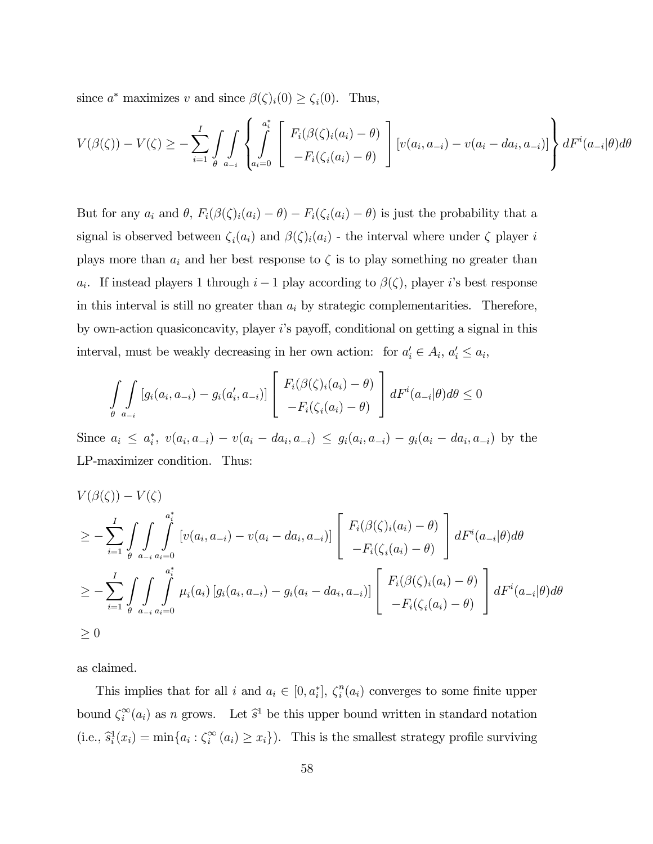since  $a^*$  maximizes v and since  $\beta(\zeta)_i(0) \geq \zeta_i(0)$ . Thus,

$$
V(\beta(\zeta)) - V(\zeta) \ge -\sum_{i=1}^{I} \int_{\theta} \int_{a_{-i}} \left\{ \int_{a_i=0}^{a_i^*} \left[ F_i(\beta(\zeta)_i(a_i) - \theta) \right] \left[ v(a_i, a_{-i}) - v(a_i - da_i, a_{-i}) \right] \right\} dF^i(a_{-i}|\theta) d\theta
$$

But for any  $a_i$  and  $\theta$ ,  $F_i(\beta(\zeta)_i(a_i) - \theta) - F_i(\zeta_i(a_i) - \theta)$  is just the probability that a signal is observed between  $\zeta_i(a_i)$  and  $\beta(\zeta)_i(a_i)$  - the interval where under  $\zeta$  player i plays more than  $a_i$  and her best response to  $\zeta$  is to play something no greater than a<sub>i</sub>. If instead players 1 through  $i-1$  play according to  $\beta(\zeta)$ , player i's best response in this interval is still no greater than  $a_i$  by strategic complementarities. Therefore, by own-action quasiconcavity, player iís payoff, conditional on getting a signal in this interval, must be weakly decreasing in her own action: for  $a'_i \in A_i$ ,  $a'_i \le a_i$ ,

$$
\int_{\theta} \int_{a_{-i}} [g_i(a_i, a_{-i}) - g_i(a'_i, a_{-i})] \begin{bmatrix} F_i(\beta(\zeta)_i(a_i) - \theta) \\ -F_i(\zeta_i(a_i) - \theta) \end{bmatrix} dF^i(a_{-i}|\theta) d\theta \le 0
$$

Since  $a_i \leq a_i^*$ ,  $v(a_i, a_{-i}) - v(a_i - da_i, a_{-i}) \leq g_i(a_i, a_{-i}) - g_i(a_i - da_i, a_{-i})$  by the LP-maximizer condition. Thus:

$$
V(\beta(\zeta)) - V(\zeta)
$$
  
\n
$$
\geq -\sum_{i=1}^{I} \int_{\theta} \int_{a_{-i}}^{a_i^*} \left[ v(a_i, a_{-i}) - v(a_i - da_i, a_{-i}) \right] \left[ F_i(\beta(\zeta)_i(a_i) - \theta) \right] dF^i(a_{-i}|\theta) d\theta
$$
  
\n
$$
\geq -\sum_{i=1}^{I} \int_{\theta} \int_{a_{-i}}^{a_i^*} \int_{a_i(a_i)}^{a_i^*} \mu_i(a_i) \left[ g_i(a_i, a_{-i}) - g_i(a_i - da_i, a_{-i}) \right] \left[ F_i(\beta(\zeta)_i(a_i) - \theta) \right] dF^i(a_{-i}|\theta) d\theta
$$
  
\n
$$
\geq 0
$$

as claimed.

This implies that for all i and  $a_i \in [0, a_i^*]$ ,  $\zeta_i^n(a_i)$  converges to some finite upper bound  $\zeta_i^{\infty}(a_i)$  as n grows. Let  $\hat{s}^1$  be this upper bound written in standard notation (i.e.,  $\hat{s}_i^1(x_i) = \min\{a_i : \hat{\zeta}_i^{\infty}(a_i) \geq x_i\}$ ). This is the smallest strategy profile surviving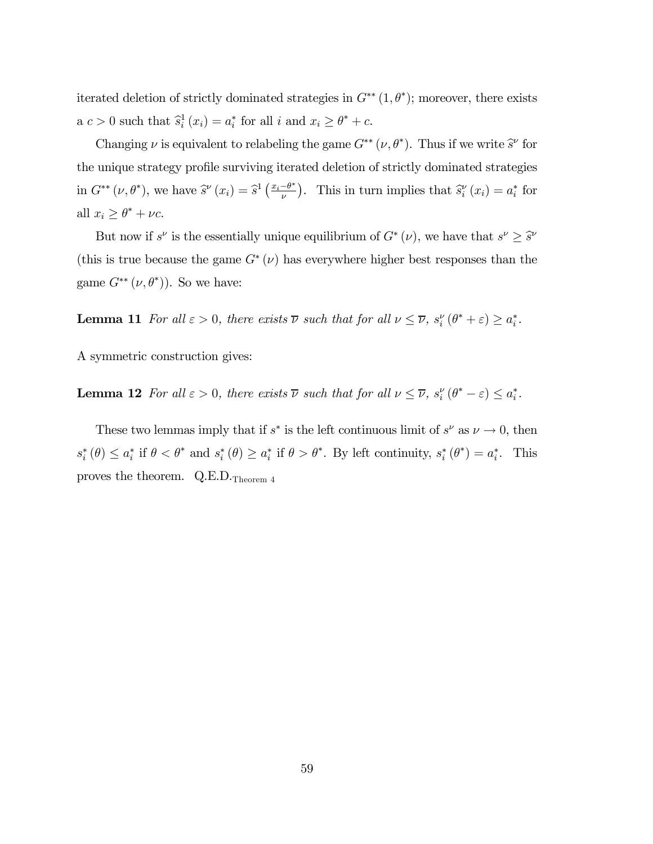iterated deletion of strictly dominated strategies in  $G^{**}(1,\theta^*)$ ; moreover, there exists  $a c > 0$  such that  $\hat{s}_i^1(x_i) = a_i^*$  for all i and  $x_i \geq \theta^* + c$ .

Changing  $\nu$  is equivalent to relabeling the game  $G^{**}(\nu, \theta^*)$ . Thus if we write  $\hat{s}^{\nu}$  for the unique strategy profile surviving iterated deletion of strictly dominated strategies in  $G^{**}(\nu, \theta^*)$ , we have  $\hat{s}^{\nu}(x_i) = \hat{s}^1\left(\frac{x_i-\theta^*}{\nu}\right)$ . This in turn implies that  $\hat{s}^{\nu}_i(x_i) = a_i^*$  for all  $x_i \geq \theta^* + \nu c$ .

But now if  $s^{\nu}$  is the essentially unique equilibrium of  $G^*(\nu)$ , we have that  $s^{\nu} \geq \hat{s}^{\nu}$ (this is true because the game  $G^*(\nu)$  has everywhere higher best responses than the game  $G^{**}(\nu,\theta^*)$ ). So we have:

**Lemma 11** For all  $\varepsilon > 0$ , there exists  $\overline{\nu}$  such that for all  $\nu \leq \overline{\nu}$ ,  $s_i^{\nu}(\theta^* + \varepsilon) \geq a_i^*$ .

A symmetric construction gives:

**Lemma 12** For all  $\varepsilon > 0$ , there exists  $\overline{\nu}$  such that for all  $\nu \leq \overline{\nu}$ ,  $s_i^{\nu}(\theta^* - \varepsilon) \leq a_i^*$ .

These two lemmas imply that if  $s^*$  is the left continuous limit of  $s^{\nu}$  as  $\nu \to 0$ , then  $s_i^*(\theta) \leq a_i^*$  if  $\theta < \theta^*$  and  $s_i^*(\theta) \geq a_i^*$  if  $\theta > \theta^*$ . By left continuity,  $s_i^*(\theta^*) = a_i^*$ . This proves the theorem.  $Q.E.D.\tau_{heorem 4}$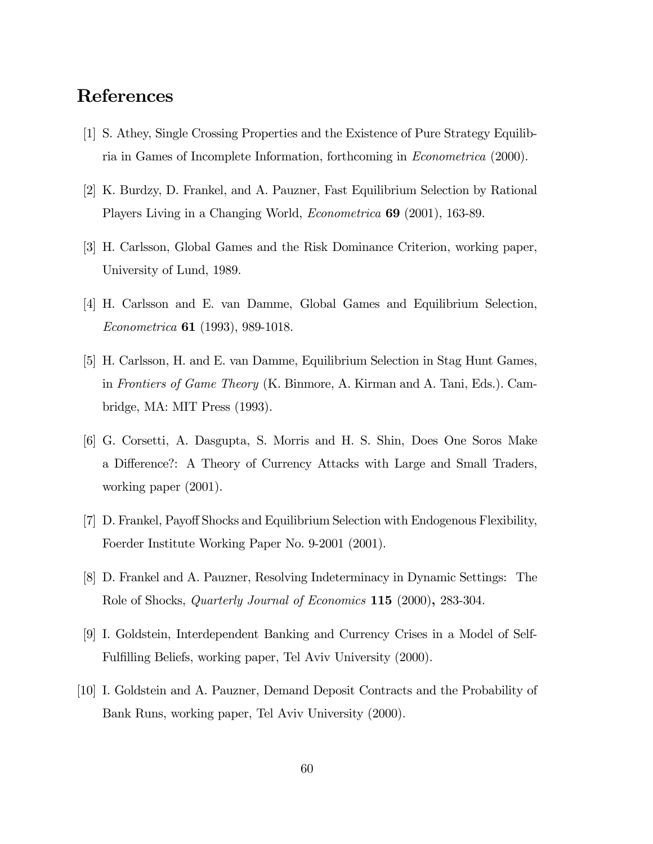# References

- [1] S. Athey, Single Crossing Properties and the Existence of Pure Strategy Equilibria in Games of Incomplete Information, forthcoming in Econometrica (2000).
- [2] K. Burdzy, D. Frankel, and A. Pauzner, Fast Equilibrium Selection by Rational Players Living in a Changing World, Econometrica 69 (2001), 163-89.
- [3] H. Carlsson, Global Games and the Risk Dominance Criterion, working paper, University of Lund, 1989.
- [4] H. Carlsson and E. van Damme, Global Games and Equilibrium Selection, Econometrica 61 (1993), 989-1018.
- [5] H. Carlsson, H. and E. van Damme, Equilibrium Selection in Stag Hunt Games, in Frontiers of Game Theory (K. Binmore, A. Kirman and A. Tani, Eds.). Cambridge, MA: MIT Press (1993).
- [6] G. Corsetti, A. Dasgupta, S. Morris and H. S. Shin, Does One Soros Make a Difference?: A Theory of Currency Attacks with Large and Small Traders, working paper (2001).
- [7] D. Frankel, Payoff Shocks and Equilibrium Selection with Endogenous Flexibility, Foerder Institute Working Paper No. 9-2001 (2001).
- [8] D. Frankel and A. Pauzner, Resolving Indeterminacy in Dynamic Settings: The Role of Shocks, *Quarterly Journal of Economics* 115 (2000), 283-304.
- [9] I. Goldstein, Interdependent Banking and Currency Crises in a Model of Self-Fulfilling Beliefs, working paper, Tel Aviv University (2000).
- [10] I. Goldstein and A. Pauzner, Demand Deposit Contracts and the Probability of Bank Runs, working paper, Tel Aviv University (2000).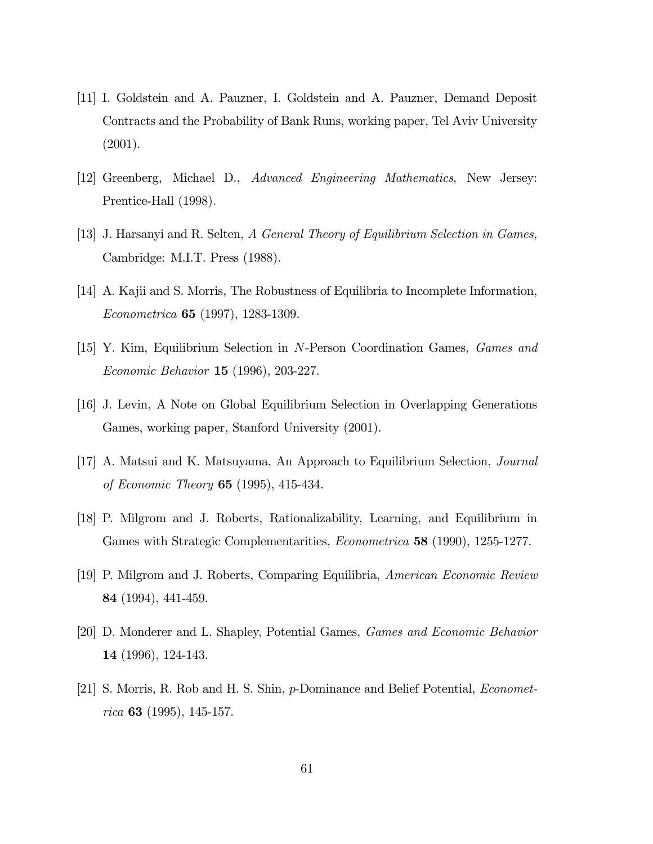- [11] I. Goldstein and A. Pauzner, I. Goldstein and A. Pauzner, Demand Deposit Contracts and the Probability of Bank Runs, working paper, Tel Aviv University (2001).
- [12] Greenberg, Michael D., Advanced Engineering Mathematics, New Jersey: Prentice-Hall (1998).
- [13] J. Harsanyi and R. Selten, A General Theory of Equilibrium Selection in Games, Cambridge: M.I.T. Press (1988).
- [14] A. Kajii and S. Morris, The Robustness of Equilibria to Incomplete Information, Econometrica 65 (1997), 1283-1309.
- [15] Y. Kim, Equilibrium Selection in N-Person Coordination Games, Games and Economic Behavior 15 (1996), 203-227.
- [16] J. Levin, A Note on Global Equilibrium Selection in Overlapping Generations Games, working paper, Stanford University (2001).
- [17] A. Matsui and K. Matsuyama, An Approach to Equilibrium Selection, Journal of Economic Theory 65 (1995), 415-434.
- [18] P. Milgrom and J. Roberts, Rationalizability, Learning, and Equilibrium in Games with Strategic Complementarities, *Econometrica* 58 (1990), 1255-1277.
- [19] P. Milgrom and J. Roberts, Comparing Equilibria, American Economic Review 84 (1994), 441-459.
- [20] D. Monderer and L. Shapley, Potential Games, Games and Economic Behavior 14 (1996), 124-143.
- [21] S. Morris, R. Rob and H. S. Shin, p-Dominance and Belief Potential, Econometrica 63 (1995), 145-157.